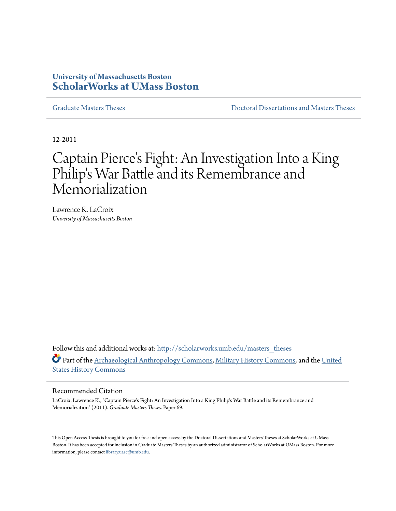### **University of Massachusetts Boston [ScholarWorks at UMass Boston](http://scholarworks.umb.edu?utm_source=scholarworks.umb.edu%2Fmasters_theses%2F69&utm_medium=PDF&utm_campaign=PDFCoverPages)**

[Graduate Masters Theses](http://scholarworks.umb.edu/masters_theses?utm_source=scholarworks.umb.edu%2Fmasters_theses%2F69&utm_medium=PDF&utm_campaign=PDFCoverPages) [Doctoral Dissertations and Masters Theses](http://scholarworks.umb.edu/diss_theses?utm_source=scholarworks.umb.edu%2Fmasters_theses%2F69&utm_medium=PDF&utm_campaign=PDFCoverPages)

12-2011

# Captain Pierce 's Fight: An Investigation Into a King Philip 's War Battle and its Remembrance and Memorialization

Lawrence K. LaCroix *University of Massachusetts Boston*

Follow this and additional works at: [http://scholarworks.umb.edu/masters\\_theses](http://scholarworks.umb.edu/masters_theses?utm_source=scholarworks.umb.edu%2Fmasters_theses%2F69&utm_medium=PDF&utm_campaign=PDFCoverPages) Part of the [Archaeological Anthropology Commons,](http://network.bepress.com/hgg/discipline/319?utm_source=scholarworks.umb.edu%2Fmasters_theses%2F69&utm_medium=PDF&utm_campaign=PDFCoverPages) [Military History Commons,](http://network.bepress.com/hgg/discipline/504?utm_source=scholarworks.umb.edu%2Fmasters_theses%2F69&utm_medium=PDF&utm_campaign=PDFCoverPages) and the [United](http://network.bepress.com/hgg/discipline/495?utm_source=scholarworks.umb.edu%2Fmasters_theses%2F69&utm_medium=PDF&utm_campaign=PDFCoverPages) [States History Commons](http://network.bepress.com/hgg/discipline/495?utm_source=scholarworks.umb.edu%2Fmasters_theses%2F69&utm_medium=PDF&utm_campaign=PDFCoverPages)

#### Recommended Citation

LaCroix, Lawrence K., "Captain Pierce's Fight: An Investigation Into a King Philip's War Battle and its Remembrance and Memorialization" (2011). *Graduate Masters Theses.* Paper 69.

This Open Access Thesis is brought to you for free and open access by the Doctoral Dissertations and Masters Theses at ScholarWorks at UMass Boston. It has been accepted for inclusion in Graduate Masters Theses by an authorized administrator of ScholarWorks at UMass Boston. For more information, please contact [library.uasc@umb.edu](mailto:library.uasc@umb.edu).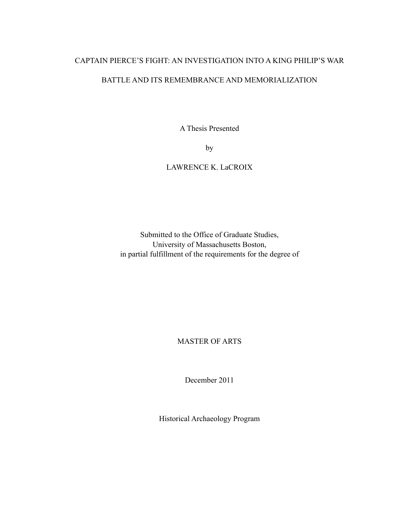### CAPTAIN PIERCE'S FIGHT: AN INVESTIGATION INTO A KING PHILIP'S WAR

### BATTLE AND ITS REMEMBRANCE AND MEMORIALIZATION

A Thesis Presented

by

### LAWRENCE K. LaCROIX

Submitted to the Office of Graduate Studies, University of Massachusetts Boston, in partial fulfillment of the requirements for the degree of

MASTER OF ARTS

December 2011

Historical Archaeology Program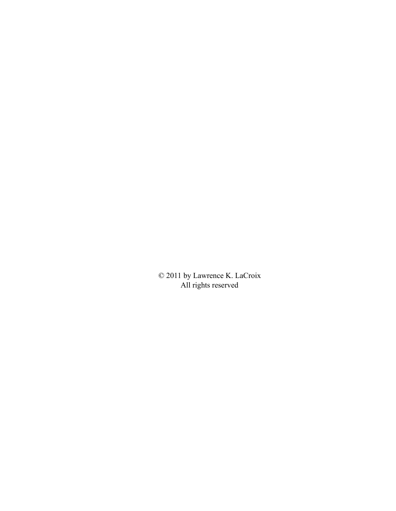© 2011 by Lawrence K. LaCroix All rights reserved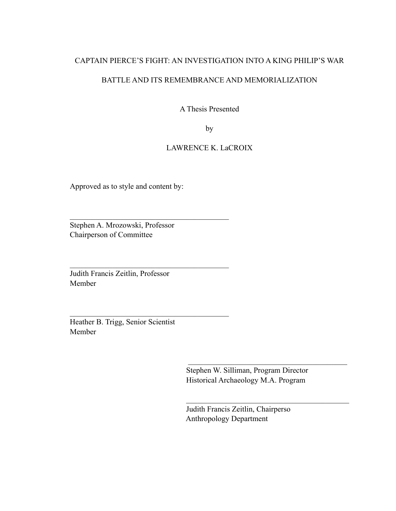### CAPTAIN PIERCE'S FIGHT: AN INVESTIGATION INTO A KING PHILIP'S WAR

### BATTLE AND ITS REMEMBRANCE AND MEMORIALIZATION

A Thesis Presented

by

### LAWRENCE K. LaCROIX

Approved as to style and content by:

 $\mathcal{L}_\text{max}$  , and the contract of the contract of the contract of the contract of the contract of the contract of the contract of the contract of the contract of the contract of the contract of the contract of the contr

 $\mathcal{L}_\text{max}$  , and the contract of the contract of the contract of the contract of the contract of the contract of the contract of the contract of the contract of the contract of the contract of the contract of the contr

 $\mathcal{L}_\text{max}$  , and the contract of the contract of the contract of the contract of the contract of the contract of the contract of the contract of the contract of the contract of the contract of the contract of the contr

Stephen A. Mrozowski, Professor Chairperson of Committee

Judith Francis Zeitlin, Professor Member

Heather B. Trigg, Senior Scientist Member

> Stephen W. Silliman, Program Director Historical Archaeology M.A. Program

 Judith Francis Zeitlin, Chairperso Anthropology Department

 $\mathcal{L}_\mathcal{L} = \{ \mathcal{L}_\mathcal{L} \mid \mathcal{L}_\mathcal{L} = \{ \mathcal{L}_\mathcal{L} \mid \mathcal{L}_\mathcal{L} = \{ \mathcal{L}_\mathcal{L} \mid \mathcal{L}_\mathcal{L} = \{ \mathcal{L}_\mathcal{L} \mid \mathcal{L}_\mathcal{L} = \{ \mathcal{L}_\mathcal{L} \mid \mathcal{L}_\mathcal{L} = \{ \mathcal{L}_\mathcal{L} \mid \mathcal{L}_\mathcal{L} = \{ \mathcal{L}_\mathcal{L} \mid \mathcal{L}_\mathcal{L} = \{ \math$ 

 $\mathcal{L}_\mathcal{L} = \{ \mathcal{L}_\mathcal{L} = \{ \mathcal{L}_\mathcal{L} = \{ \mathcal{L}_\mathcal{L} = \{ \mathcal{L}_\mathcal{L} = \{ \mathcal{L}_\mathcal{L} = \{ \mathcal{L}_\mathcal{L} = \{ \mathcal{L}_\mathcal{L} = \{ \mathcal{L}_\mathcal{L} = \{ \mathcal{L}_\mathcal{L} = \{ \mathcal{L}_\mathcal{L} = \{ \mathcal{L}_\mathcal{L} = \{ \mathcal{L}_\mathcal{L} = \{ \mathcal{L}_\mathcal{L} = \{ \mathcal{L}_\mathcal{$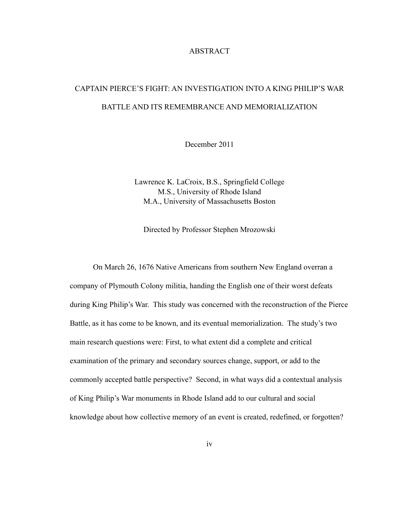#### ABSTRACT

# CAPTAIN PIERCE'S FIGHT: AN INVESTIGATION INTO A KING PHILIP'S WAR BATTLE AND ITS REMEMBRANCE AND MEMORIALIZATION

December 2011

Lawrence K. LaCroix, B.S., Springfield College M.S., University of Rhode Island M.A., University of Massachusetts Boston

Directed by Professor Stephen Mrozowski

 On March 26, 1676 Native Americans from southern New England overran a company of Plymouth Colony militia, handing the English one of their worst defeats during King Philip's War. This study was concerned with the reconstruction of the Pierce Battle, as it has come to be known, and its eventual memorialization. The study's two main research questions were: First, to what extent did a complete and critical examination of the primary and secondary sources change, support, or add to the commonly accepted battle perspective? Second, in what ways did a contextual analysis of King Philip's War monuments in Rhode Island add to our cultural and social knowledge about how collective memory of an event is created, redefined, or forgotten?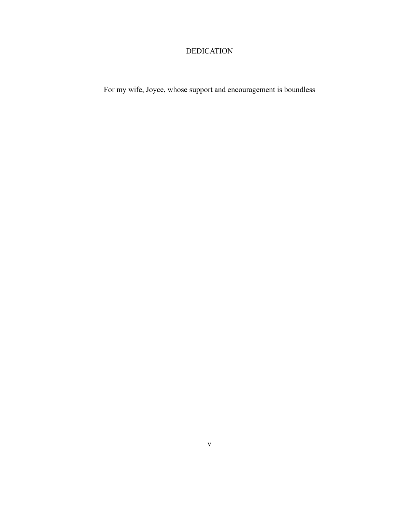### DEDICATION

For my wife, Joyce, whose support and encouragement is boundless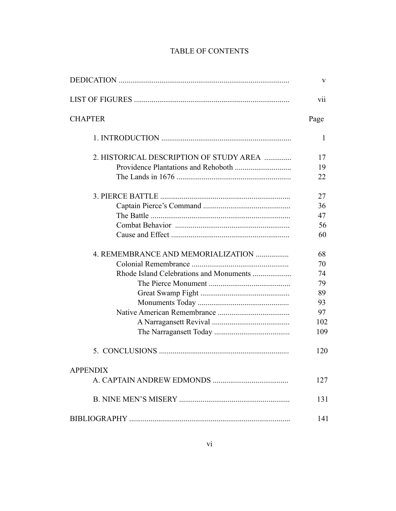|                                         | V    |
|-----------------------------------------|------|
|                                         | V11  |
| <b>CHAPTER</b>                          | Page |
|                                         | 1    |
| 2. HISTORICAL DESCRIPTION OF STUDY AREA | 17   |
|                                         | 19   |
|                                         | 22   |
|                                         | 27   |
|                                         | 36   |
|                                         | 47   |
|                                         | 56   |
|                                         | 60   |
| 4. REMEMBRANCE AND MEMORIALIZATION      | 68   |
|                                         | 70   |
|                                         | 74   |
|                                         | 79   |
|                                         | 89   |
|                                         | 93   |
|                                         | 97   |
|                                         | 102  |
|                                         | 109  |
|                                         | 120  |
| <b>APPENDIX</b>                         |      |
|                                         | 127  |
|                                         | 131  |
|                                         | 141  |

### TABLE OF CONTENTS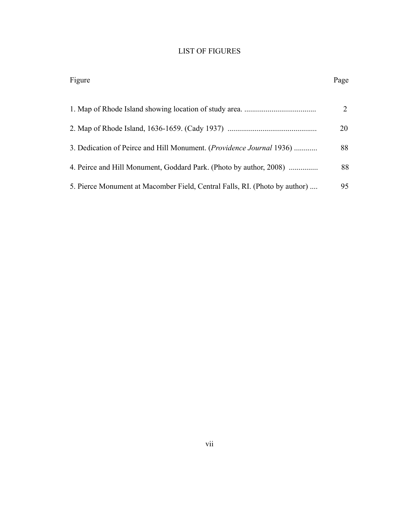## LIST OF FIGURES

| Figure                                                                     | Page |
|----------------------------------------------------------------------------|------|
|                                                                            | 2    |
|                                                                            | 20   |
| 3. Dedication of Peirce and Hill Monument. (Providence Journal 1936)       | 88   |
| 4. Peirce and Hill Monument, Goddard Park. (Photo by author, 2008)         | 88   |
| 5. Pierce Monument at Macomber Field, Central Falls, RI. (Photo by author) | 95   |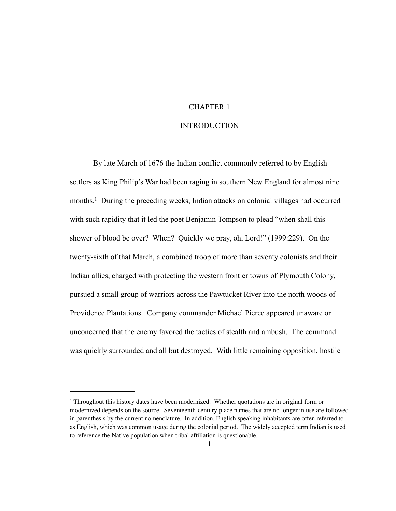### CHAPTER 1

#### INTRODUCTION

 By late March of 1676 the Indian conflict commonly referred to by English settlers as King Philip's War had been raging in southern New England for almost nine months.<sup>1</sup> During the preceding weeks, Indian attacks on colonial villages had occurred with such rapidity that it led the poet Benjamin Tompson to plead "when shall this shower of blood be over? When? Quickly we pray, oh, Lord!" (1999:229). On the twenty-sixth of that March, a combined troop of more than seventy colonists and their Indian allies, charged with protecting the western frontier towns of Plymouth Colony, pursued a small group of warriors across the Pawtucket River into the north woods of Providence Plantations. Company commander Michael Pierce appeared unaware or unconcerned that the enemy favored the tactics of stealth and ambush. The command was quickly surrounded and all but destroyed. With little remaining opposition, hostile

<span id="page-8-0"></span><sup>1</sup> Throughout this history dates have been modernized. Whether quotations are in original form or modernized depends on the source. Seventeenth-century place names that are no longer in use are followed in parenthesis by the current nomenclature. In addition, English speaking inhabitants are often referred to as English, which was common usage during the colonial period. The widely accepted term Indian is used to reference the Native population when tribal affiliation is questionable.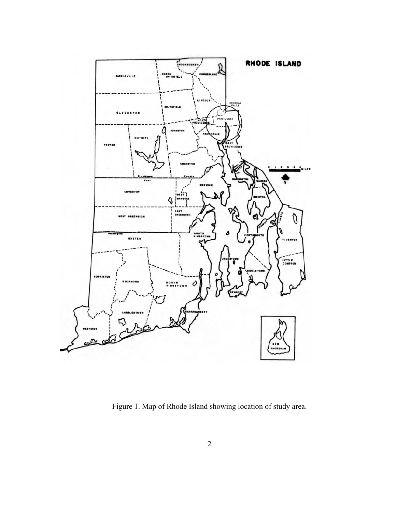

Figure 1. Map of Rhode Island showing location of study area.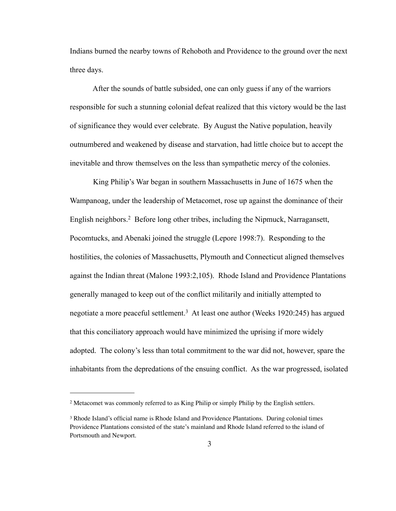Indians burned the nearby towns of Rehoboth and Providence to the ground over the next three days.

 After the sounds of battle subsided, one can only guess if any of the warriors responsible for such a stunning colonial defeat realized that this victory would be the last of significance they would ever celebrate. By August the Native population, heavily outnumbered and weakened by disease and starvation, had little choice but to accept the inevitable and throw themselves on the less than sympathetic mercy of the colonies.

 King Philip's War began in southern Massachusetts in June of 1675 when the Wampanoag, under the leadership of Metacomet, rose up against the dominance of their English neighbors.[2](#page-10-0) Before long other tribes, including the Nipmuck, Narragansett, Pocomtucks, and Abenaki joined the struggle (Lepore 1998:7). Responding to the hostilities, the colonies of Massachusetts, Plymouth and Connecticut aligned themselves against the Indian threat (Malone 1993:2,105). Rhode Island and Providence Plantations generally managed to keep out of the conflict militarily and initially attempted to negotiate a more peaceful settlement.[3](#page-10-1) At least one author (Weeks 1920:245) has argued that this conciliatory approach would have minimized the uprising if more widely adopted. The colony's less than total commitment to the war did not, however, spare the inhabitants from the depredations of the ensuing conflict. As the war progressed, isolated

<span id="page-10-0"></span><sup>2</sup> Metacomet was commonly referred to as King Philip or simply Philip by the English settlers.

<span id="page-10-1"></span><sup>&</sup>lt;sup>3</sup> Rhode Island's official name is Rhode Island and Providence Plantations. During colonial times Providence Plantations consisted of the state's mainland and Rhode Island referred to the island of Portsmouth and Newport.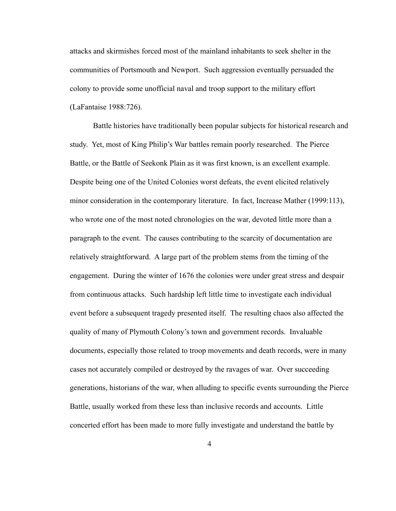attacks and skirmishes forced most of the mainland inhabitants to seek shelter in the communities of Portsmouth and Newport. Such aggression eventually persuaded the colony to provide some unofficial naval and troop support to the military effort (LaFantaise 1988:726).

 Battle histories have traditionally been popular subjects for historical research and study. Yet, most of King Philip's War battles remain poorly researched. The Pierce Battle, or the Battle of Seekonk Plain as it was first known, is an excellent example. Despite being one of the United Colonies worst defeats, the event elicited relatively minor consideration in the contemporary literature. In fact, Increase Mather (1999:113), who wrote one of the most noted chronologies on the war, devoted little more than a paragraph to the event. The causes contributing to the scarcity of documentation are relatively straightforward. A large part of the problem stems from the timing of the engagement. During the winter of 1676 the colonies were under great stress and despair from continuous attacks. Such hardship left little time to investigate each individual event before a subsequent tragedy presented itself. The resulting chaos also affected the quality of many of Plymouth Colony's town and government records. Invaluable documents, especially those related to troop movements and death records, were in many cases not accurately compiled or destroyed by the ravages of war. Over succeeding generations, historians of the war, when alluding to specific events surrounding the Pierce Battle, usually worked from these less than inclusive records and accounts. Little concerted effort has been made to more fully investigate and understand the battle by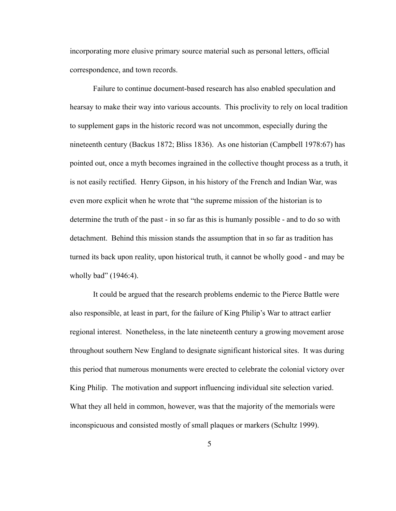incorporating more elusive primary source material such as personal letters, official correspondence, and town records.

 Failure to continue document-based research has also enabled speculation and hearsay to make their way into various accounts. This proclivity to rely on local tradition to supplement gaps in the historic record was not uncommon, especially during the nineteenth century (Backus 1872; Bliss 1836). As one historian (Campbell 1978:67) has pointed out, once a myth becomes ingrained in the collective thought process as a truth, it is not easily rectified. Henry Gipson, in his history of the French and Indian War, was even more explicit when he wrote that "the supreme mission of the historian is to determine the truth of the past - in so far as this is humanly possible - and to do so with detachment. Behind this mission stands the assumption that in so far as tradition has turned its back upon reality, upon historical truth, it cannot be wholly good - and may be wholly bad" (1946:4).

 It could be argued that the research problems endemic to the Pierce Battle were also responsible, at least in part, for the failure of King Philip's War to attract earlier regional interest. Nonetheless, in the late nineteenth century a growing movement arose throughout southern New England to designate significant historical sites. It was during this period that numerous monuments were erected to celebrate the colonial victory over King Philip. The motivation and support influencing individual site selection varied. What they all held in common, however, was that the majority of the memorials were inconspicuous and consisted mostly of small plaques or markers (Schultz 1999).

5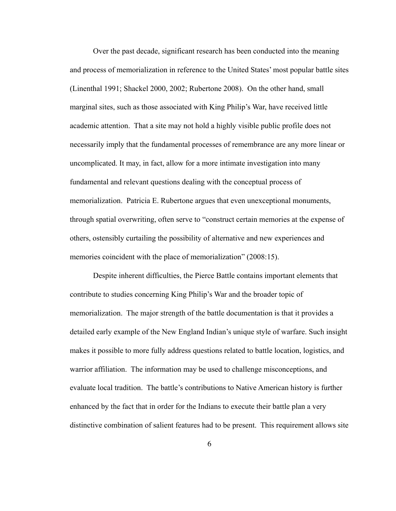Over the past decade, significant research has been conducted into the meaning and process of memorialization in reference to the United States' most popular battle sites (Linenthal 1991; Shackel 2000, 2002; Rubertone 2008). On the other hand, small marginal sites, such as those associated with King Philip's War, have received little academic attention. That a site may not hold a highly visible public profile does not necessarily imply that the fundamental processes of remembrance are any more linear or uncomplicated. It may, in fact, allow for a more intimate investigation into many fundamental and relevant questions dealing with the conceptual process of memorialization. Patricia E. Rubertone argues that even unexceptional monuments, through spatial overwriting, often serve to "construct certain memories at the expense of others, ostensibly curtailing the possibility of alternative and new experiences and memories coincident with the place of memorialization" (2008:15).

 Despite inherent difficulties, the Pierce Battle contains important elements that contribute to studies concerning King Philip's War and the broader topic of memorialization. The major strength of the battle documentation is that it provides a detailed early example of the New England Indian's unique style of warfare. Such insight makes it possible to more fully address questions related to battle location, logistics, and warrior affiliation. The information may be used to challenge misconceptions, and evaluate local tradition. The battle's contributions to Native American history is further enhanced by the fact that in order for the Indians to execute their battle plan a very distinctive combination of salient features had to be present. This requirement allows site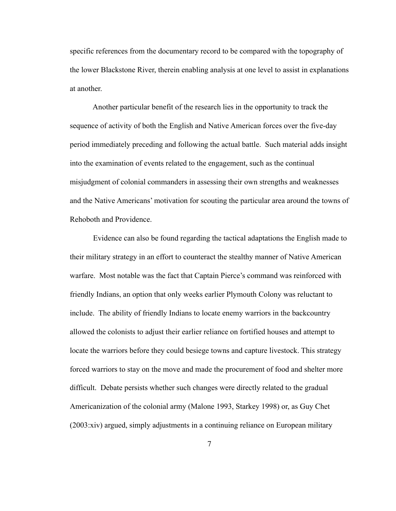specific references from the documentary record to be compared with the topography of the lower Blackstone River, therein enabling analysis at one level to assist in explanations at another.

 Another particular benefit of the research lies in the opportunity to track the sequence of activity of both the English and Native American forces over the five-day period immediately preceding and following the actual battle. Such material adds insight into the examination of events related to the engagement, such as the continual misjudgment of colonial commanders in assessing their own strengths and weaknesses and the Native Americans' motivation for scouting the particular area around the towns of Rehoboth and Providence.

Evidence can also be found regarding the tactical adaptations the English made to their military strategy in an effort to counteract the stealthy manner of Native American warfare. Most notable was the fact that Captain Pierce's command was reinforced with friendly Indians, an option that only weeks earlier Plymouth Colony was reluctant to include. The ability of friendly Indians to locate enemy warriors in the backcountry allowed the colonists to adjust their earlier reliance on fortified houses and attempt to locate the warriors before they could besiege towns and capture livestock. This strategy forced warriors to stay on the move and made the procurement of food and shelter more difficult. Debate persists whether such changes were directly related to the gradual Americanization of the colonial army (Malone 1993, Starkey 1998) or, as Guy Chet (2003:xiv) argued, simply adjustments in a continuing reliance on European military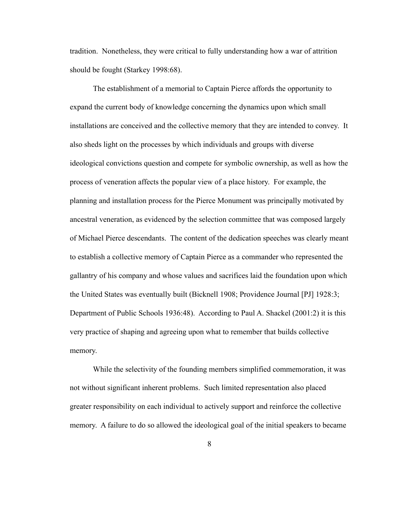tradition. Nonetheless, they were critical to fully understanding how a war of attrition should be fought (Starkey 1998:68).

 The establishment of a memorial to Captain Pierce affords the opportunity to expand the current body of knowledge concerning the dynamics upon which small installations are conceived and the collective memory that they are intended to convey. It also sheds light on the processes by which individuals and groups with diverse ideological convictions question and compete for symbolic ownership, as well as how the process of veneration affects the popular view of a place history. For example, the planning and installation process for the Pierce Monument was principally motivated by ancestral veneration, as evidenced by the selection committee that was composed largely of Michael Pierce descendants. The content of the dedication speeches was clearly meant to establish a collective memory of Captain Pierce as a commander who represented the gallantry of his company and whose values and sacrifices laid the foundation upon which the United States was eventually built (Bicknell 1908; Providence Journal [PJ] 1928:3; Department of Public Schools 1936:48). According to Paul A. Shackel (2001:2) it is this very practice of shaping and agreeing upon what to remember that builds collective memory.

 While the selectivity of the founding members simplified commemoration, it was not without significant inherent problems. Such limited representation also placed greater responsibility on each individual to actively support and reinforce the collective memory. A failure to do so allowed the ideological goal of the initial speakers to became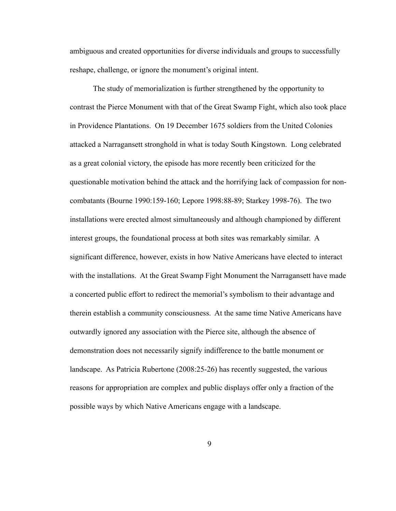ambiguous and created opportunities for diverse individuals and groups to successfully reshape, challenge, or ignore the monument's original intent.

 The study of memorialization is further strengthened by the opportunity to contrast the Pierce Monument with that of the Great Swamp Fight, which also took place in Providence Plantations. On 19 December 1675 soldiers from the United Colonies attacked a Narragansett stronghold in what is today South Kingstown. Long celebrated as a great colonial victory, the episode has more recently been criticized for the questionable motivation behind the attack and the horrifying lack of compassion for noncombatants (Bourne 1990:159-160; Lepore 1998:88-89; Starkey 1998-76). The two installations were erected almost simultaneously and although championed by different interest groups, the foundational process at both sites was remarkably similar. A significant difference, however, exists in how Native Americans have elected to interact with the installations. At the Great Swamp Fight Monument the Narragansett have made a concerted public effort to redirect the memorial's symbolism to their advantage and therein establish a community consciousness. At the same time Native Americans have outwardly ignored any association with the Pierce site, although the absence of demonstration does not necessarily signify indifference to the battle monument or landscape. As Patricia Rubertone (2008:25-26) has recently suggested, the various reasons for appropriation are complex and public displays offer only a fraction of the possible ways by which Native Americans engage with a landscape.

9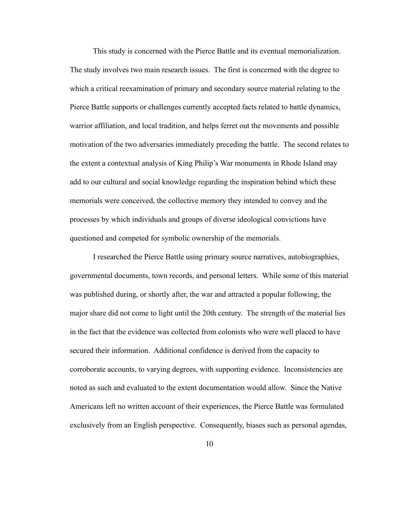This study is concerned with the Pierce Battle and its eventual memorialization. The study involves two main research issues. The first is concerned with the degree to which a critical reexamination of primary and secondary source material relating to the Pierce Battle supports or challenges currently accepted facts related to battle dynamics, warrior affiliation, and local tradition, and helps ferret out the movements and possible motivation of the two adversaries immediately preceding the battle. The second relates to the extent a contextual analysis of King Philip's War monuments in Rhode Island may add to our cultural and social knowledge regarding the inspiration behind which these memorials were conceived, the collective memory they intended to convey and the processes by which individuals and groups of diverse ideological convictions have questioned and competed for symbolic ownership of the memorials.

 I researched the Pierce Battle using primary source narratives, autobiographies, governmental documents, town records, and personal letters. While some of this material was published during, or shortly after, the war and attracted a popular following, the major share did not come to light until the 20th century. The strength of the material lies in the fact that the evidence was collected from colonists who were well placed to have secured their information. Additional confidence is derived from the capacity to corroborate accounts, to varying degrees, with supporting evidence. Inconsistencies are noted as such and evaluated to the extent documentation would allow. Since the Native Americans left no written account of their experiences, the Pierce Battle was formulated exclusively from an English perspective. Consequently, biases such as personal agendas,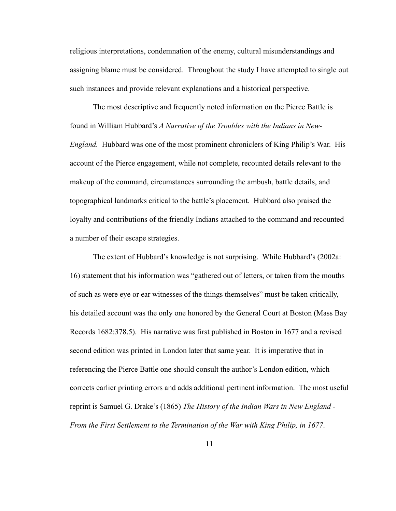religious interpretations, condemnation of the enemy, cultural misunderstandings and assigning blame must be considered. Throughout the study I have attempted to single out such instances and provide relevant explanations and a historical perspective.

 The most descriptive and frequently noted information on the Pierce Battle is found in William Hubbard's *A Narrative of the Troubles with the Indians in New-England.* Hubbard was one of the most prominent chroniclers of King Philip's War. His account of the Pierce engagement, while not complete, recounted details relevant to the makeup of the command, circumstances surrounding the ambush, battle details, and topographical landmarks critical to the battle's placement. Hubbard also praised the loyalty and contributions of the friendly Indians attached to the command and recounted a number of their escape strategies.

 The extent of Hubbard's knowledge is not surprising. While Hubbard's (2002a: 16) statement that his information was "gathered out of letters, or taken from the mouths of such as were eye or ear witnesses of the things themselves" must be taken critically, his detailed account was the only one honored by the General Court at Boston (Mass Bay Records 1682:378.5). His narrative was first published in Boston in 1677 and a revised second edition was printed in London later that same year. It is imperative that in referencing the Pierce Battle one should consult the author's London edition, which corrects earlier printing errors and adds additional pertinent information. The most useful reprint is Samuel G. Drake's (1865) *The History of the Indian Wars in New England - From the First Settlement to the Termination of the War with King Philip, in 1677*.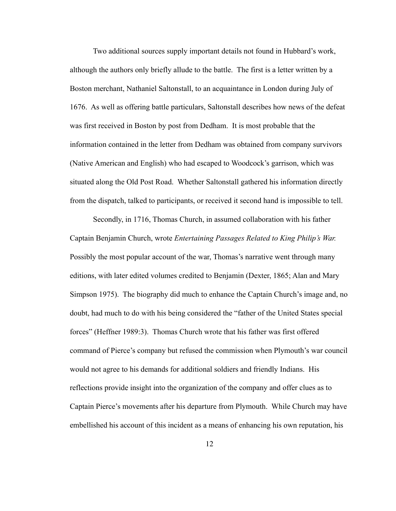Two additional sources supply important details not found in Hubbard's work, although the authors only briefly allude to the battle. The first is a letter written by a Boston merchant, Nathaniel Saltonstall, to an acquaintance in London during July of 1676. As well as offering battle particulars, Saltonstall describes how news of the defeat was first received in Boston by post from Dedham. It is most probable that the information contained in the letter from Dedham was obtained from company survivors (Native American and English) who had escaped to Woodcock's garrison, which was situated along the Old Post Road. Whether Saltonstall gathered his information directly from the dispatch, talked to participants, or received it second hand is impossible to tell.

 Secondly, in 1716, Thomas Church, in assumed collaboration with his father Captain Benjamin Church, wrote *Entertaining Passages Related to King Philip's War.*  Possibly the most popular account of the war, Thomas's narrative went through many editions, with later edited volumes credited to Benjamin (Dexter, 1865; Alan and Mary Simpson 1975). The biography did much to enhance the Captain Church's image and, no doubt, had much to do with his being considered the "father of the United States special forces" (Heffner 1989:3). Thomas Church wrote that his father was first offered command of Pierce's company but refused the commission when Plymouth's war council would not agree to his demands for additional soldiers and friendly Indians. His reflections provide insight into the organization of the company and offer clues as to Captain Pierce's movements after his departure from Plymouth. While Church may have embellished his account of this incident as a means of enhancing his own reputation, his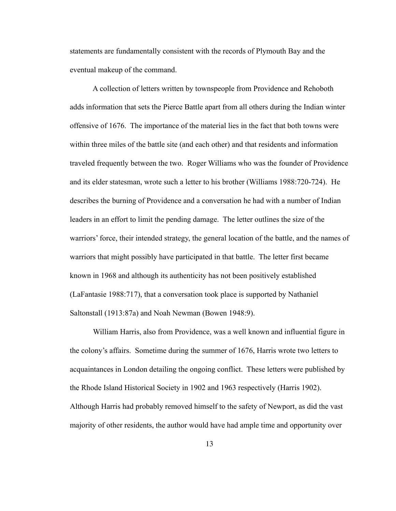statements are fundamentally consistent with the records of Plymouth Bay and the eventual makeup of the command.

 A collection of letters written by townspeople from Providence and Rehoboth adds information that sets the Pierce Battle apart from all others during the Indian winter offensive of 1676. The importance of the material lies in the fact that both towns were within three miles of the battle site (and each other) and that residents and information traveled frequently between the two. Roger Williams who was the founder of Providence and its elder statesman, wrote such a letter to his brother (Williams 1988:720-724). He describes the burning of Providence and a conversation he had with a number of Indian leaders in an effort to limit the pending damage. The letter outlines the size of the warriors' force, their intended strategy, the general location of the battle, and the names of warriors that might possibly have participated in that battle. The letter first became known in 1968 and although its authenticity has not been positively established (LaFantasie 1988:717), that a conversation took place is supported by Nathaniel Saltonstall (1913:87a) and Noah Newman (Bowen 1948:9).

 William Harris, also from Providence, was a well known and influential figure in the colony's affairs. Sometime during the summer of 1676, Harris wrote two letters to acquaintances in London detailing the ongoing conflict. These letters were published by the Rhode Island Historical Society in 1902 and 1963 respectively (Harris 1902). Although Harris had probably removed himself to the safety of Newport, as did the vast majority of other residents, the author would have had ample time and opportunity over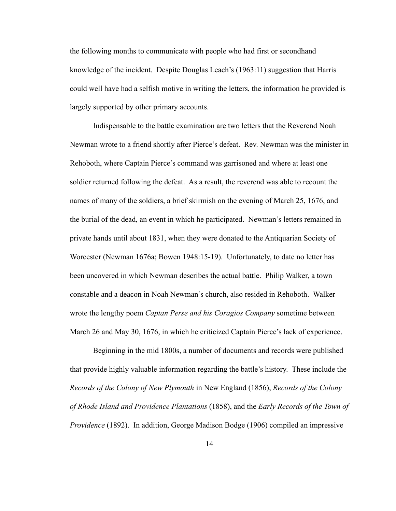the following months to communicate with people who had first or secondhand knowledge of the incident. Despite Douglas Leach's (1963:11) suggestion that Harris could well have had a selfish motive in writing the letters, the information he provided is largely supported by other primary accounts.

 Indispensable to the battle examination are two letters that the Reverend Noah Newman wrote to a friend shortly after Pierce's defeat. Rev. Newman was the minister in Rehoboth, where Captain Pierce's command was garrisoned and where at least one soldier returned following the defeat. As a result, the reverend was able to recount the names of many of the soldiers, a brief skirmish on the evening of March 25, 1676, and the burial of the dead, an event in which he participated. Newman's letters remained in private hands until about 1831, when they were donated to the Antiquarian Society of Worcester (Newman 1676a; Bowen 1948:15-19). Unfortunately, to date no letter has been uncovered in which Newman describes the actual battle. Philip Walker, a town constable and a deacon in Noah Newman's church, also resided in Rehoboth. Walker wrote the lengthy poem *Captan Perse and his Coragios Company* sometime between March 26 and May 30, 1676, in which he criticized Captain Pierce's lack of experience.

 Beginning in the mid 1800s, a number of documents and records were published that provide highly valuable information regarding the battle's history. These include the *Records of the Colony of New Plymouth* in New England (1856), *Records of the Colony of Rhode Island and Providence Plantations* (1858), and the *Early Records of the Town of Providence* (1892). In addition, George Madison Bodge (1906) compiled an impressive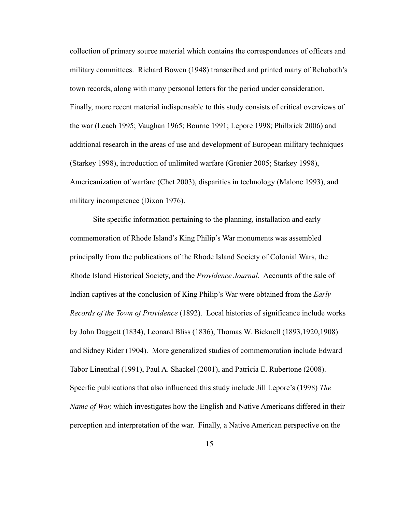collection of primary source material which contains the correspondences of officers and military committees. Richard Bowen (1948) transcribed and printed many of Rehoboth's town records, along with many personal letters for the period under consideration. Finally, more recent material indispensable to this study consists of critical overviews of the war (Leach 1995; Vaughan 1965; Bourne 1991; Lepore 1998; Philbrick 2006) and additional research in the areas of use and development of European military techniques (Starkey 1998), introduction of unlimited warfare (Grenier 2005; Starkey 1998), Americanization of warfare (Chet 2003), disparities in technology (Malone 1993), and military incompetence (Dixon 1976).

 Site specific information pertaining to the planning, installation and early commemoration of Rhode Island's King Philip's War monuments was assembled principally from the publications of the Rhode Island Society of Colonial Wars, the Rhode Island Historical Society, and the *Providence Journal*. Accounts of the sale of Indian captives at the conclusion of King Philip's War were obtained from the *Early Records of the Town of Providence* (1892). Local histories of significance include works by John Daggett (1834), Leonard Bliss (1836), Thomas W. Bicknell (1893,1920,1908) and Sidney Rider (1904). More generalized studies of commemoration include Edward Tabor Linenthal (1991), Paul A. Shackel (2001), and Patricia E. Rubertone (2008). Specific publications that also influenced this study include Jill Lepore's (1998) *The Name of War,* which investigates how the English and Native Americans differed in their perception and interpretation of the war. Finally, a Native American perspective on the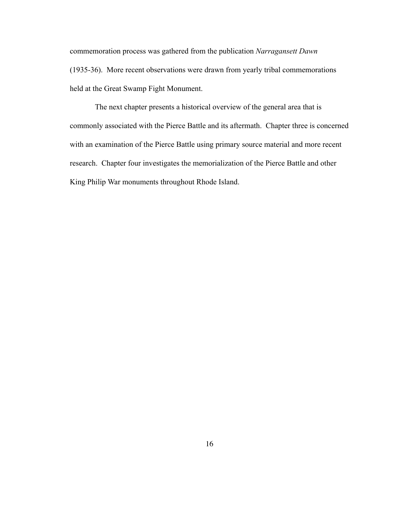commemoration process was gathered from the publication *Narragansett Dawn*  (1935-36). More recent observations were drawn from yearly tribal commemorations held at the Great Swamp Fight Monument.

 The next chapter presents a historical overview of the general area that is commonly associated with the Pierce Battle and its aftermath. Chapter three is concerned with an examination of the Pierce Battle using primary source material and more recent research. Chapter four investigates the memorialization of the Pierce Battle and other King Philip War monuments throughout Rhode Island.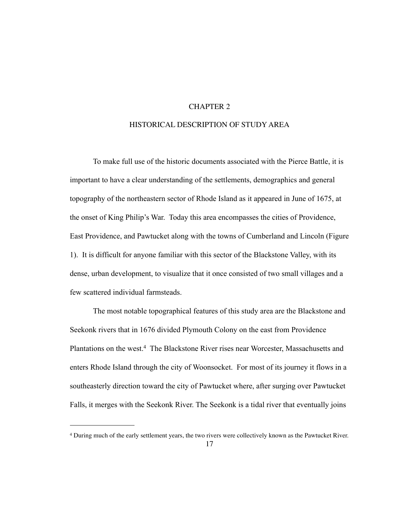### CHAPTER 2

#### HISTORICAL DESCRIPTION OF STUDY AREA

 To make full use of the historic documents associated with the Pierce Battle, it is important to have a clear understanding of the settlements, demographics and general topography of the northeastern sector of Rhode Island as it appeared in June of 1675, at the onset of King Philip's War. Today this area encompasses the cities of Providence, East Providence, and Pawtucket along with the towns of Cumberland and Lincoln (Figure 1). It is difficult for anyone familiar with this sector of the Blackstone Valley, with its dense, urban development, to visualize that it once consisted of two small villages and a few scattered individual farmsteads.

 The most notable topographical features of this study area are the Blackstone and Seekonk rivers that in 1676 divided Plymouth Colony on the east from Providence Plantations on the west.[4](#page-24-0) The Blackstone River rises near Worcester, Massachusetts and enters Rhode Island through the city of Woonsocket. For most of its journey it flows in a southeasterly direction toward the city of Pawtucket where, after surging over Pawtucket Falls, it merges with the Seekonk River. The Seekonk is a tidal river that eventually joins

<span id="page-24-0"></span><sup>4</sup> During much of the early settlement years, the two rivers were collectively known as the Pawtucket River.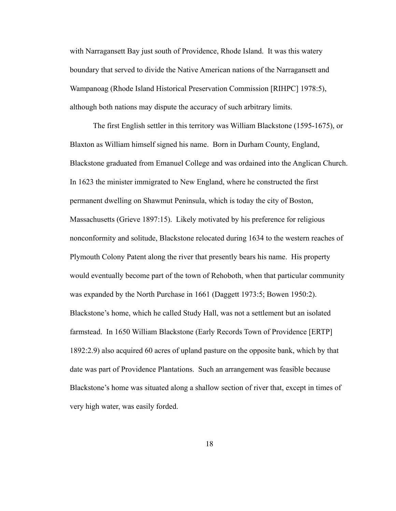with Narragansett Bay just south of Providence, Rhode Island. It was this watery boundary that served to divide the Native American nations of the Narragansett and Wampanoag (Rhode Island Historical Preservation Commission [RIHPC] 1978:5), although both nations may dispute the accuracy of such arbitrary limits.

 The first English settler in this territory was William Blackstone (1595-1675), or Blaxton as William himself signed his name. Born in Durham County, England, Blackstone graduated from Emanuel College and was ordained into the Anglican Church. In 1623 the minister immigrated to New England, where he constructed the first permanent dwelling on Shawmut Peninsula, which is today the city of Boston, Massachusetts (Grieve 1897:15). Likely motivated by his preference for religious nonconformity and solitude, Blackstone relocated during 1634 to the western reaches of Plymouth Colony Patent along the river that presently bears his name. His property would eventually become part of the town of Rehoboth, when that particular community was expanded by the North Purchase in 1661 (Daggett 1973:5; Bowen 1950:2). Blackstone's home, which he called Study Hall, was not a settlement but an isolated farmstead. In 1650 William Blackstone (Early Records Town of Providence [ERTP] 1892:2.9) also acquired 60 acres of upland pasture on the opposite bank, which by that date was part of Providence Plantations. Such an arrangement was feasible because Blackstone's home was situated along a shallow section of river that, except in times of very high water, was easily forded.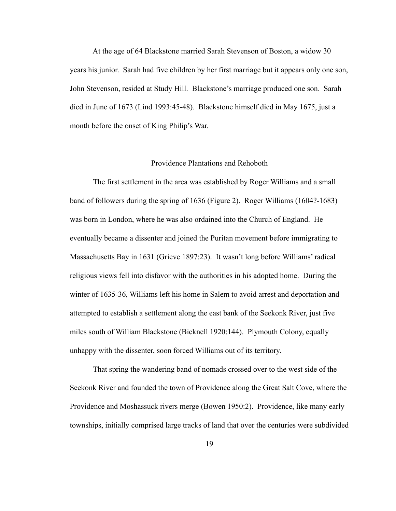At the age of 64 Blackstone married Sarah Stevenson of Boston, a widow 30 years his junior. Sarah had five children by her first marriage but it appears only one son, John Stevenson, resided at Study Hill. Blackstone's marriage produced one son. Sarah died in June of 1673 (Lind 1993:45-48). Blackstone himself died in May 1675, just a month before the onset of King Philip's War.

#### Providence Plantations and Rehoboth

 The first settlement in the area was established by Roger Williams and a small band of followers during the spring of 1636 (Figure 2). Roger Williams (1604?-1683) was born in London, where he was also ordained into the Church of England. He eventually became a dissenter and joined the Puritan movement before immigrating to Massachusetts Bay in 1631 (Grieve 1897:23). It wasn't long before Williams' radical religious views fell into disfavor with the authorities in his adopted home. During the winter of 1635-36, Williams left his home in Salem to avoid arrest and deportation and attempted to establish a settlement along the east bank of the Seekonk River, just five miles south of William Blackstone (Bicknell 1920:144). Plymouth Colony, equally unhappy with the dissenter, soon forced Williams out of its territory.

 That spring the wandering band of nomads crossed over to the west side of the Seekonk River and founded the town of Providence along the Great Salt Cove, where the Providence and Moshassuck rivers merge (Bowen 1950:2). Providence, like many early townships, initially comprised large tracks of land that over the centuries were subdivided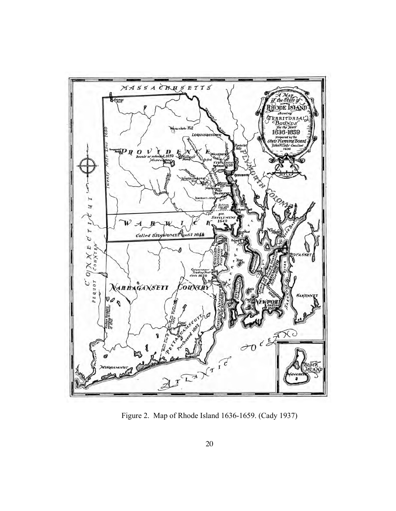

Figure 2. Map of Rhode Island 1636-1659. (Cady 1937)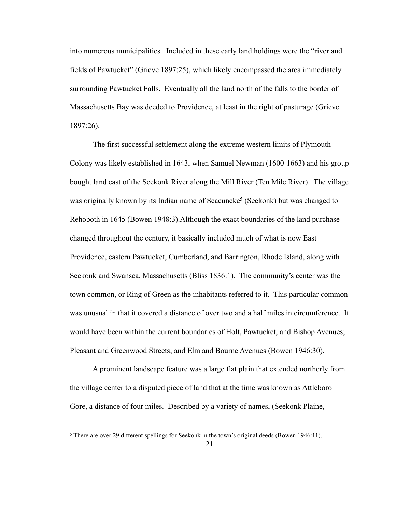into numerous municipalities. Included in these early land holdings were the "river and fields of Pawtucket" (Grieve 1897:25), which likely encompassed the area immediately surrounding Pawtucket Falls. Eventually all the land north of the falls to the border of Massachusetts Bay was deeded to Providence, at least in the right of pasturage (Grieve 1897:26).

 The first successful settlement along the extreme western limits of Plymouth Colony was likely established in 1643, when Samuel Newman (1600-1663) and his group bought land east of the Seekonk River along the Mill River (Ten Mile River). The village was originally known by its Indian name of Seacuncke<sup>5</sup> (Seekonk) but was changed to Rehoboth in 1645 (Bowen 1948:3).Although the exact boundaries of the land purchase changed throughout the century, it basically included much of what is now East Providence, eastern Pawtucket, Cumberland, and Barrington, Rhode Island, along with Seekonk and Swansea, Massachusetts (Bliss 1836:1). The community's center was the town common, or Ring of Green as the inhabitants referred to it. This particular common was unusual in that it covered a distance of over two and a half miles in circumference. It would have been within the current boundaries of Holt, Pawtucket, and Bishop Avenues; Pleasant and Greenwood Streets; and Elm and Bourne Avenues (Bowen 1946:30).

 A prominent landscape feature was a large flat plain that extended northerly from the village center to a disputed piece of land that at the time was known as Attleboro Gore, a distance of four miles. Described by a variety of names, (Seekonk Plaine,

<span id="page-28-0"></span><sup>5</sup> There are over 29 different spellings for Seekonk in the town's original deeds (Bowen 1946:11).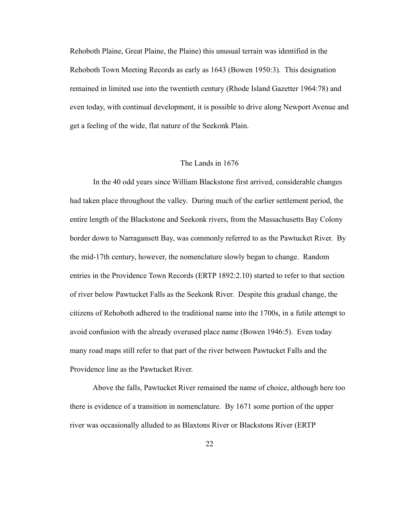Rehoboth Plaine, Great Plaine, the Plaine) this unusual terrain was identified in the Rehoboth Town Meeting Records as early as 1643 (Bowen 1950:3). This designation remained in limited use into the twentieth century (Rhode Island Gazetter 1964:78) and even today, with continual development, it is possible to drive along Newport Avenue and get a feeling of the wide, flat nature of the Seekonk Plain.

#### The Lands in 1676

 In the 40 odd years since William Blackstone first arrived, considerable changes had taken place throughout the valley. During much of the earlier settlement period, the entire length of the Blackstone and Seekonk rivers, from the Massachusetts Bay Colony border down to Narragansett Bay, was commonly referred to as the Pawtucket River. By the mid-17th century, however, the nomenclature slowly began to change. Random entries in the Providence Town Records (ERTP 1892:2.10) started to refer to that section of river below Pawtucket Falls as the Seekonk River. Despite this gradual change, the citizens of Rehoboth adhered to the traditional name into the 1700s, in a futile attempt to avoid confusion with the already overused place name (Bowen 1946:5). Even today many road maps still refer to that part of the river between Pawtucket Falls and the Providence line as the Pawtucket River.

 Above the falls, Pawtucket River remained the name of choice, although here too there is evidence of a transition in nomenclature. By 1671 some portion of the upper river was occasionally alluded to as Blaxtons River or Blackstons River (ERTP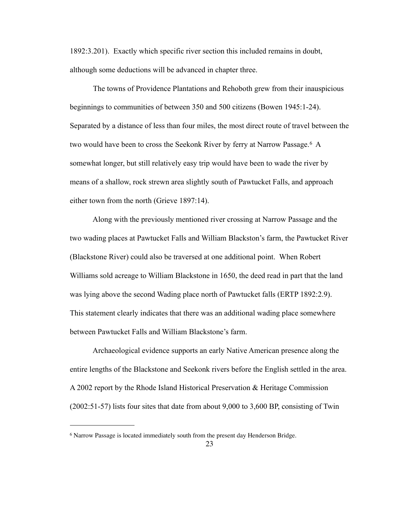1892:3.201). Exactly which specific river section this included remains in doubt, although some deductions will be advanced in chapter three.

 The towns of Providence Plantations and Rehoboth grew from their inauspicious beginnings to communities of between 350 and 500 citizens (Bowen 1945:1-24). Separated by a distance of less than four miles, the most direct route of travel between the two would have been to cross the Seekonk River by ferry at Narrow Passage.<sup>[6](#page-30-0)</sup> A somewhat longer, but still relatively easy trip would have been to wade the river by means of a shallow, rock strewn area slightly south of Pawtucket Falls, and approach either town from the north (Grieve 1897:14).

 Along with the previously mentioned river crossing at Narrow Passage and the two wading places at Pawtucket Falls and William Blackston's farm, the Pawtucket River (Blackstone River) could also be traversed at one additional point. When Robert Williams sold acreage to William Blackstone in 1650, the deed read in part that the land was lying above the second Wading place north of Pawtucket falls (ERTP 1892:2.9). This statement clearly indicates that there was an additional wading place somewhere between Pawtucket Falls and William Blackstone's farm.

 Archaeological evidence supports an early Native American presence along the entire lengths of the Blackstone and Seekonk rivers before the English settled in the area. A 2002 report by the Rhode Island Historical Preservation & Heritage Commission (2002:51-57) lists four sites that date from about 9,000 to 3,600 BP, consisting of Twin

<span id="page-30-0"></span><sup>&</sup>lt;sup>6</sup> Narrow Passage is located immediately south from the present day Henderson Bridge.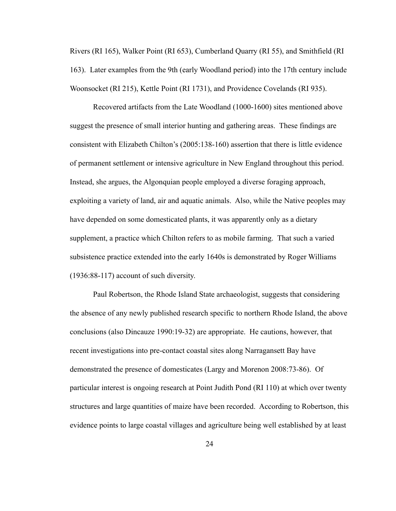Rivers (RI 165), Walker Point (RI 653), Cumberland Quarry (RI 55), and Smithfield (RI 163). Later examples from the 9th (early Woodland period) into the 17th century include Woonsocket (RI 215), Kettle Point (RI 1731), and Providence Covelands (RI 935).

 Recovered artifacts from the Late Woodland (1000-1600) sites mentioned above suggest the presence of small interior hunting and gathering areas. These findings are consistent with Elizabeth Chilton's (2005:138-160) assertion that there is little evidence of permanent settlement or intensive agriculture in New England throughout this period. Instead, she argues, the Algonquian people employed a diverse foraging approach, exploiting a variety of land, air and aquatic animals. Also, while the Native peoples may have depended on some domesticated plants, it was apparently only as a dietary supplement, a practice which Chilton refers to as mobile farming. That such a varied subsistence practice extended into the early 1640s is demonstrated by Roger Williams (1936:88-117) account of such diversity.

 Paul Robertson, the Rhode Island State archaeologist, suggests that considering the absence of any newly published research specific to northern Rhode Island, the above conclusions (also Dincauze 1990:19-32) are appropriate. He cautions, however, that recent investigations into pre-contact coastal sites along Narragansett Bay have demonstrated the presence of domesticates (Largy and Morenon 2008:73-86). Of particular interest is ongoing research at Point Judith Pond (RI 110) at which over twenty structures and large quantities of maize have been recorded. According to Robertson, this evidence points to large coastal villages and agriculture being well established by at least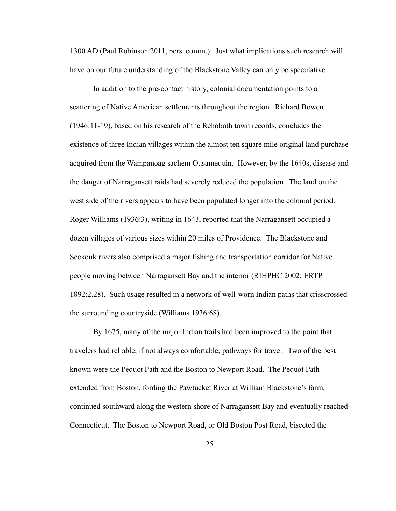1300 AD (Paul Robinson 2011, pers. comm.). Just what implications such research will have on our future understanding of the Blackstone Valley can only be speculative.

In addition to the pre-contact history, colonial documentation points to a scattering of Native American settlements throughout the region. Richard Bowen (1946:11-19), based on his research of the Rehoboth town records, concludes the existence of three Indian villages within the almost ten square mile original land purchase acquired from the Wampanoag sachem Ousamequin. However, by the 1640s, disease and the danger of Narragansett raids had severely reduced the population. The land on the west side of the rivers appears to have been populated longer into the colonial period. Roger Williams (1936:3), writing in 1643, reported that the Narragansett occupied a dozen villages of various sizes within 20 miles of Providence. The Blackstone and Seekonk rivers also comprised a major fishing and transportation corridor for Native people moving between Narragansett Bay and the interior (RIHPHC 2002; ERTP 1892:2.28). Such usage resulted in a network of well-worn Indian paths that crisscrossed the surrounding countryside (Williams 1936:68).

By 1675, many of the major Indian trails had been improved to the point that travelers had reliable, if not always comfortable, pathways for travel. Two of the best known were the Pequot Path and the Boston to Newport Road. The Pequot Path extended from Boston, fording the Pawtucket River at William Blackstone's farm, continued southward along the western shore of Narragansett Bay and eventually reached Connecticut. The Boston to Newport Road, or Old Boston Post Road, bisected the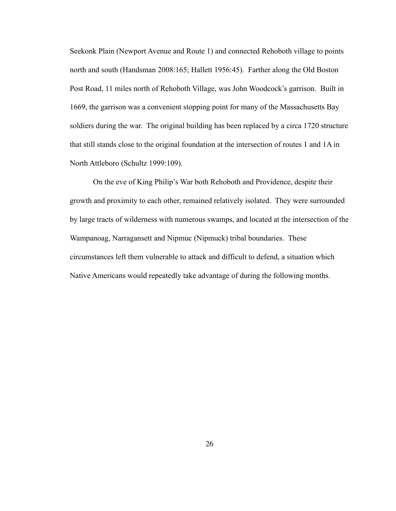Seekonk Plain (Newport Avenue and Route 1) and connected Rehoboth village to points north and south (Handsman 2008:165; Hallett 1956:45). Farther along the Old Boston Post Road, 11 miles north of Rehoboth Village, was John Woodcock's garrison. Built in 1669, the garrison was a convenient stopping point for many of the Massachusetts Bay soldiers during the war. The original building has been replaced by a circa 1720 structure that still stands close to the original foundation at the intersection of routes 1 and 1A in North Attleboro (Schultz 1999:109).

On the eve of King Philip's War both Rehoboth and Providence, despite their growth and proximity to each other, remained relatively isolated. They were surrounded by large tracts of wilderness with numerous swamps, and located at the intersection of the Wampanoag, Narragansett and Nipmuc (Nipmuck) tribal boundaries. These circumstances left them vulnerable to attack and difficult to defend, a situation which Native Americans would repeatedly take advantage of during the following months.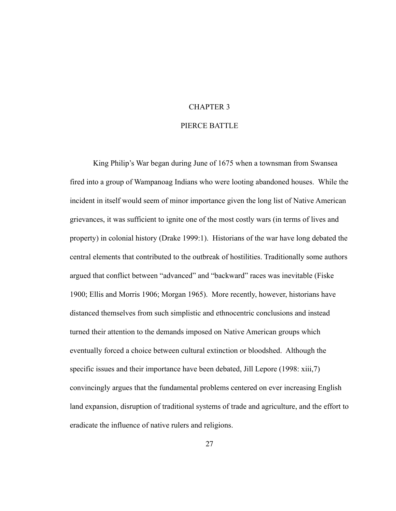#### CHAPTER 3

#### PIERCE BATTLE

 King Philip's War began during June of 1675 when a townsman from Swansea fired into a group of Wampanoag Indians who were looting abandoned houses. While the incident in itself would seem of minor importance given the long list of Native American grievances, it was sufficient to ignite one of the most costly wars (in terms of lives and property) in colonial history (Drake 1999:1). Historians of the war have long debated the central elements that contributed to the outbreak of hostilities. Traditionally some authors argued that conflict between "advanced" and "backward" races was inevitable (Fiske 1900; Ellis and Morris 1906; Morgan 1965). More recently, however, historians have distanced themselves from such simplistic and ethnocentric conclusions and instead turned their attention to the demands imposed on Native American groups which eventually forced a choice between cultural extinction or bloodshed. Although the specific issues and their importance have been debated, Jill Lepore (1998: xiii,7) convincingly argues that the fundamental problems centered on ever increasing English land expansion, disruption of traditional systems of trade and agriculture, and the effort to eradicate the influence of native rulers and religions.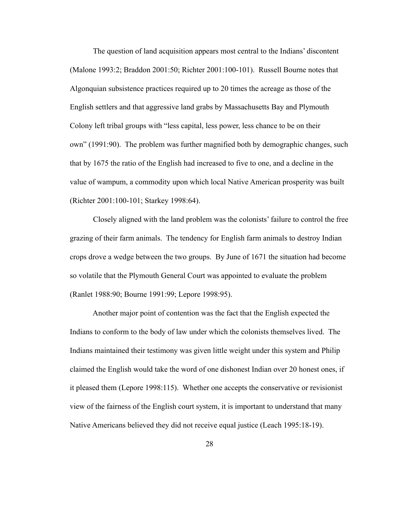The question of land acquisition appears most central to the Indians' discontent (Malone 1993:2; Braddon 2001:50; Richter 2001:100-101). Russell Bourne notes that Algonquian subsistence practices required up to 20 times the acreage as those of the English settlers and that aggressive land grabs by Massachusetts Bay and Plymouth Colony left tribal groups with "less capital, less power, less chance to be on their own" (1991:90). The problem was further magnified both by demographic changes, such that by 1675 the ratio of the English had increased to five to one, and a decline in the value of wampum, a commodity upon which local Native American prosperity was built (Richter 2001:100-101; Starkey 1998:64).

 Closely aligned with the land problem was the colonists' failure to control the free grazing of their farm animals. The tendency for English farm animals to destroy Indian crops drove a wedge between the two groups. By June of 1671 the situation had become so volatile that the Plymouth General Court was appointed to evaluate the problem (Ranlet 1988:90; Bourne 1991:99; Lepore 1998:95).

 Another major point of contention was the fact that the English expected the Indians to conform to the body of law under which the colonists themselves lived. The Indians maintained their testimony was given little weight under this system and Philip claimed the English would take the word of one dishonest Indian over 20 honest ones, if it pleased them (Lepore 1998:115). Whether one accepts the conservative or revisionist view of the fairness of the English court system, it is important to understand that many Native Americans believed they did not receive equal justice (Leach 1995:18-19).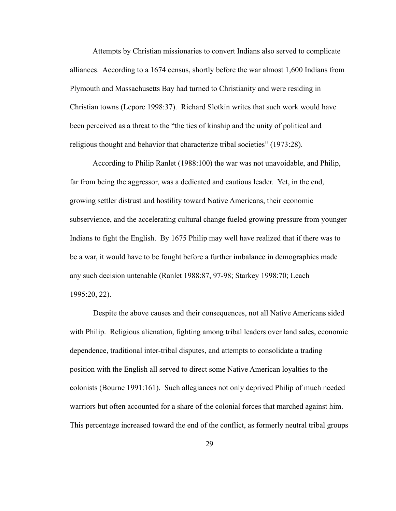Attempts by Christian missionaries to convert Indians also served to complicate alliances. According to a 1674 census, shortly before the war almost 1,600 Indians from Plymouth and Massachusetts Bay had turned to Christianity and were residing in Christian towns (Lepore 1998:37). Richard Slotkin writes that such work would have been perceived as a threat to the "the ties of kinship and the unity of political and religious thought and behavior that characterize tribal societies" (1973:28).

 According to Philip Ranlet (1988:100) the war was not unavoidable, and Philip, far from being the aggressor, was a dedicated and cautious leader. Yet, in the end, growing settler distrust and hostility toward Native Americans, their economic subservience, and the accelerating cultural change fueled growing pressure from younger Indians to fight the English. By 1675 Philip may well have realized that if there was to be a war, it would have to be fought before a further imbalance in demographics made any such decision untenable (Ranlet 1988:87, 97-98; Starkey 1998:70; Leach 1995:20, 22).

 Despite the above causes and their consequences, not all Native Americans sided with Philip. Religious alienation, fighting among tribal leaders over land sales, economic dependence, traditional inter-tribal disputes, and attempts to consolidate a trading position with the English all served to direct some Native American loyalties to the colonists (Bourne 1991:161). Such allegiances not only deprived Philip of much needed warriors but often accounted for a share of the colonial forces that marched against him. This percentage increased toward the end of the conflict, as formerly neutral tribal groups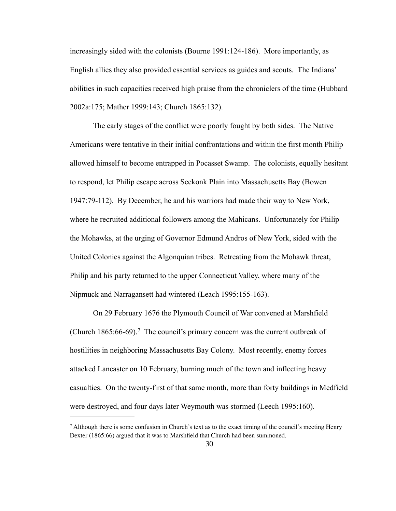increasingly sided with the colonists (Bourne 1991:124-186). More importantly, as English allies they also provided essential services as guides and scouts. The Indians' abilities in such capacities received high praise from the chroniclers of the time (Hubbard 2002a:175; Mather 1999:143; Church 1865:132).

 The early stages of the conflict were poorly fought by both sides. The Native Americans were tentative in their initial confrontations and within the first month Philip allowed himself to become entrapped in Pocasset Swamp. The colonists, equally hesitant to respond, let Philip escape across Seekonk Plain into Massachusetts Bay (Bowen 1947:79-112). By December, he and his warriors had made their way to New York, where he recruited additional followers among the Mahicans. Unfortunately for Philip the Mohawks, at the urging of Governor Edmund Andros of New York, sided with the United Colonies against the Algonquian tribes. Retreating from the Mohawk threat, Philip and his party returned to the upper Connecticut Valley, where many of the Nipmuck and Narragansett had wintered (Leach 1995:155-163).

 On 29 February 1676 the Plymouth Council of War convened at Marshfield (Church 1865:66-69).[7](#page-37-0) The council's primary concern was the current outbreak of hostilities in neighboring Massachusetts Bay Colony. Most recently, enemy forces attacked Lancaster on 10 February, burning much of the town and inflecting heavy casualties. On the twenty-first of that same month, more than forty buildings in Medfield were destroyed, and four days later Weymouth was stormed (Leech 1995:160).

<span id="page-37-0"></span><sup>7</sup> Although there is some confusion in Church's text as to the exact timing of the council's meeting Henry Dexter (1865:66) argued that it was to Marshfield that Church had been summoned.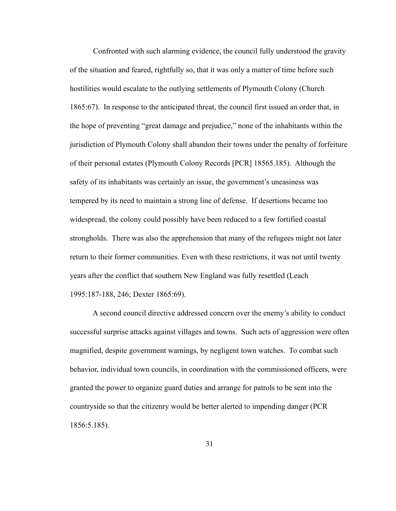Confronted with such alarming evidence, the council fully understood the gravity of the situation and feared, rightfully so, that it was only a matter of time before such hostilities would escalate to the outlying settlements of Plymouth Colony (Church 1865:67). In response to the anticipated threat, the council first issued an order that, in the hope of preventing "great damage and prejudice," none of the inhabitants within the jurisdiction of Plymouth Colony shall abandon their towns under the penalty of forfeiture of their personal estates (Plymouth Colony Records [PCR] 18565.185). Although the safety of its inhabitants was certainly an issue, the government's uneasiness was tempered by its need to maintain a strong line of defense. If desertions became too widespread, the colony could possibly have been reduced to a few fortified coastal strongholds. There was also the apprehension that many of the refugees might not later return to their former communities. Even with these restrictions, it was not until twenty years after the conflict that southern New England was fully resettled (Leach 1995:187-188, 246; Dexter 1865:69).

 A second council directive addressed concern over the enemy's ability to conduct successful surprise attacks against villages and towns. Such acts of aggression were often magnified, despite government warnings, by negligent town watches. To combat such behavior, individual town councils, in coordination with the commissioned officers, were granted the power to organize guard duties and arrange for patrols to be sent into the countryside so that the citizenry would be better alerted to impending danger (PCR 1856:5.185).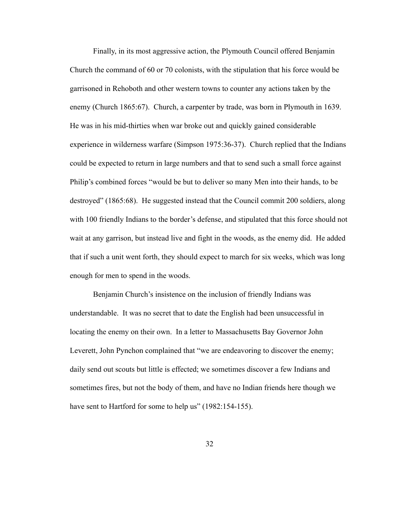Finally, in its most aggressive action, the Plymouth Council offered Benjamin Church the command of 60 or 70 colonists, with the stipulation that his force would be garrisoned in Rehoboth and other western towns to counter any actions taken by the enemy (Church 1865:67). Church, a carpenter by trade, was born in Plymouth in 1639. He was in his mid-thirties when war broke out and quickly gained considerable experience in wilderness warfare (Simpson 1975:36-37). Church replied that the Indians could be expected to return in large numbers and that to send such a small force against Philip's combined forces "would be but to deliver so many Men into their hands, to be destroyed" (1865:68). He suggested instead that the Council commit 200 soldiers, along with 100 friendly Indians to the border's defense, and stipulated that this force should not wait at any garrison, but instead live and fight in the woods, as the enemy did. He added that if such a unit went forth, they should expect to march for six weeks, which was long enough for men to spend in the woods.

 Benjamin Church's insistence on the inclusion of friendly Indians was understandable. It was no secret that to date the English had been unsuccessful in locating the enemy on their own. In a letter to Massachusetts Bay Governor John Leverett, John Pynchon complained that "we are endeavoring to discover the enemy; daily send out scouts but little is effected; we sometimes discover a few Indians and sometimes fires, but not the body of them, and have no Indian friends here though we have sent to Hartford for some to help us" (1982:154-155).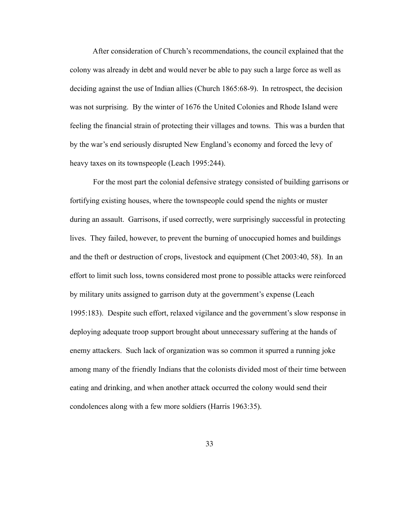After consideration of Church's recommendations, the council explained that the colony was already in debt and would never be able to pay such a large force as well as deciding against the use of Indian allies (Church 1865:68-9). In retrospect, the decision was not surprising. By the winter of 1676 the United Colonies and Rhode Island were feeling the financial strain of protecting their villages and towns. This was a burden that by the war's end seriously disrupted New England's economy and forced the levy of heavy taxes on its townspeople (Leach 1995:244).

 For the most part the colonial defensive strategy consisted of building garrisons or fortifying existing houses, where the townspeople could spend the nights or muster during an assault. Garrisons, if used correctly, were surprisingly successful in protecting lives. They failed, however, to prevent the burning of unoccupied homes and buildings and the theft or destruction of crops, livestock and equipment (Chet 2003:40, 58). In an effort to limit such loss, towns considered most prone to possible attacks were reinforced by military units assigned to garrison duty at the government's expense (Leach 1995:183). Despite such effort, relaxed vigilance and the government's slow response in deploying adequate troop support brought about unnecessary suffering at the hands of enemy attackers. Such lack of organization was so common it spurred a running joke among many of the friendly Indians that the colonists divided most of their time between eating and drinking, and when another attack occurred the colony would send their condolences along with a few more soldiers (Harris 1963:35).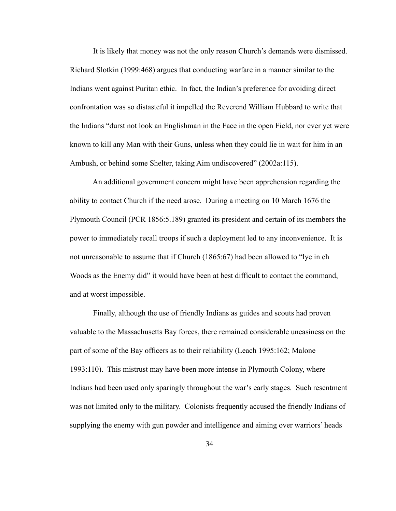It is likely that money was not the only reason Church's demands were dismissed. Richard Slotkin (1999:468) argues that conducting warfare in a manner similar to the Indians went against Puritan ethic. In fact, the Indian's preference for avoiding direct confrontation was so distasteful it impelled the Reverend William Hubbard to write that the Indians "durst not look an Englishman in the Face in the open Field, nor ever yet were known to kill any Man with their Guns, unless when they could lie in wait for him in an Ambush, or behind some Shelter, taking Aim undiscovered" (2002a:115).

 An additional government concern might have been apprehension regarding the ability to contact Church if the need arose. During a meeting on 10 March 1676 the Plymouth Council (PCR 1856:5.189) granted its president and certain of its members the power to immediately recall troops if such a deployment led to any inconvenience. It is not unreasonable to assume that if Church (1865:67) had been allowed to "lye in eh Woods as the Enemy did" it would have been at best difficult to contact the command, and at worst impossible.

 Finally, although the use of friendly Indians as guides and scouts had proven valuable to the Massachusetts Bay forces, there remained considerable uneasiness on the part of some of the Bay officers as to their reliability (Leach 1995:162; Malone 1993:110). This mistrust may have been more intense in Plymouth Colony, where Indians had been used only sparingly throughout the war's early stages. Such resentment was not limited only to the military. Colonists frequently accused the friendly Indians of supplying the enemy with gun powder and intelligence and aiming over warriors' heads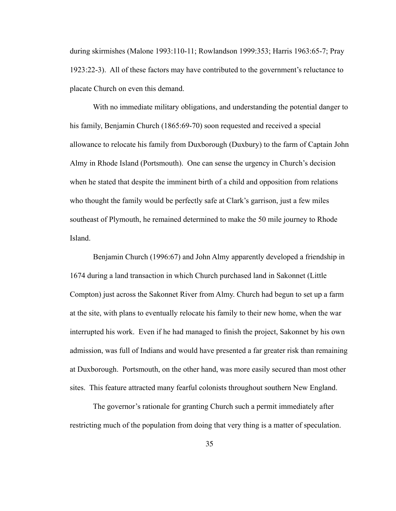during skirmishes (Malone 1993:110-11; Rowlandson 1999:353; Harris 1963:65-7; Pray 1923:22-3). All of these factors may have contributed to the government's reluctance to placate Church on even this demand.

 With no immediate military obligations, and understanding the potential danger to his family, Benjamin Church (1865:69-70) soon requested and received a special allowance to relocate his family from Duxborough (Duxbury) to the farm of Captain John Almy in Rhode Island (Portsmouth). One can sense the urgency in Church's decision when he stated that despite the imminent birth of a child and opposition from relations who thought the family would be perfectly safe at Clark's garrison, just a few miles southeast of Plymouth, he remained determined to make the 50 mile journey to Rhode Island.

 Benjamin Church (1996:67) and John Almy apparently developed a friendship in 1674 during a land transaction in which Church purchased land in Sakonnet (Little Compton) just across the Sakonnet River from Almy. Church had begun to set up a farm at the site, with plans to eventually relocate his family to their new home, when the war interrupted his work. Even if he had managed to finish the project, Sakonnet by his own admission, was full of Indians and would have presented a far greater risk than remaining at Duxborough. Portsmouth, on the other hand, was more easily secured than most other sites. This feature attracted many fearful colonists throughout southern New England.

 The governor's rationale for granting Church such a permit immediately after restricting much of the population from doing that very thing is a matter of speculation.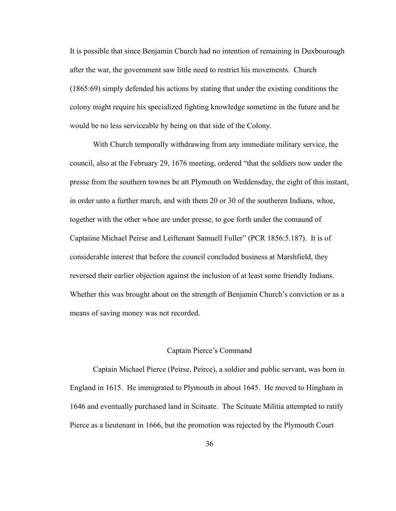It is possible that since Benjamin Church had no intention of remaining in Duxbourough after the war, the government saw little need to restrict his movements. Church (1865:69) simply defended his actions by stating that under the existing conditions the colony might require his specialized fighting knowledge sometime in the future and he would be no less serviceable by being on that side of the Colony.

 With Church temporally withdrawing from any immediate military service, the council, also at the February 29, 1676 meeting, ordered "that the soldiers now under the presse from the southern townes be att Plymouth on Weddensday, the eight of this instant, in order unto a further march, and with them 20 or 30 of the southeren Indians, whoe, together with the other whoe are under presse, to goe forth under the comaund of Captaiine Michael Peirse and Leiftenant Samuell Fuller" (PCR 1856:5.187). It is of considerable interest that before the council concluded business at Marshfield, they reversed their earlier objection against the inclusion of at least some friendly Indians. Whether this was brought about on the strength of Benjamin Church's conviction or as a means of saving money was not recorded.

## Captain Pierce's Command

 Captain Michael Pierce (Peirse, Peirce), a soldier and public servant, was born in England in 1615. He immigrated to Plymouth in about 1645. He moved to Hingham in 1646 and eventually purchased land in Scituate. The Scituate Militia attempted to ratify Pierce as a lieutenant in 1666, but the promotion was rejected by the Plymouth Court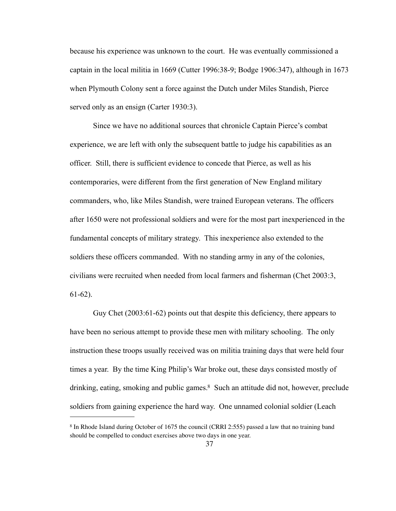because his experience was unknown to the court. He was eventually commissioned a captain in the local militia in 1669 (Cutter 1996:38-9; Bodge 1906:347), although in 1673 when Plymouth Colony sent a force against the Dutch under Miles Standish, Pierce served only as an ensign (Carter 1930:3).

 Since we have no additional sources that chronicle Captain Pierce's combat experience, we are left with only the subsequent battle to judge his capabilities as an officer. Still, there is sufficient evidence to concede that Pierce, as well as his contemporaries, were different from the first generation of New England military commanders, who, like Miles Standish, were trained European veterans. The officers after 1650 were not professional soldiers and were for the most part inexperienced in the fundamental concepts of military strategy. This inexperience also extended to the soldiers these officers commanded. With no standing army in any of the colonies, civilians were recruited when needed from local farmers and fisherman (Chet 2003:3, 61-62).

 Guy Chet (2003:61-62) points out that despite this deficiency, there appears to have been no serious attempt to provide these men with military schooling. The only instruction these troops usually received was on militia training days that were held four times a year. By the time King Philip's War broke out, these days consisted mostly of drinking, eating, smoking and public games. $8$  Such an attitude did not, however, preclude soldiers from gaining experience the hard way. One unnamed colonial soldier (Leach

<span id="page-44-0"></span><sup>8</sup> In Rhode Island during October of 1675 the council (CRRI 2:555) passed a law that no training band should be compelled to conduct exercises above two days in one year.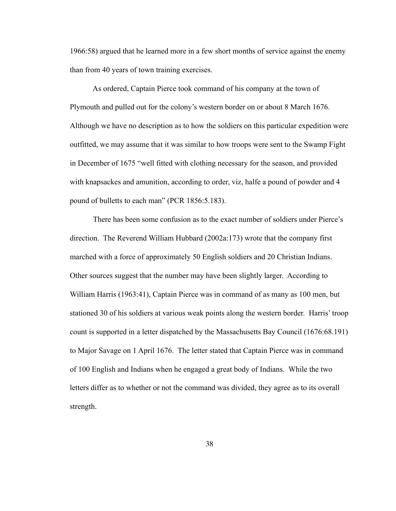1966:58) argued that he learned more in a few short months of service against the enemy than from 40 years of town training exercises.

 As ordered, Captain Pierce took command of his company at the town of Plymouth and pulled out for the colony's western border on or about 8 March 1676. Although we have no description as to how the soldiers on this particular expedition were outfitted, we may assume that it was similar to how troops were sent to the Swamp Fight in December of 1675 "well fitted with clothing necessary for the season, and provided with knapsackes and amunition, according to order, viz, halfe a pound of powder and 4 pound of bulletts to each man" (PCR 1856:5.183).

 There has been some confusion as to the exact number of soldiers under Pierce's direction. The Reverend William Hubbard (2002a:173) wrote that the company first marched with a force of approximately 50 English soldiers and 20 Christian Indians. Other sources suggest that the number may have been slightly larger. According to William Harris (1963:41), Captain Pierce was in command of as many as 100 men, but stationed 30 of his soldiers at various weak points along the western border. Harris' troop count is supported in a letter dispatched by the Massachusetts Bay Council (1676:68.191) to Major Savage on 1 April 1676. The letter stated that Captain Pierce was in command of 100 English and Indians when he engaged a great body of Indians. While the two letters differ as to whether or not the command was divided, they agree as to its overall strength.

38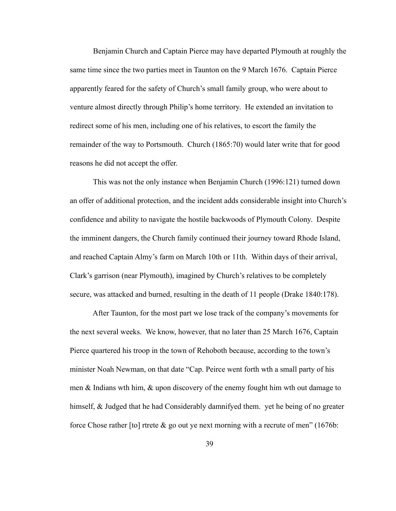Benjamin Church and Captain Pierce may have departed Plymouth at roughly the same time since the two parties meet in Taunton on the 9 March 1676. Captain Pierce apparently feared for the safety of Church's small family group, who were about to venture almost directly through Philip's home territory. He extended an invitation to redirect some of his men, including one of his relatives, to escort the family the remainder of the way to Portsmouth. Church (1865:70) would later write that for good reasons he did not accept the offer.

 This was not the only instance when Benjamin Church (1996:121) turned down an offer of additional protection, and the incident adds considerable insight into Church's confidence and ability to navigate the hostile backwoods of Plymouth Colony. Despite the imminent dangers, the Church family continued their journey toward Rhode Island, and reached Captain Almy's farm on March 10th or 11th. Within days of their arrival, Clark's garrison (near Plymouth), imagined by Church's relatives to be completely secure, was attacked and burned, resulting in the death of 11 people (Drake 1840:178).

 After Taunton, for the most part we lose track of the company's movements for the next several weeks. We know, however, that no later than 25 March 1676, Captain Pierce quartered his troop in the town of Rehoboth because, according to the town's minister Noah Newman, on that date "Cap. Peirce went forth wth a small party of his men  $\&$  Indians wth him,  $\&$  upon discovery of the enemy fought him wth out damage to himself, & Judged that he had Considerably damnifyed them. yet he being of no greater force Chose rather [to] rtrete  $\&$  go out ye next morning with a recrute of men" (1676b: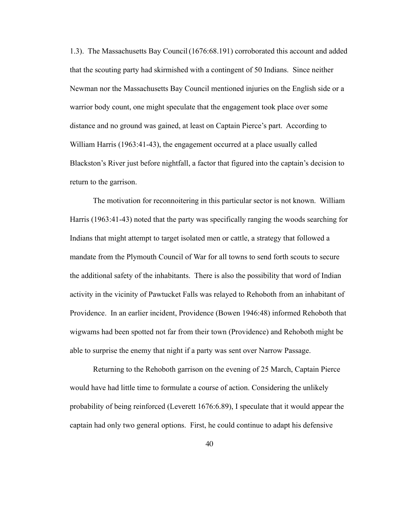1.3). The Massachusetts Bay Council(1676:68.191) corroborated this account and added that the scouting party had skirmished with a contingent of 50 Indians. Since neither Newman nor the Massachusetts Bay Council mentioned injuries on the English side or a warrior body count, one might speculate that the engagement took place over some distance and no ground was gained, at least on Captain Pierce's part. According to William Harris (1963:41-43), the engagement occurred at a place usually called Blackston's River just before nightfall, a factor that figured into the captain's decision to return to the garrison.

 The motivation for reconnoitering in this particular sector is not known. William Harris (1963:41-43) noted that the party was specifically ranging the woods searching for Indians that might attempt to target isolated men or cattle, a strategy that followed a mandate from the Plymouth Council of War for all towns to send forth scouts to secure the additional safety of the inhabitants. There is also the possibility that word of Indian activity in the vicinity of Pawtucket Falls was relayed to Rehoboth from an inhabitant of Providence. In an earlier incident, Providence (Bowen 1946:48) informed Rehoboth that wigwams had been spotted not far from their town (Providence) and Rehoboth might be able to surprise the enemy that night if a party was sent over Narrow Passage.

 Returning to the Rehoboth garrison on the evening of 25 March, Captain Pierce would have had little time to formulate a course of action. Considering the unlikely probability of being reinforced (Leverett 1676:6.89), I speculate that it would appear the captain had only two general options. First, he could continue to adapt his defensive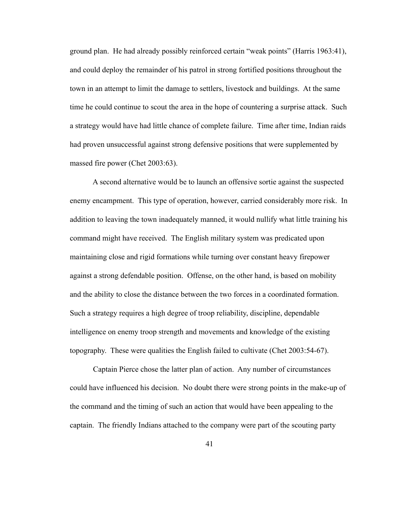ground plan. He had already possibly reinforced certain "weak points" (Harris 1963:41), and could deploy the remainder of his patrol in strong fortified positions throughout the town in an attempt to limit the damage to settlers, livestock and buildings. At the same time he could continue to scout the area in the hope of countering a surprise attack. Such a strategy would have had little chance of complete failure. Time after time, Indian raids had proven unsuccessful against strong defensive positions that were supplemented by massed fire power (Chet 2003:63).

 A second alternative would be to launch an offensive sortie against the suspected enemy encampment. This type of operation, however, carried considerably more risk. In addition to leaving the town inadequately manned, it would nullify what little training his command might have received. The English military system was predicated upon maintaining close and rigid formations while turning over constant heavy firepower against a strong defendable position. Offense, on the other hand, is based on mobility and the ability to close the distance between the two forces in a coordinated formation. Such a strategy requires a high degree of troop reliability, discipline, dependable intelligence on enemy troop strength and movements and knowledge of the existing topography. These were qualities the English failed to cultivate (Chet 2003:54-67).

 Captain Pierce chose the latter plan of action. Any number of circumstances could have influenced his decision. No doubt there were strong points in the make-up of the command and the timing of such an action that would have been appealing to the captain. The friendly Indians attached to the company were part of the scouting party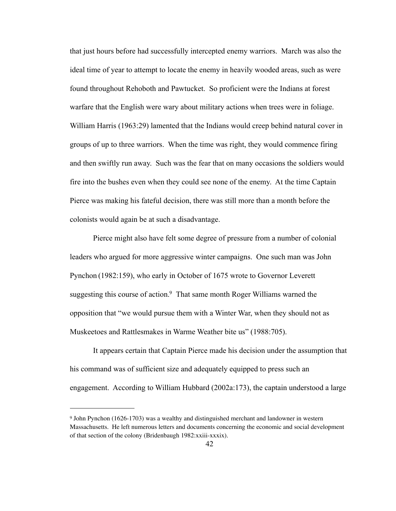that just hours before had successfully intercepted enemy warriors. March was also the ideal time of year to attempt to locate the enemy in heavily wooded areas, such as were found throughout Rehoboth and Pawtucket. So proficient were the Indians at forest warfare that the English were wary about military actions when trees were in foliage. William Harris (1963:29) lamented that the Indians would creep behind natural cover in groups of up to three warriors. When the time was right, they would commence firing and then swiftly run away. Such was the fear that on many occasions the soldiers would fire into the bushes even when they could see none of the enemy. At the time Captain Pierce was making his fateful decision, there was still more than a month before the colonists would again be at such a disadvantage.

 Pierce might also have felt some degree of pressure from a number of colonial leaders who argued for more aggressive winter campaigns. One such man was John Pynchon (1982:159), who early in October of 1675 wrote to Governor Leverett suggesting this course of action.<sup>9</sup> That same month Roger Williams warned the opposition that "we would pursue them with a Winter War, when they should not as Muskeetoes and Rattlesmakes in Warme Weather bite us" (1988:705).

 It appears certain that Captain Pierce made his decision under the assumption that his command was of sufficient size and adequately equipped to press such an engagement. According to William Hubbard (2002a:173), the captain understood a large

<span id="page-49-0"></span><sup>9</sup> John Pynchon (1626-1703) was a wealthy and distinguished merchant and landowner in western Massachusetts. He left numerous letters and documents concerning the economic and social development of that section of the colony (Bridenbaugh 1982:xxiii-xxxix).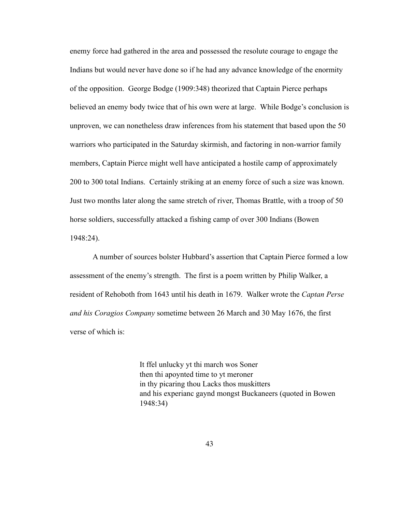enemy force had gathered in the area and possessed the resolute courage to engage the Indians but would never have done so if he had any advance knowledge of the enormity of the opposition. George Bodge (1909:348) theorized that Captain Pierce perhaps believed an enemy body twice that of his own were at large. While Bodge's conclusion is unproven, we can nonetheless draw inferences from his statement that based upon the 50 warriors who participated in the Saturday skirmish, and factoring in non-warrior family members, Captain Pierce might well have anticipated a hostile camp of approximately 200 to 300 total Indians. Certainly striking at an enemy force of such a size was known. Just two months later along the same stretch of river, Thomas Brattle, with a troop of 50 horse soldiers, successfully attacked a fishing camp of over 300 Indians (Bowen 1948:24).

 A number of sources bolster Hubbard's assertion that Captain Pierce formed a low assessment of the enemy's strength. The first is a poem written by Philip Walker, a resident of Rehoboth from 1643 until his death in 1679. Walker wrote the *Captan Perse and his Coragios Company* sometime between 26 March and 30 May 1676, the first verse of which is:

> It ffel unlucky yt thi march wos Soner then thi apoynted time to yt meroner in thy picaring thou Lacks thos muskitters and his experianc gaynd mongst Buckaneers (quoted in Bowen 1948:34)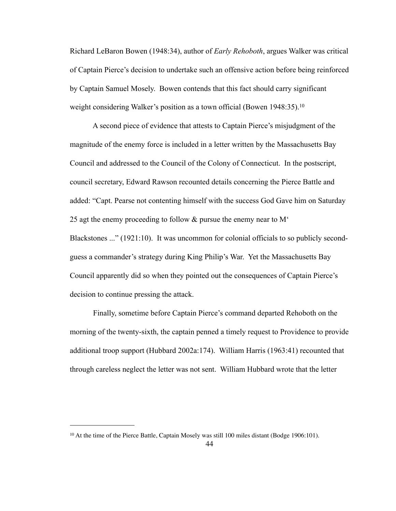Richard LeBaron Bowen (1948:34), author of *Early Rehoboth*, argues Walker was critical of Captain Pierce's decision to undertake such an offensive action before being reinforced by Captain Samuel Mosely. Bowen contends that this fact should carry significant weight considering Walker's position as a town official (Bowen 1948:35).<sup>10</sup>

 A second piece of evidence that attests to Captain Pierce's misjudgment of the magnitude of the enemy force is included in a letter written by the Massachusetts Bay Council and addressed to the Council of the Colony of Connecticut. In the postscript, council secretary, Edward Rawson recounted details concerning the Pierce Battle and added: "Capt. Pearse not contenting himself with the success God Gave him on Saturday 25 agt the enemy proceeding to follow & pursue the enemy near to M' Blackstones ..." (1921:10). It was uncommon for colonial officials to so publicly secondguess a commander's strategy during King Philip's War. Yet the Massachusetts Bay Council apparently did so when they pointed out the consequences of Captain Pierce's decision to continue pressing the attack.

 Finally, sometime before Captain Pierce's command departed Rehoboth on the morning of the twenty-sixth, the captain penned a timely request to Providence to provide additional troop support (Hubbard 2002a:174). William Harris (1963:41) recounted that through careless neglect the letter was not sent. William Hubbard wrote that the letter

<span id="page-51-0"></span><sup>10</sup> At the time of the Pierce Battle, Captain Mosely was still 100 miles distant (Bodge 1906:101).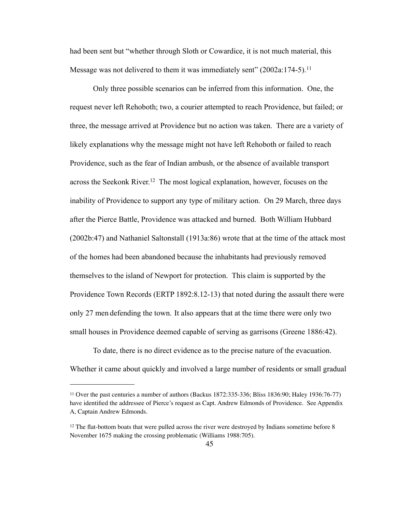had been sent but "whether through Sloth or Cowardice, it is not much material, this Message was not delivered to them it was immediately sent" (2002a:174-5).<sup>11</sup>

 Only three possible scenarios can be inferred from this information. One, the request never left Rehoboth; two, a courier attempted to reach Providence, but failed; or three, the message arrived at Providence but no action was taken. There are a variety of likely explanations why the message might not have left Rehoboth or failed to reach Providence, such as the fear of Indian ambush, or the absence of available transport across the Seekonk River.[12](#page-52-1) The most logical explanation, however, focuses on the inability of Providence to support any type of military action. On 29 March, three days after the Pierce Battle, Providence was attacked and burned. Both William Hubbard (2002b:47) and Nathaniel Saltonstall (1913a:86) wrote that at the time of the attack most of the homes had been abandoned because the inhabitants had previously removed themselves to the island of Newport for protection. This claim is supported by the Providence Town Records (ERTP 1892:8.12-13) that noted during the assault there were only 27 men defending the town. It also appears that at the time there were only two small houses in Providence deemed capable of serving as garrisons (Greene 1886:42).

 To date, there is no direct evidence as to the precise nature of the evacuation. Whether it came about quickly and involved a large number of residents or small gradual

<span id="page-52-0"></span><sup>11</sup> Over the past centuries a number of authors (Backus 1872:335-336; Bliss 1836:90; Haley 1936:76-77) have identified the addressee of Pierce's request as Capt. Andrew Edmonds of Providence. See Appendix A, Captain Andrew Edmonds.

<span id="page-52-1"></span><sup>&</sup>lt;sup>12</sup> The flat-bottom boats that were pulled across the river were destroyed by Indians sometime before 8 November 1675 making the crossing problematic (Williams 1988:705).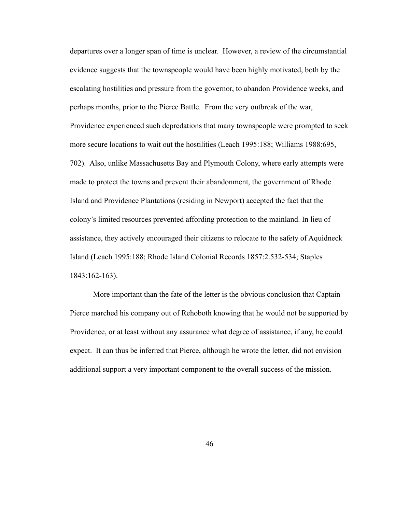departures over a longer span of time is unclear. However, a review of the circumstantial evidence suggests that the townspeople would have been highly motivated, both by the escalating hostilities and pressure from the governor, to abandon Providence weeks, and perhaps months, prior to the Pierce Battle. From the very outbreak of the war, Providence experienced such depredations that many townspeople were prompted to seek more secure locations to wait out the hostilities (Leach 1995:188; Williams 1988:695, 702). Also, unlike Massachusetts Bay and Plymouth Colony, where early attempts were made to protect the towns and prevent their abandonment, the government of Rhode Island and Providence Plantations (residing in Newport) accepted the fact that the colony's limited resources prevented affording protection to the mainland. In lieu of assistance, they actively encouraged their citizens to relocate to the safety of Aquidneck Island (Leach 1995:188; Rhode Island Colonial Records 1857:2.532-534; Staples 1843:162-163).

 More important than the fate of the letter is the obvious conclusion that Captain Pierce marched his company out of Rehoboth knowing that he would not be supported by Providence, or at least without any assurance what degree of assistance, if any, he could expect. It can thus be inferred that Pierce, although he wrote the letter, did not envision additional support a very important component to the overall success of the mission.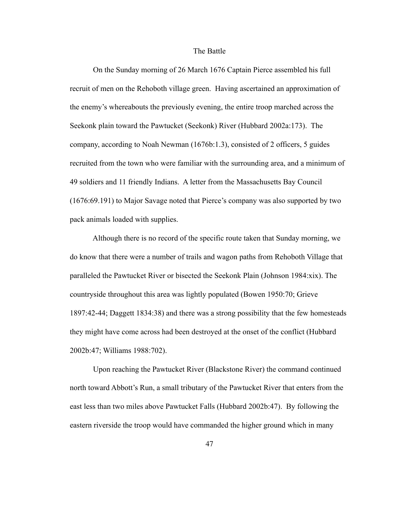## The Battle

 On the Sunday morning of 26 March 1676 Captain Pierce assembled his full recruit of men on the Rehoboth village green. Having ascertained an approximation of the enemy's whereabouts the previously evening, the entire troop marched across the Seekonk plain toward the Pawtucket (Seekonk) River (Hubbard 2002a:173). The company, according to Noah Newman (1676b:1.3), consisted of 2 officers, 5 guides recruited from the town who were familiar with the surrounding area, and a minimum of 49 soldiers and 11 friendly Indians. A letter from the Massachusetts Bay Council (1676:69.191) to Major Savage noted that Pierce's company was also supported by two pack animals loaded with supplies.

 Although there is no record of the specific route taken that Sunday morning, we do know that there were a number of trails and wagon paths from Rehoboth Village that paralleled the Pawtucket River or bisected the Seekonk Plain (Johnson 1984:xix). The countryside throughout this area was lightly populated (Bowen 1950:70; Grieve 1897:42-44; Daggett 1834:38) and there was a strong possibility that the few homesteads they might have come across had been destroyed at the onset of the conflict (Hubbard 2002b:47; Williams 1988:702).

 Upon reaching the Pawtucket River (Blackstone River) the command continued north toward Abbott's Run, a small tributary of the Pawtucket River that enters from the east less than two miles above Pawtucket Falls (Hubbard 2002b:47). By following the eastern riverside the troop would have commanded the higher ground which in many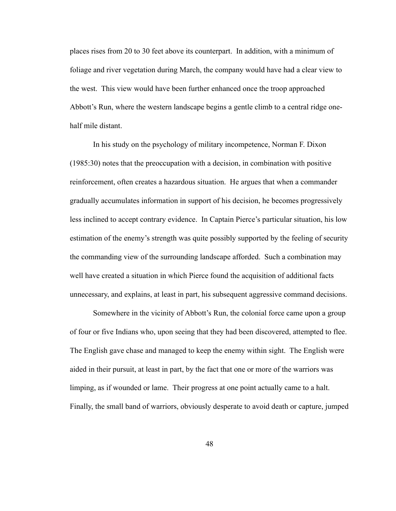places rises from 20 to 30 feet above its counterpart. In addition, with a minimum of foliage and river vegetation during March, the company would have had a clear view to the west. This view would have been further enhanced once the troop approached Abbott's Run, where the western landscape begins a gentle climb to a central ridge onehalf mile distant.

 In his study on the psychology of military incompetence, Norman F. Dixon (1985:30) notes that the preoccupation with a decision, in combination with positive reinforcement, often creates a hazardous situation. He argues that when a commander gradually accumulates information in support of his decision, he becomes progressively less inclined to accept contrary evidence. In Captain Pierce's particular situation, his low estimation of the enemy's strength was quite possibly supported by the feeling of security the commanding view of the surrounding landscape afforded. Such a combination may well have created a situation in which Pierce found the acquisition of additional facts unnecessary, and explains, at least in part, his subsequent aggressive command decisions.

 Somewhere in the vicinity of Abbott's Run, the colonial force came upon a group of four or five Indians who, upon seeing that they had been discovered, attempted to flee. The English gave chase and managed to keep the enemy within sight. The English were aided in their pursuit, at least in part, by the fact that one or more of the warriors was limping, as if wounded or lame. Their progress at one point actually came to a halt. Finally, the small band of warriors, obviously desperate to avoid death or capture, jumped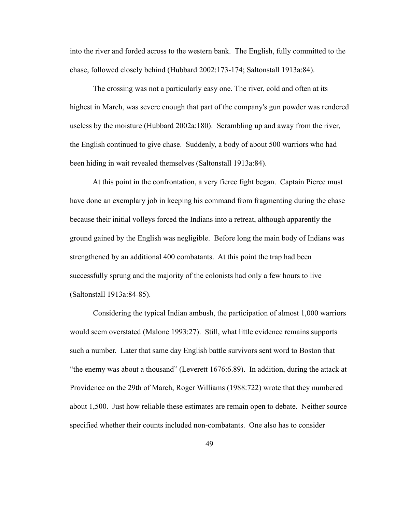into the river and forded across to the western bank. The English, fully committed to the chase, followed closely behind (Hubbard 2002:173-174; Saltonstall 1913a:84).

 The crossing was not a particularly easy one. The river, cold and often at its highest in March, was severe enough that part of the company's gun powder was rendered useless by the moisture (Hubbard 2002a:180). Scrambling up and away from the river, the English continued to give chase. Suddenly, a body of about 500 warriors who had been hiding in wait revealed themselves (Saltonstall 1913a:84).

 At this point in the confrontation, a very fierce fight began. Captain Pierce must have done an exemplary job in keeping his command from fragmenting during the chase because their initial volleys forced the Indians into a retreat, although apparently the ground gained by the English was negligible. Before long the main body of Indians was strengthened by an additional 400 combatants. At this point the trap had been successfully sprung and the majority of the colonists had only a few hours to live (Saltonstall 1913a:84-85).

 Considering the typical Indian ambush, the participation of almost 1,000 warriors would seem overstated (Malone 1993:27). Still, what little evidence remains supports such a number. Later that same day English battle survivors sent word to Boston that "the enemy was about a thousand" (Leverett 1676:6.89). In addition, during the attack at Providence on the 29th of March, Roger Williams (1988:722) wrote that they numbered about 1,500. Just how reliable these estimates are remain open to debate. Neither source specified whether their counts included non-combatants. One also has to consider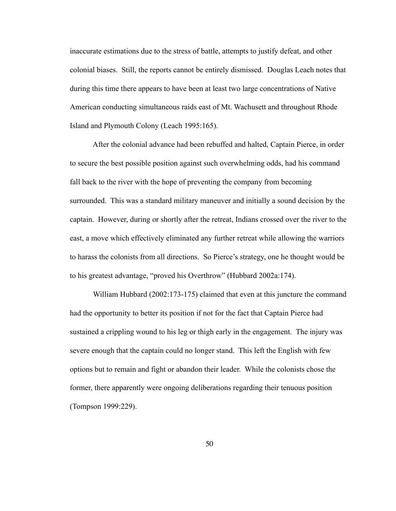inaccurate estimations due to the stress of battle, attempts to justify defeat, and other colonial biases. Still, the reports cannot be entirely dismissed. Douglas Leach notes that during this time there appears to have been at least two large concentrations of Native American conducting simultaneous raids east of Mt. Wachusett and throughout Rhode Island and Plymouth Colony (Leach 1995:165).

 After the colonial advance had been rebuffed and halted, Captain Pierce, in order to secure the best possible position against such overwhelming odds, had his command fall back to the river with the hope of preventing the company from becoming surrounded. This was a standard military maneuver and initially a sound decision by the captain. However, during or shortly after the retreat, Indians crossed over the river to the east, a move which effectively eliminated any further retreat while allowing the warriors to harass the colonists from all directions. So Pierce's strategy, one he thought would be to his greatest advantage, "proved his Overthrow" (Hubbard 2002a:174).

 William Hubbard (2002:173-175) claimed that even at this juncture the command had the opportunity to better its position if not for the fact that Captain Pierce had sustained a crippling wound to his leg or thigh early in the engagement. The injury was severe enough that the captain could no longer stand. This left the English with few options but to remain and fight or abandon their leader. While the colonists chose the former, there apparently were ongoing deliberations regarding their tenuous position (Tompson 1999:229).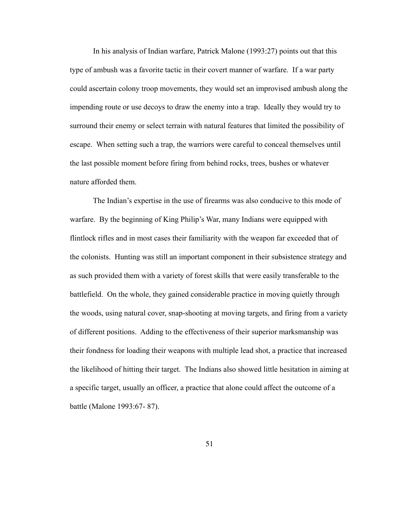In his analysis of Indian warfare, Patrick Malone (1993:27) points out that this type of ambush was a favorite tactic in their covert manner of warfare. If a war party could ascertain colony troop movements, they would set an improvised ambush along the impending route or use decoys to draw the enemy into a trap. Ideally they would try to surround their enemy or select terrain with natural features that limited the possibility of escape. When setting such a trap, the warriors were careful to conceal themselves until the last possible moment before firing from behind rocks, trees, bushes or whatever nature afforded them.

 The Indian's expertise in the use of firearms was also conducive to this mode of warfare. By the beginning of King Philip's War, many Indians were equipped with flintlock rifles and in most cases their familiarity with the weapon far exceeded that of the colonists. Hunting was still an important component in their subsistence strategy and as such provided them with a variety of forest skills that were easily transferable to the battlefield. On the whole, they gained considerable practice in moving quietly through the woods, using natural cover, snap-shooting at moving targets, and firing from a variety of different positions. Adding to the effectiveness of their superior marksmanship was their fondness for loading their weapons with multiple lead shot, a practice that increased the likelihood of hitting their target. The Indians also showed little hesitation in aiming at a specific target, usually an officer, a practice that alone could affect the outcome of a battle (Malone 1993:67- 87).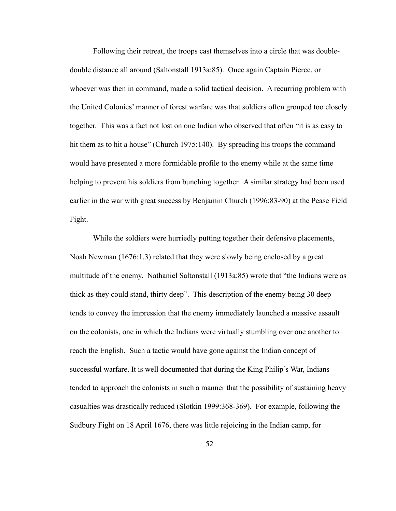Following their retreat, the troops cast themselves into a circle that was doubledouble distance all around (Saltonstall 1913a:85). Once again Captain Pierce, or whoever was then in command, made a solid tactical decision. A recurring problem with the United Colonies' manner of forest warfare was that soldiers often grouped too closely together. This was a fact not lost on one Indian who observed that often "it is as easy to hit them as to hit a house" (Church 1975:140). By spreading his troops the command would have presented a more formidable profile to the enemy while at the same time helping to prevent his soldiers from bunching together. A similar strategy had been used earlier in the war with great success by Benjamin Church (1996:83-90) at the Pease Field Fight.

 While the soldiers were hurriedly putting together their defensive placements, Noah Newman (1676:1.3) related that they were slowly being enclosed by a great multitude of the enemy. Nathaniel Saltonstall (1913a:85) wrote that "the Indians were as thick as they could stand, thirty deep". This description of the enemy being 30 deep tends to convey the impression that the enemy immediately launched a massive assault on the colonists, one in which the Indians were virtually stumbling over one another to reach the English. Such a tactic would have gone against the Indian concept of successful warfare. It is well documented that during the King Philip's War, Indians tended to approach the colonists in such a manner that the possibility of sustaining heavy casualties was drastically reduced (Slotkin 1999:368-369). For example, following the Sudbury Fight on 18 April 1676, there was little rejoicing in the Indian camp, for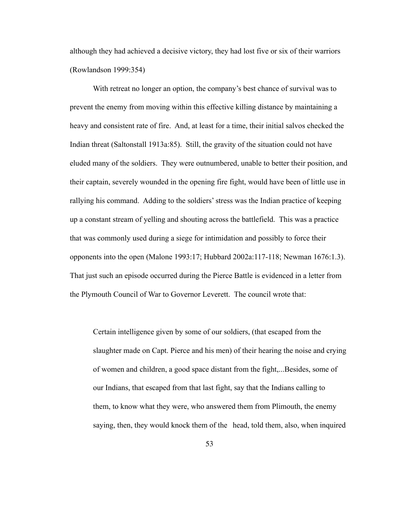although they had achieved a decisive victory, they had lost five or six of their warriors (Rowlandson 1999:354)

 With retreat no longer an option, the company's best chance of survival was to prevent the enemy from moving within this effective killing distance by maintaining a heavy and consistent rate of fire. And, at least for a time, their initial salvos checked the Indian threat (Saltonstall 1913a:85). Still, the gravity of the situation could not have eluded many of the soldiers. They were outnumbered, unable to better their position, and their captain, severely wounded in the opening fire fight, would have been of little use in rallying his command. Adding to the soldiers' stress was the Indian practice of keeping up a constant stream of yelling and shouting across the battlefield. This was a practice that was commonly used during a siege for intimidation and possibly to force their opponents into the open (Malone 1993:17; Hubbard 2002a:117-118; Newman 1676:1.3). That just such an episode occurred during the Pierce Battle is evidenced in a letter from the Plymouth Council of War to Governor Leverett. The council wrote that:

 Certain intelligence given by some of our soldiers, (that escaped from the slaughter made on Capt. Pierce and his men) of their hearing the noise and crying of women and children, a good space distant from the fight,...Besides, some of our Indians, that escaped from that last fight, say that the Indians calling to them, to know what they were, who answered them from Plimouth, the enemy saying, then, they would knock them of the head, told them, also, when inquired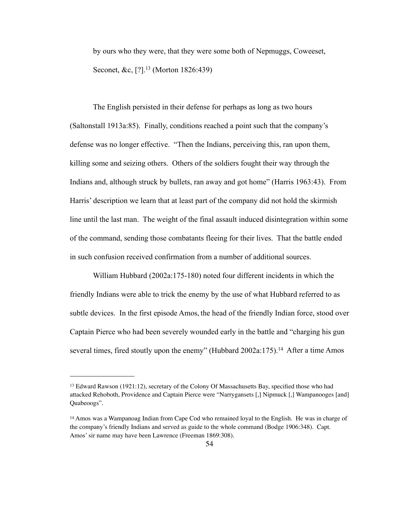by ours who they were, that they were some both of Nepmuggs, Coweeset, Seconet, &c, [?].<sup>13</sup> (Morton 1826:439)

 The English persisted in their defense for perhaps as long as two hours (Saltonstall 1913a:85). Finally, conditions reached a point such that the company's defense was no longer effective. "Then the Indians, perceiving this, ran upon them, killing some and seizing others. Others of the soldiers fought their way through the Indians and, although struck by bullets, ran away and got home" (Harris 1963:43). From Harris' description we learn that at least part of the company did not hold the skirmish line until the last man. The weight of the final assault induced disintegration within some of the command, sending those combatants fleeing for their lives. That the battle ended in such confusion received confirmation from a number of additional sources.

 William Hubbard (2002a:175-180) noted four different incidents in which the friendly Indians were able to trick the enemy by the use of what Hubbard referred to as subtle devices. In the first episode Amos, the head of the friendly Indian force, stood over Captain Pierce who had been severely wounded early in the battle and "charging his gun several times, fired stoutly upon the enemy" (Hubbard 2002a:175).<sup>14</sup> After a time Amos

<span id="page-61-0"></span><sup>13</sup> Edward Rawson (1921:12), secretary of the Colony Of Massachusetts Bay, specified those who had attacked Rehoboth, Providence and Captain Pierce were "Narrygansets [,] Nipmuck [,] Wampanooges [and] Quabeoogs".

<span id="page-61-1"></span><sup>&</sup>lt;sup>14</sup> Amos was a Wampanoag Indian from Cape Cod who remained loyal to the English. He was in charge of the company's friendly Indians and served as guide to the whole command (Bodge 1906:348). Capt. Amos' sir name may have been Lawrence (Freeman 1869:308).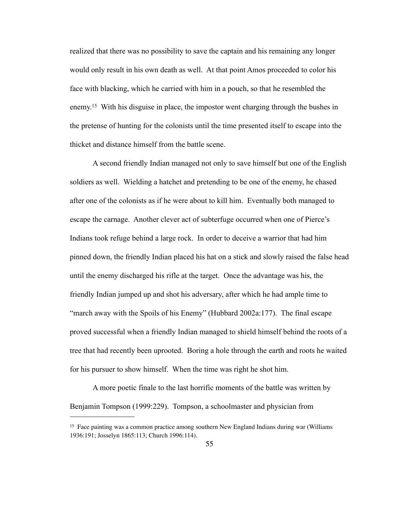realized that there was no possibility to save the captain and his remaining any longer would only result in his own death as well. At that point Amos proceeded to color his face with blacking, which he carried with him in a pouch, so that he resembled the enemy[.15](#page-62-0) With his disguise in place, the impostor went charging through the bushes in the pretense of hunting for the colonists until the time presented itself to escape into the thicket and distance himself from the battle scene.

 A second friendly Indian managed not only to save himself but one of the English soldiers as well. Wielding a hatchet and pretending to be one of the enemy, he chased after one of the colonists as if he were about to kill him. Eventually both managed to escape the carnage. Another clever act of subterfuge occurred when one of Pierce's Indians took refuge behind a large rock. In order to deceive a warrior that had him pinned down, the friendly Indian placed his hat on a stick and slowly raised the false head until the enemy discharged his rifle at the target. Once the advantage was his, the friendly Indian jumped up and shot his adversary, after which he had ample time to "march away with the Spoils of his Enemy" (Hubbard 2002a:177). The final escape proved successful when a friendly Indian managed to shield himself behind the roots of a tree that had recently been uprooted. Boring a hole through the earth and roots he waited for his pursuer to show himself. When the time was right he shot him.

 A more poetic finale to the last horrific moments of the battle was written by Benjamin Tompson (1999:229). Tompson, a schoolmaster and physician from

<span id="page-62-0"></span><sup>15</sup> Face painting was a common practice among southern New England Indians during war (Williams 1936:191; Josselyn 1865:113; Church 1996:114).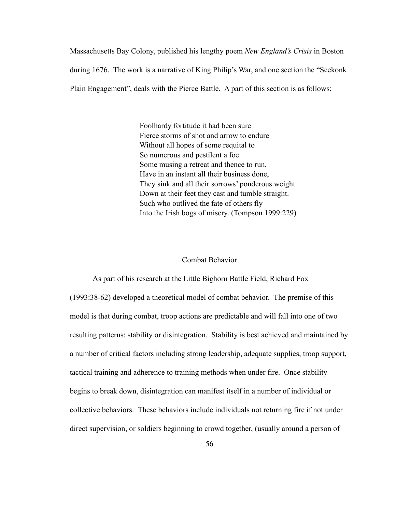Massachusetts Bay Colony, published his lengthy poem *New England's Crisis* in Boston during 1676. The work is a narrative of King Philip's War, and one section the "Seekonk Plain Engagement", deals with the Pierce Battle. A part of this section is as follows:

> Foolhardy fortitude it had been sure Fierce storms of shot and arrow to endure Without all hopes of some requital to So numerous and pestilent a foe. Some musing a retreat and thence to run, Have in an instant all their business done, They sink and all their sorrows' ponderous weight Down at their feet they cast and tumble straight. Such who outlived the fate of others fly Into the Irish bogs of misery. (Tompson 1999:229)

## Combat Behavior

 As part of his research at the Little Bighorn Battle Field, Richard Fox (1993:38-62) developed a theoretical model of combat behavior. The premise of this model is that during combat, troop actions are predictable and will fall into one of two resulting patterns: stability or disintegration. Stability is best achieved and maintained by a number of critical factors including strong leadership, adequate supplies, troop support, tactical training and adherence to training methods when under fire. Once stability begins to break down, disintegration can manifest itself in a number of individual or collective behaviors. These behaviors include individuals not returning fire if not under direct supervision, or soldiers beginning to crowd together, (usually around a person of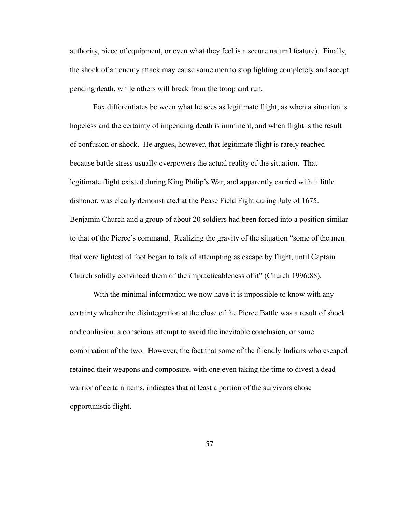authority, piece of equipment, or even what they feel is a secure natural feature). Finally, the shock of an enemy attack may cause some men to stop fighting completely and accept pending death, while others will break from the troop and run.

 Fox differentiates between what he sees as legitimate flight, as when a situation is hopeless and the certainty of impending death is imminent, and when flight is the result of confusion or shock. He argues, however, that legitimate flight is rarely reached because battle stress usually overpowers the actual reality of the situation. That legitimate flight existed during King Philip's War, and apparently carried with it little dishonor, was clearly demonstrated at the Pease Field Fight during July of 1675. Benjamin Church and a group of about 20 soldiers had been forced into a position similar to that of the Pierce's command. Realizing the gravity of the situation "some of the men that were lightest of foot began to talk of attempting as escape by flight, until Captain Church solidly convinced them of the impracticableness of it" (Church 1996:88).

With the minimal information we now have it is impossible to know with any certainty whether the disintegration at the close of the Pierce Battle was a result of shock and confusion, a conscious attempt to avoid the inevitable conclusion, or some combination of the two. However, the fact that some of the friendly Indians who escaped retained their weapons and composure, with one even taking the time to divest a dead warrior of certain items, indicates that at least a portion of the survivors chose opportunistic flight.

57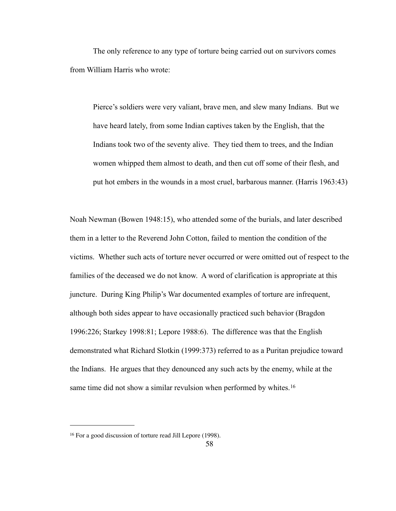The only reference to any type of torture being carried out on survivors comes from William Harris who wrote:

 Pierce's soldiers were very valiant, brave men, and slew many Indians. But we have heard lately, from some Indian captives taken by the English, that the Indians took two of the seventy alive. They tied them to trees, and the Indian women whipped them almost to death, and then cut off some of their flesh, and put hot embers in the wounds in a most cruel, barbarous manner. (Harris 1963:43)

Noah Newman (Bowen 1948:15), who attended some of the burials, and later described them in a letter to the Reverend John Cotton, failed to mention the condition of the victims. Whether such acts of torture never occurred or were omitted out of respect to the families of the deceased we do not know. A word of clarification is appropriate at this juncture. During King Philip's War documented examples of torture are infrequent, although both sides appear to have occasionally practiced such behavior (Bragdon 1996:226; Starkey 1998:81; Lepore 1988:6). The difference was that the English demonstrated what Richard Slotkin (1999:373) referred to as a Puritan prejudice toward the Indians. He argues that they denounced any such acts by the enemy, while at the same time did not show a similar revulsion when performed by whites.<sup>16</sup>

<span id="page-65-0"></span><sup>16</sup> For a good discussion of torture read Jill Lepore (1998).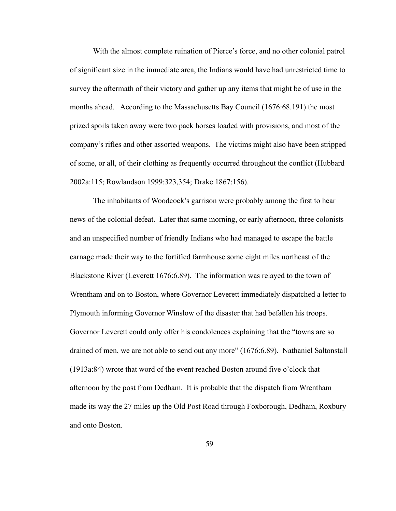With the almost complete ruination of Pierce's force, and no other colonial patrol of significant size in the immediate area, the Indians would have had unrestricted time to survey the aftermath of their victory and gather up any items that might be of use in the months ahead. According to the Massachusetts Bay Council (1676:68.191) the most prized spoils taken away were two pack horses loaded with provisions, and most of the company's rifles and other assorted weapons. The victims might also have been stripped of some, or all, of their clothing as frequently occurred throughout the conflict (Hubbard 2002a:115; Rowlandson 1999:323,354; Drake 1867:156).

 The inhabitants of Woodcock's garrison were probably among the first to hear news of the colonial defeat. Later that same morning, or early afternoon, three colonists and an unspecified number of friendly Indians who had managed to escape the battle carnage made their way to the fortified farmhouse some eight miles northeast of the Blackstone River (Leverett 1676:6.89). The information was relayed to the town of Wrentham and on to Boston, where Governor Leverett immediately dispatched a letter to Plymouth informing Governor Winslow of the disaster that had befallen his troops. Governor Leverett could only offer his condolences explaining that the "towns are so drained of men, we are not able to send out any more" (1676:6.89). Nathaniel Saltonstall (1913a:84) wrote that word of the event reached Boston around five o'clock that afternoon by the post from Dedham. It is probable that the dispatch from Wrentham made its way the 27 miles up the Old Post Road through Foxborough, Dedham, Roxbury and onto Boston.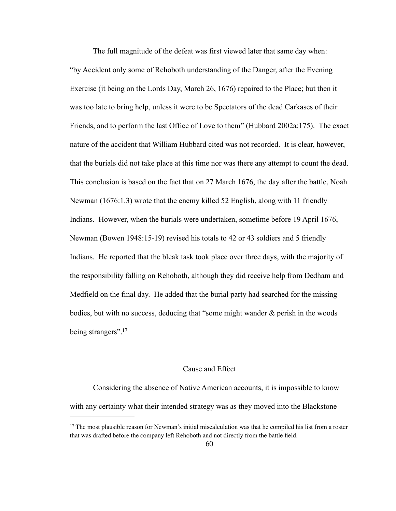The full magnitude of the defeat was first viewed later that same day when: "by Accident only some of Rehoboth understanding of the Danger, after the Evening Exercise (it being on the Lords Day, March 26, 1676) repaired to the Place; but then it was too late to bring help, unless it were to be Spectators of the dead Carkases of their Friends, and to perform the last Office of Love to them" (Hubbard 2002a:175). The exact nature of the accident that William Hubbard cited was not recorded. It is clear, however, that the burials did not take place at this time nor was there any attempt to count the dead. This conclusion is based on the fact that on 27 March 1676, the day after the battle, Noah Newman (1676:1.3) wrote that the enemy killed 52 English, along with 11 friendly Indians. However, when the burials were undertaken, sometime before 19 April 1676, Newman (Bowen 1948:15-19) revised his totals to 42 or 43 soldiers and 5 friendly Indians. He reported that the bleak task took place over three days, with the majority of the responsibility falling on Rehoboth, although they did receive help from Dedham and Medfield on the final day. He added that the burial party had searched for the missing bodies, but with no success, deducing that "some might wander & perish in the woods being strangers"[.17](#page-67-0)

## Cause and Effect

 Considering the absence of Native American accounts, it is impossible to know with any certainty what their intended strategy was as they moved into the Blackstone

<span id="page-67-0"></span><sup>17</sup> The most plausible reason for Newman's initial miscalculation was that he compiled his list from a roster that was drafted before the company left Rehoboth and not directly from the battle field.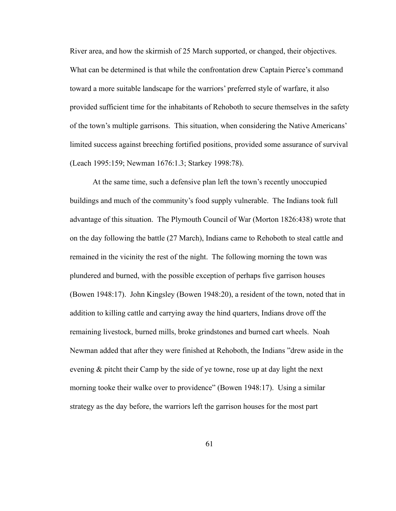River area, and how the skirmish of 25 March supported, or changed, their objectives. What can be determined is that while the confrontation drew Captain Pierce's command toward a more suitable landscape for the warriors' preferred style of warfare, it also provided sufficient time for the inhabitants of Rehoboth to secure themselves in the safety of the town's multiple garrisons. This situation, when considering the Native Americans' limited success against breeching fortified positions, provided some assurance of survival (Leach 1995:159; Newman 1676:1.3; Starkey 1998:78).

 At the same time, such a defensive plan left the town's recently unoccupied buildings and much of the community's food supply vulnerable. The Indians took full advantage of this situation. The Plymouth Council of War (Morton 1826:438) wrote that on the day following the battle (27 March), Indians came to Rehoboth to steal cattle and remained in the vicinity the rest of the night. The following morning the town was plundered and burned, with the possible exception of perhaps five garrison houses (Bowen 1948:17). John Kingsley (Bowen 1948:20), a resident of the town, noted that in addition to killing cattle and carrying away the hind quarters, Indians drove off the remaining livestock, burned mills, broke grindstones and burned cart wheels. Noah Newman added that after they were finished at Rehoboth, the Indians "drew aside in the evening & pitcht their Camp by the side of ye towne, rose up at day light the next morning tooke their walke over to providence" (Bowen 1948:17). Using a similar strategy as the day before, the warriors left the garrison houses for the most part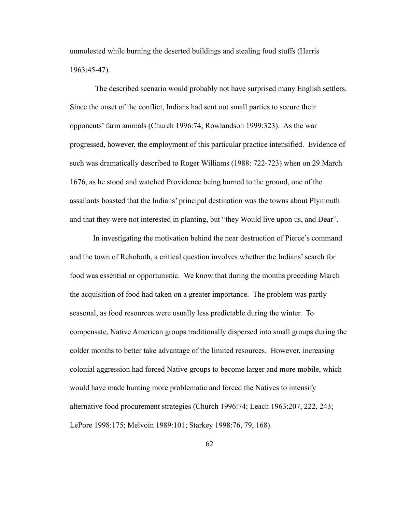unmolested while burning the deserted buildings and stealing food stuffs (Harris 1963:45-47).

 The described scenario would probably not have surprised many English settlers. Since the onset of the conflict, Indians had sent out small parties to secure their opponents' farm animals (Church 1996:74; Rowlandson 1999:323). As the war progressed, however, the employment of this particular practice intensified. Evidence of such was dramatically described to Roger Williams (1988: 722-723) when on 29 March 1676, as he stood and watched Providence being burned to the ground, one of the assailants boasted that the Indians' principal destination was the towns about Plymouth and that they were not interested in planting, but "they Would live upon us, and Dear".

 In investigating the motivation behind the near destruction of Pierce's command and the town of Rehoboth, a critical question involves whether the Indians' search for food was essential or opportunistic. We know that during the months preceding March the acquisition of food had taken on a greater importance. The problem was partly seasonal, as food resources were usually less predictable during the winter. To compensate, Native American groups traditionally dispersed into small groups during the colder months to better take advantage of the limited resources. However, increasing colonial aggression had forced Native groups to become larger and more mobile, which would have made hunting more problematic and forced the Natives to intensify alternative food procurement strategies (Church 1996:74; Leach 1963:207, 222, 243; LePore 1998:175; Melvoin 1989:101; Starkey 1998:76, 79, 168).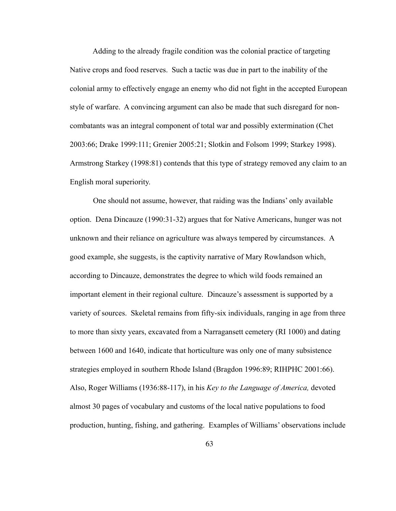Adding to the already fragile condition was the colonial practice of targeting Native crops and food reserves. Such a tactic was due in part to the inability of the colonial army to effectively engage an enemy who did not fight in the accepted European style of warfare. A convincing argument can also be made that such disregard for noncombatants was an integral component of total war and possibly extermination (Chet 2003:66; Drake 1999:111; Grenier 2005:21; Slotkin and Folsom 1999; Starkey 1998). Armstrong Starkey (1998:81) contends that this type of strategy removed any claim to an English moral superiority.

 One should not assume, however, that raiding was the Indians' only available option. Dena Dincauze (1990:31-32) argues that for Native Americans, hunger was not unknown and their reliance on agriculture was always tempered by circumstances. A good example, she suggests, is the captivity narrative of Mary Rowlandson which, according to Dincauze, demonstrates the degree to which wild foods remained an important element in their regional culture. Dincauze's assessment is supported by a variety of sources. Skeletal remains from fifty-six individuals, ranging in age from three to more than sixty years, excavated from a Narragansett cemetery (RI 1000) and dating between 1600 and 1640, indicate that horticulture was only one of many subsistence strategies employed in southern Rhode Island (Bragdon 1996:89; RIHPHC 2001:66). Also, Roger Williams (1936:88-117), in his *Key to the Language of America,* devoted almost 30 pages of vocabulary and customs of the local native populations to food production, hunting, fishing, and gathering. Examples of Williams' observations include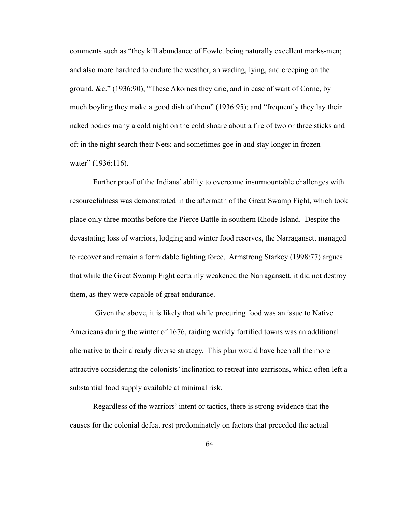comments such as "they kill abundance of Fowle. being naturally excellent marks-men; and also more hardned to endure the weather, an wading, lying, and creeping on the ground, &c." (1936:90); "These Akornes they drie, and in case of want of Corne, by much boyling they make a good dish of them" (1936:95); and "frequently they lay their naked bodies many a cold night on the cold shoare about a fire of two or three sticks and oft in the night search their Nets; and sometimes goe in and stay longer in frozen water" (1936:116).

 Further proof of the Indians' ability to overcome insurmountable challenges with resourcefulness was demonstrated in the aftermath of the Great Swamp Fight, which took place only three months before the Pierce Battle in southern Rhode Island. Despite the devastating loss of warriors, lodging and winter food reserves, the Narragansett managed to recover and remain a formidable fighting force. Armstrong Starkey (1998:77) argues that while the Great Swamp Fight certainly weakened the Narragansett, it did not destroy them, as they were capable of great endurance.

 Given the above, it is likely that while procuring food was an issue to Native Americans during the winter of 1676, raiding weakly fortified towns was an additional alternative to their already diverse strategy. This plan would have been all the more attractive considering the colonists' inclination to retreat into garrisons, which often left a substantial food supply available at minimal risk.

 Regardless of the warriors' intent or tactics, there is strong evidence that the causes for the colonial defeat rest predominately on factors that preceded the actual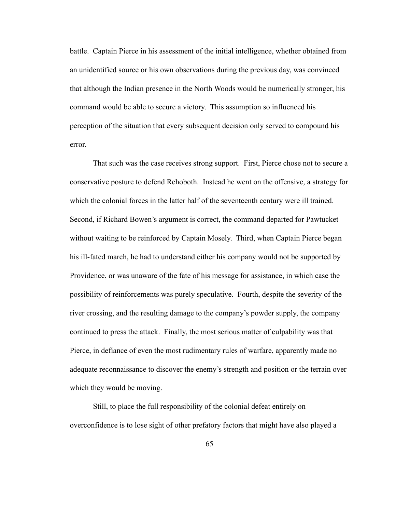battle. Captain Pierce in his assessment of the initial intelligence, whether obtained from an unidentified source or his own observations during the previous day, was convinced that although the Indian presence in the North Woods would be numerically stronger, his command would be able to secure a victory. This assumption so influenced his perception of the situation that every subsequent decision only served to compound his error.

 That such was the case receives strong support. First, Pierce chose not to secure a conservative posture to defend Rehoboth. Instead he went on the offensive, a strategy for which the colonial forces in the latter half of the seventeenth century were ill trained. Second, if Richard Bowen's argument is correct, the command departed for Pawtucket without waiting to be reinforced by Captain Mosely. Third, when Captain Pierce began his ill-fated march, he had to understand either his company would not be supported by Providence, or was unaware of the fate of his message for assistance, in which case the possibility of reinforcements was purely speculative. Fourth, despite the severity of the river crossing, and the resulting damage to the company's powder supply, the company continued to press the attack. Finally, the most serious matter of culpability was that Pierce, in defiance of even the most rudimentary rules of warfare, apparently made no adequate reconnaissance to discover the enemy's strength and position or the terrain over which they would be moving.

 Still, to place the full responsibility of the colonial defeat entirely on overconfidence is to lose sight of other prefatory factors that might have also played a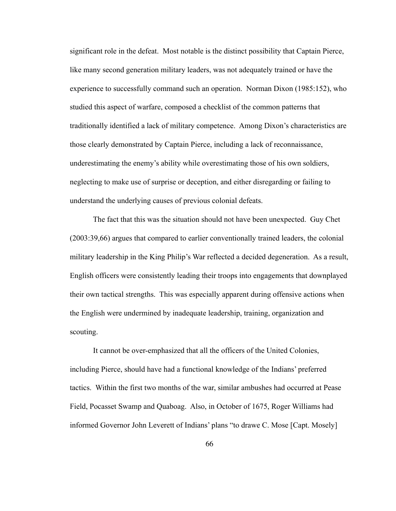significant role in the defeat. Most notable is the distinct possibility that Captain Pierce, like many second generation military leaders, was not adequately trained or have the experience to successfully command such an operation. Norman Dixon (1985:152), who studied this aspect of warfare, composed a checklist of the common patterns that traditionally identified a lack of military competence. Among Dixon's characteristics are those clearly demonstrated by Captain Pierce, including a lack of reconnaissance, underestimating the enemy's ability while overestimating those of his own soldiers, neglecting to make use of surprise or deception, and either disregarding or failing to understand the underlying causes of previous colonial defeats.

 The fact that this was the situation should not have been unexpected. Guy Chet (2003:39,66) argues that compared to earlier conventionally trained leaders, the colonial military leadership in the King Philip's War reflected a decided degeneration. As a result, English officers were consistently leading their troops into engagements that downplayed their own tactical strengths. This was especially apparent during offensive actions when the English were undermined by inadequate leadership, training, organization and scouting.

It cannot be over-emphasized that all the officers of the United Colonies, including Pierce, should have had a functional knowledge of the Indians' preferred tactics. Within the first two months of the war, similar ambushes had occurred at Pease Field, Pocasset Swamp and Quaboag. Also, in October of 1675, Roger Williams had informed Governor John Leverett of Indians' plans "to drawe C. Mose [Capt. Mosely]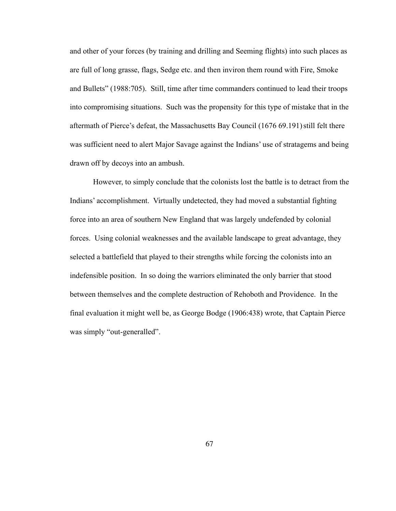and other of your forces (by training and drilling and Seeming flights) into such places as are full of long grasse, flags, Sedge etc. and then inviron them round with Fire, Smoke and Bullets" (1988:705). Still, time after time commanders continued to lead their troops into compromising situations. Such was the propensity for this type of mistake that in the aftermath of Pierce's defeat, the Massachusetts Bay Council (1676 69.191)still felt there was sufficient need to alert Major Savage against the Indians' use of stratagems and being drawn off by decoys into an ambush.

 However, to simply conclude that the colonists lost the battle is to detract from the Indians' accomplishment. Virtually undetected, they had moved a substantial fighting force into an area of southern New England that was largely undefended by colonial forces. Using colonial weaknesses and the available landscape to great advantage, they selected a battlefield that played to their strengths while forcing the colonists into an indefensible position. In so doing the warriors eliminated the only barrier that stood between themselves and the complete destruction of Rehoboth and Providence. In the final evaluation it might well be, as George Bodge (1906:438) wrote, that Captain Pierce was simply "out-generalled".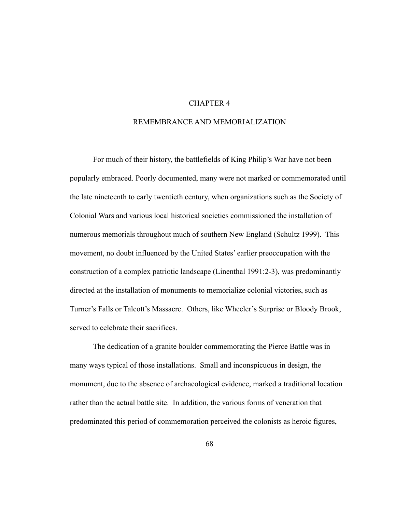# CHAPTER 4

# REMEMBRANCE AND MEMORIALIZATION

 For much of their history, the battlefields of King Philip's War have not been popularly embraced. Poorly documented, many were not marked or commemorated until the late nineteenth to early twentieth century, when organizations such as the Society of Colonial Wars and various local historical societies commissioned the installation of numerous memorials throughout much of southern New England (Schultz 1999). This movement, no doubt influenced by the United States' earlier preoccupation with the construction of a complex patriotic landscape (Linenthal 1991:2-3), was predominantly directed at the installation of monuments to memorialize colonial victories, such as Turner's Falls or Talcott's Massacre. Others, like Wheeler's Surprise or Bloody Brook, served to celebrate their sacrifices.

 The dedication of a granite boulder commemorating the Pierce Battle was in many ways typical of those installations. Small and inconspicuous in design, the monument, due to the absence of archaeological evidence, marked a traditional location rather than the actual battle site. In addition, the various forms of veneration that predominated this period of commemoration perceived the colonists as heroic figures,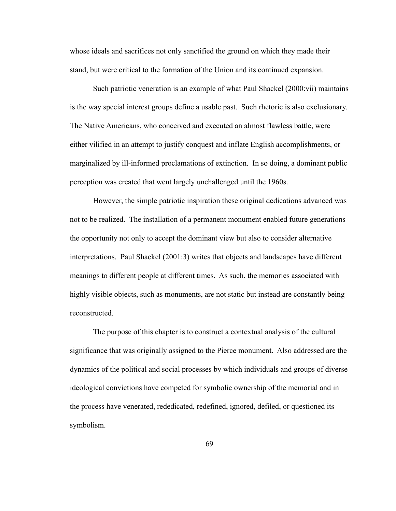whose ideals and sacrifices not only sanctified the ground on which they made their stand, but were critical to the formation of the Union and its continued expansion.

 Such patriotic veneration is an example of what Paul Shackel (2000:vii) maintains is the way special interest groups define a usable past. Such rhetoric is also exclusionary. The Native Americans, who conceived and executed an almost flawless battle, were either vilified in an attempt to justify conquest and inflate English accomplishments, or marginalized by ill-informed proclamations of extinction. In so doing, a dominant public perception was created that went largely unchallenged until the 1960s.

 However, the simple patriotic inspiration these original dedications advanced was not to be realized. The installation of a permanent monument enabled future generations the opportunity not only to accept the dominant view but also to consider alternative interpretations. Paul Shackel (2001:3) writes that objects and landscapes have different meanings to different people at different times. As such, the memories associated with highly visible objects, such as monuments, are not static but instead are constantly being reconstructed.

 The purpose of this chapter is to construct a contextual analysis of the cultural significance that was originally assigned to the Pierce monument. Also addressed are the dynamics of the political and social processes by which individuals and groups of diverse ideological convictions have competed for symbolic ownership of the memorial and in the process have venerated, rededicated, redefined, ignored, defiled, or questioned its symbolism.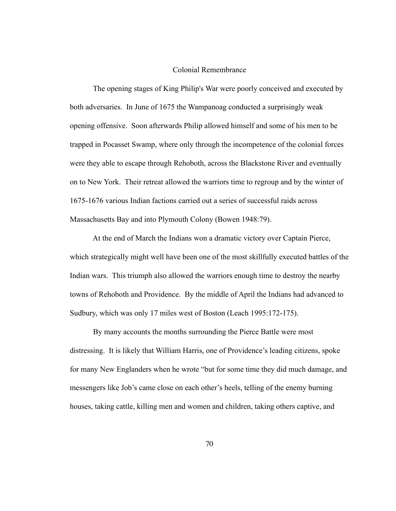#### Colonial Remembrance

 The opening stages of King Philip's War were poorly conceived and executed by both adversaries. In June of 1675 the Wampanoag conducted a surprisingly weak opening offensive. Soon afterwards Philip allowed himself and some of his men to be trapped in Pocasset Swamp, where only through the incompetence of the colonial forces were they able to escape through Rehoboth, across the Blackstone River and eventually on to New York. Their retreat allowed the warriors time to regroup and by the winter of 1675-1676 various Indian factions carried out a series of successful raids across Massachusetts Bay and into Plymouth Colony (Bowen 1948:79).

 At the end of March the Indians won a dramatic victory over Captain Pierce, which strategically might well have been one of the most skillfully executed battles of the Indian wars. This triumph also allowed the warriors enough time to destroy the nearby towns of Rehoboth and Providence. By the middle of April the Indians had advanced to Sudbury, which was only 17 miles west of Boston (Leach 1995:172-175).

 By many accounts the months surrounding the Pierce Battle were most distressing. It is likely that William Harris, one of Providence's leading citizens, spoke for many New Englanders when he wrote "but for some time they did much damage, and messengers like Job's came close on each other's heels, telling of the enemy burning houses, taking cattle, killing men and women and children, taking others captive, and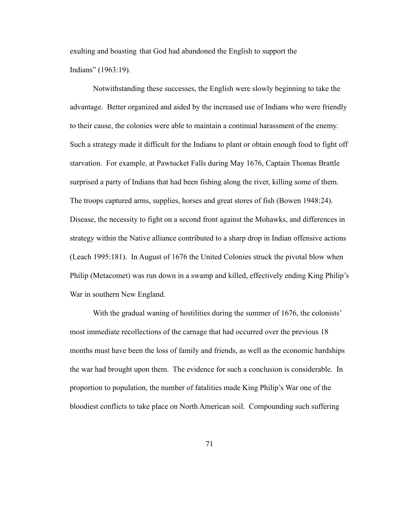exulting and boasting that God had abandoned the English to support the Indians" (1963:19).

 Notwithstanding these successes, the English were slowly beginning to take the advantage. Better organized and aided by the increased use of Indians who were friendly to their cause, the colonies were able to maintain a continual harassment of the enemy. Such a strategy made it difficult for the Indians to plant or obtain enough food to fight off starvation. For example, at Pawtucket Falls during May 1676, Captain Thomas Brattle surprised a party of Indians that had been fishing along the river, killing some of them. The troops captured arms, supplies, horses and great stores of fish (Bowen 1948:24). Disease, the necessity to fight on a second front against the Mohawks, and differences in strategy within the Native alliance contributed to a sharp drop in Indian offensive actions (Leach 1995:181). In August of 1676 the United Colonies struck the pivotal blow when Philip (Metacomet) was run down in a swamp and killed, effectively ending King Philip's War in southern New England.

With the gradual waning of hostilities during the summer of 1676, the colonists' most immediate recollections of the carnage that had occurred over the previous 18 months must have been the loss of family and friends, as well as the economic hardships the war had brought upon them. The evidence for such a conclusion is considerable. In proportion to population, the number of fatalities made King Philip's War one of the bloodiest conflicts to take place on North American soil. Compounding such suffering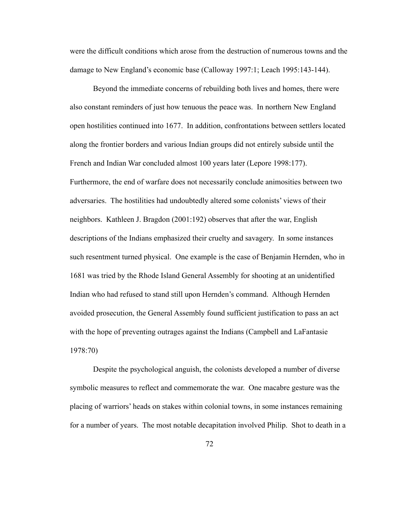were the difficult conditions which arose from the destruction of numerous towns and the damage to New England's economic base (Calloway 1997:1; Leach 1995:143-144).

 Beyond the immediate concerns of rebuilding both lives and homes, there were also constant reminders of just how tenuous the peace was. In northern New England open hostilities continued into 1677. In addition, confrontations between settlers located along the frontier borders and various Indian groups did not entirely subside until the French and Indian War concluded almost 100 years later (Lepore 1998:177). Furthermore, the end of warfare does not necessarily conclude animosities between two adversaries. The hostilities had undoubtedly altered some colonists' views of their neighbors. Kathleen J. Bragdon (2001:192) observes that after the war, English descriptions of the Indians emphasized their cruelty and savagery. In some instances such resentment turned physical. One example is the case of Benjamin Hernden, who in 1681 was tried by the Rhode Island General Assembly for shooting at an unidentified Indian who had refused to stand still upon Hernden's command. Although Hernden avoided prosecution, the General Assembly found sufficient justification to pass an act with the hope of preventing outrages against the Indians (Campbell and LaFantasie 1978:70)

 Despite the psychological anguish, the colonists developed a number of diverse symbolic measures to reflect and commemorate the war. One macabre gesture was the placing of warriors' heads on stakes within colonial towns, in some instances remaining for a number of years. The most notable decapitation involved Philip. Shot to death in a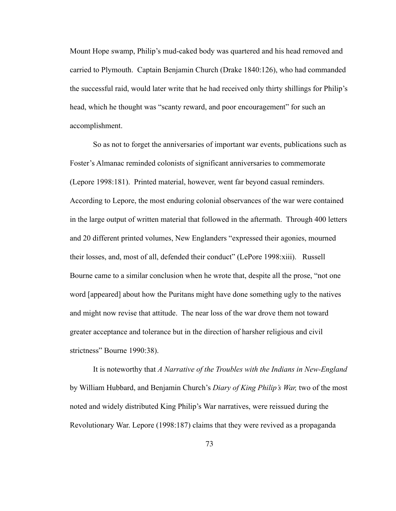Mount Hope swamp, Philip's mud-caked body was quartered and his head removed and carried to Plymouth. Captain Benjamin Church (Drake 1840:126), who had commanded the successful raid, would later write that he had received only thirty shillings for Philip's head, which he thought was "scanty reward, and poor encouragement" for such an accomplishment.

 So as not to forget the anniversaries of important war events, publications such as Foster's Almanac reminded colonists of significant anniversaries to commemorate (Lepore 1998:181). Printed material, however, went far beyond casual reminders. According to Lepore, the most enduring colonial observances of the war were contained in the large output of written material that followed in the aftermath. Through 400 letters and 20 different printed volumes, New Englanders "expressed their agonies, mourned their losses, and, most of all, defended their conduct" (LePore 1998:xiii). Russell Bourne came to a similar conclusion when he wrote that, despite all the prose, "not one word [appeared] about how the Puritans might have done something ugly to the natives and might now revise that attitude. The near loss of the war drove them not toward greater acceptance and tolerance but in the direction of harsher religious and civil strictness" Bourne 1990:38).

 It is noteworthy that *A Narrative of the Troubles with the Indians in New-England*  by William Hubbard, and Benjamin Church's *Diary of King Philip's War,* two of the most noted and widely distributed King Philip's War narratives, were reissued during the Revolutionary War. Lepore (1998:187) claims that they were revived as a propaganda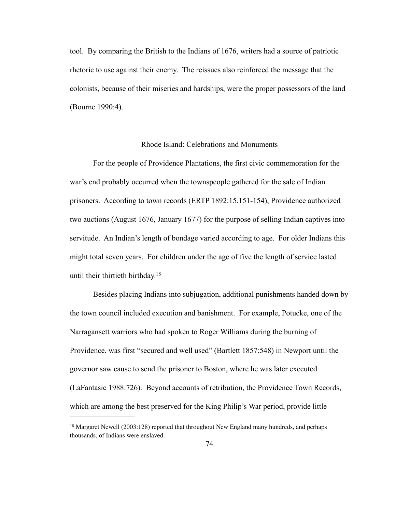tool. By comparing the British to the Indians of 1676, writers had a source of patriotic rhetoric to use against their enemy. The reissues also reinforced the message that the colonists, because of their miseries and hardships, were the proper possessors of the land (Bourne 1990:4).

#### Rhode Island: Celebrations and Monuments

 For the people of Providence Plantations, the first civic commemoration for the war's end probably occurred when the townspeople gathered for the sale of Indian prisoners. According to town records (ERTP 1892:15.151-154), Providence authorized two auctions (August 1676, January 1677) for the purpose of selling Indian captives into servitude. An Indian's length of bondage varied according to age. For older Indians this might total seven years. For children under the age of five the length of service lasted until their thirtieth birthday[.18](#page-81-0)

 Besides placing Indians into subjugation, additional punishments handed down by the town council included execution and banishment. For example, Potucke, one of the Narragansett warriors who had spoken to Roger Williams during the burning of Providence, was first "secured and well used" (Bartlett 1857:548) in Newport until the governor saw cause to send the prisoner to Boston, where he was later executed (LaFantasic 1988:726). Beyond accounts of retribution, the Providence Town Records, which are among the best preserved for the King Philip's War period, provide little

<span id="page-81-0"></span><sup>18</sup> Margaret Newell (2003:128) reported that throughout New England many hundreds, and perhaps thousands, of Indians were enslaved.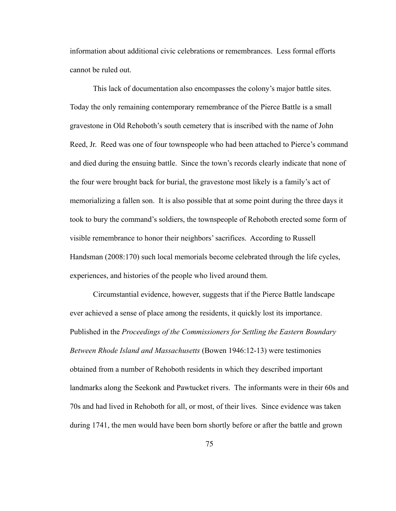information about additional civic celebrations or remembrances. Less formal efforts cannot be ruled out.

 This lack of documentation also encompasses the colony's major battle sites. Today the only remaining contemporary remembrance of the Pierce Battle is a small gravestone in Old Rehoboth's south cemetery that is inscribed with the name of John Reed, Jr. Reed was one of four townspeople who had been attached to Pierce's command and died during the ensuing battle. Since the town's records clearly indicate that none of the four were brought back for burial, the gravestone most likely is a family's act of memorializing a fallen son. It is also possible that at some point during the three days it took to bury the command's soldiers, the townspeople of Rehoboth erected some form of visible remembrance to honor their neighbors' sacrifices. According to Russell Handsman (2008:170) such local memorials become celebrated through the life cycles, experiences, and histories of the people who lived around them.

 Circumstantial evidence, however, suggests that if the Pierce Battle landscape ever achieved a sense of place among the residents, it quickly lost its importance. Published in the *Proceedings of the Commissioners for Settling the Eastern Boundary Between Rhode Island and Massachusetts* (Bowen 1946:12-13) were testimonies obtained from a number of Rehoboth residents in which they described important landmarks along the Seekonk and Pawtucket rivers. The informants were in their 60s and 70s and had lived in Rehoboth for all, or most, of their lives. Since evidence was taken during 1741, the men would have been born shortly before or after the battle and grown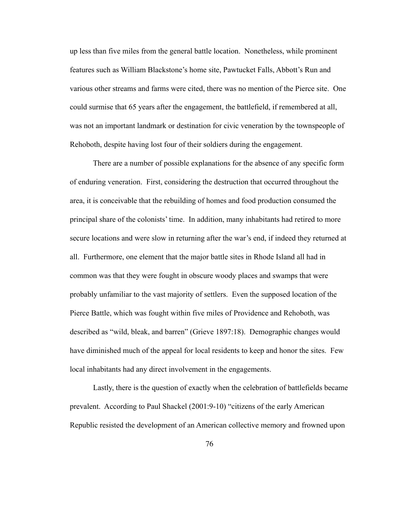up less than five miles from the general battle location. Nonetheless, while prominent features such as William Blackstone's home site, Pawtucket Falls, Abbott's Run and various other streams and farms were cited, there was no mention of the Pierce site. One could surmise that 65 years after the engagement, the battlefield, if remembered at all, was not an important landmark or destination for civic veneration by the townspeople of Rehoboth, despite having lost four of their soldiers during the engagement.

 There are a number of possible explanations for the absence of any specific form of enduring veneration. First, considering the destruction that occurred throughout the area, it is conceivable that the rebuilding of homes and food production consumed the principal share of the colonists' time. In addition, many inhabitants had retired to more secure locations and were slow in returning after the war's end, if indeed they returned at all. Furthermore, one element that the major battle sites in Rhode Island all had in common was that they were fought in obscure woody places and swamps that were probably unfamiliar to the vast majority of settlers. Even the supposed location of the Pierce Battle, which was fought within five miles of Providence and Rehoboth, was described as "wild, bleak, and barren" (Grieve 1897:18). Demographic changes would have diminished much of the appeal for local residents to keep and honor the sites. Few local inhabitants had any direct involvement in the engagements.

 Lastly, there is the question of exactly when the celebration of battlefields became prevalent. According to Paul Shackel (2001:9-10) "citizens of the early American Republic resisted the development of an American collective memory and frowned upon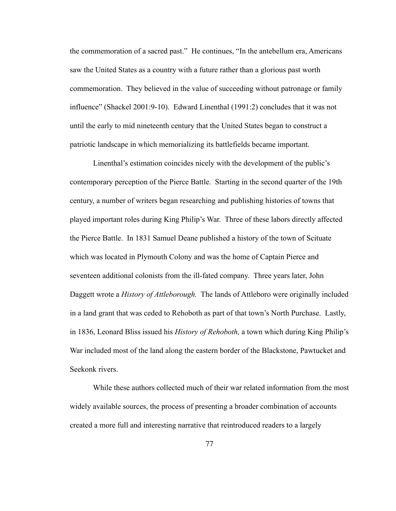the commemoration of a sacred past." He continues, "In the antebellum era, Americans saw the United States as a country with a future rather than a glorious past worth commemoration. They believed in the value of succeeding without patronage or family influence" (Shackel 2001:9-10). Edward Linenthal (1991:2) concludes that it was not until the early to mid nineteenth century that the United States began to construct a patriotic landscape in which memorializing its battlefields became important.

 Linenthal's estimation coincides nicely with the development of the public's contemporary perception of the Pierce Battle. Starting in the second quarter of the 19th century, a number of writers began researching and publishing histories of towns that played important roles during King Philip's War. Three of these labors directly affected the Pierce Battle. In 1831 Samuel Deane published a history of the town of Scituate which was located in Plymouth Colony and was the home of Captain Pierce and seventeen additional colonists from the ill-fated company. Three years later, John Daggett wrote a *History of Attleborough.* The lands of Attleboro were originally included in a land grant that was ceded to Rehoboth as part of that town's North Purchase. Lastly, in 1836, Leonard Bliss issued his *History of Rehoboth,* a town which during King Philip's War included most of the land along the eastern border of the Blackstone, Pawtucket and Seekonk rivers.

 While these authors collected much of their war related information from the most widely available sources, the process of presenting a broader combination of accounts created a more full and interesting narrative that reintroduced readers to a largely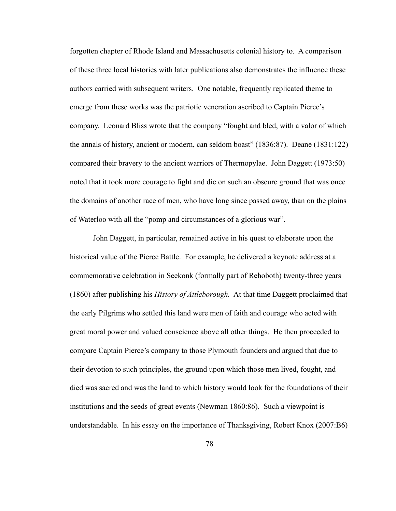forgotten chapter of Rhode Island and Massachusetts colonial history to. A comparison of these three local histories with later publications also demonstrates the influence these authors carried with subsequent writers. One notable, frequently replicated theme to emerge from these works was the patriotic veneration ascribed to Captain Pierce's company. Leonard Bliss wrote that the company "fought and bled, with a valor of which the annals of history, ancient or modern, can seldom boast" (1836:87). Deane (1831:122) compared their bravery to the ancient warriors of Thermopylae. John Daggett (1973:50) noted that it took more courage to fight and die on such an obscure ground that was once the domains of another race of men, who have long since passed away, than on the plains of Waterloo with all the "pomp and circumstances of a glorious war".

 John Daggett, in particular, remained active in his quest to elaborate upon the historical value of the Pierce Battle. For example, he delivered a keynote address at a commemorative celebration in Seekonk (formally part of Rehoboth) twenty-three years (1860) after publishing his *History of Attleborough.* At that time Daggett proclaimed that the early Pilgrims who settled this land were men of faith and courage who acted with great moral power and valued conscience above all other things. He then proceeded to compare Captain Pierce's company to those Plymouth founders and argued that due to their devotion to such principles, the ground upon which those men lived, fought, and died was sacred and was the land to which history would look for the foundations of their institutions and the seeds of great events (Newman 1860:86). Such a viewpoint is understandable. In his essay on the importance of Thanksgiving, Robert Knox (2007:B6)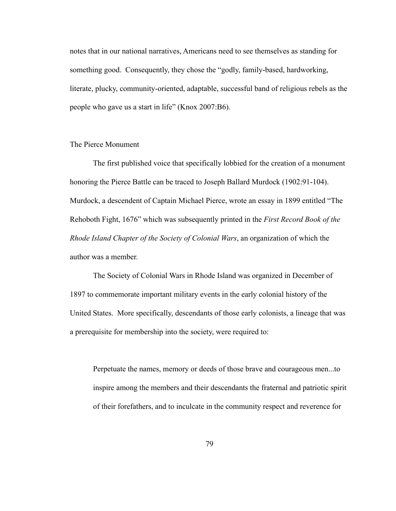notes that in our national narratives, Americans need to see themselves as standing for something good. Consequently, they chose the "godly, family-based, hardworking, literate, plucky, community-oriented, adaptable, successful band of religious rebels as the people who gave us a start in life" (Knox 2007:B6).

### The Pierce Monument

 The first published voice that specifically lobbied for the creation of a monument honoring the Pierce Battle can be traced to Joseph Ballard Murdock (1902:91-104). Murdock, a descendent of Captain Michael Pierce, wrote an essay in 1899 entitled "The Rehoboth Fight, 1676" which was subsequently printed in the *First Record Book of the Rhode Island Chapter of the Society of Colonial Wars*, an organization of which the author was a member.

The Society of Colonial Wars in Rhode Island was organized in December of 1897 to commemorate important military events in the early colonial history of the United States. More specifically, descendants of those early colonists, a lineage that was a prerequisite for membership into the society, were required to:

 Perpetuate the names, memory or deeds of those brave and courageous men...to inspire among the members and their descendants the fraternal and patriotic spirit of their forefathers, and to inculcate in the community respect and reverence for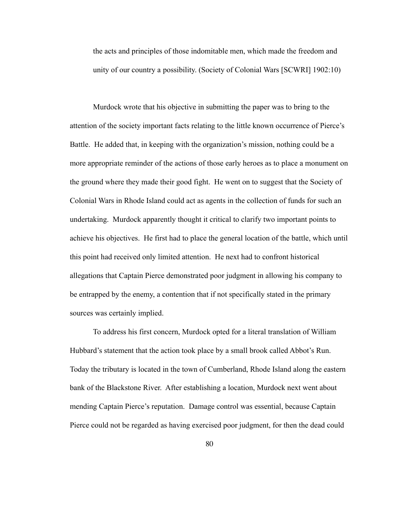the acts and principles of those indomitable men, which made the freedom and unity of our country a possibility. (Society of Colonial Wars [SCWRI] 1902:10)

 Murdock wrote that his objective in submitting the paper was to bring to the attention of the society important facts relating to the little known occurrence of Pierce's Battle. He added that, in keeping with the organization's mission, nothing could be a more appropriate reminder of the actions of those early heroes as to place a monument on the ground where they made their good fight. He went on to suggest that the Society of Colonial Wars in Rhode Island could act as agents in the collection of funds for such an undertaking. Murdock apparently thought it critical to clarify two important points to achieve his objectives. He first had to place the general location of the battle, which until this point had received only limited attention. He next had to confront historical allegations that Captain Pierce demonstrated poor judgment in allowing his company to be entrapped by the enemy, a contention that if not specifically stated in the primary sources was certainly implied.

 To address his first concern, Murdock opted for a literal translation of William Hubbard's statement that the action took place by a small brook called Abbot's Run. Today the tributary is located in the town of Cumberland, Rhode Island along the eastern bank of the Blackstone River. After establishing a location, Murdock next went about mending Captain Pierce's reputation. Damage control was essential, because Captain Pierce could not be regarded as having exercised poor judgment, for then the dead could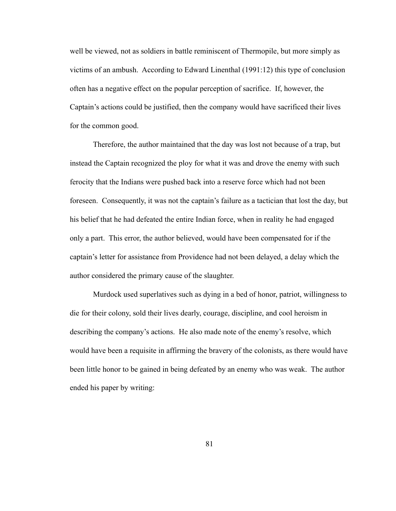well be viewed, not as soldiers in battle reminiscent of Thermopile, but more simply as victims of an ambush. According to Edward Linenthal (1991:12) this type of conclusion often has a negative effect on the popular perception of sacrifice. If, however, the Captain's actions could be justified, then the company would have sacrificed their lives for the common good.

 Therefore, the author maintained that the day was lost not because of a trap, but instead the Captain recognized the ploy for what it was and drove the enemy with such ferocity that the Indians were pushed back into a reserve force which had not been foreseen. Consequently, it was not the captain's failure as a tactician that lost the day, but his belief that he had defeated the entire Indian force, when in reality he had engaged only a part. This error, the author believed, would have been compensated for if the captain's letter for assistance from Providence had not been delayed, a delay which the author considered the primary cause of the slaughter.

 Murdock used superlatives such as dying in a bed of honor, patriot, willingness to die for their colony, sold their lives dearly, courage, discipline, and cool heroism in describing the company's actions. He also made note of the enemy's resolve, which would have been a requisite in affirming the bravery of the colonists, as there would have been little honor to be gained in being defeated by an enemy who was weak. The author ended his paper by writing:

81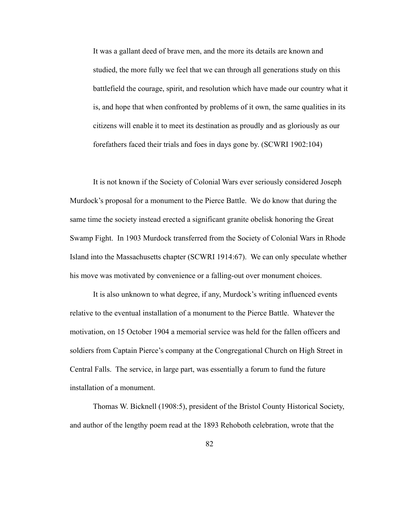It was a gallant deed of brave men, and the more its details are known and studied, the more fully we feel that we can through all generations study on this battlefield the courage, spirit, and resolution which have made our country what it is, and hope that when confronted by problems of it own, the same qualities in its citizens will enable it to meet its destination as proudly and as gloriously as our forefathers faced their trials and foes in days gone by. (SCWRI 1902:104)

 It is not known if the Society of Colonial Wars ever seriously considered Joseph Murdock's proposal for a monument to the Pierce Battle. We do know that during the same time the society instead erected a significant granite obelisk honoring the Great Swamp Fight. In 1903 Murdock transferred from the Society of Colonial Wars in Rhode Island into the Massachusetts chapter (SCWRI 1914:67). We can only speculate whether his move was motivated by convenience or a falling-out over monument choices.

 It is also unknown to what degree, if any, Murdock's writing influenced events relative to the eventual installation of a monument to the Pierce Battle. Whatever the motivation, on 15 October 1904 a memorial service was held for the fallen officers and soldiers from Captain Pierce's company at the Congregational Church on High Street in Central Falls. The service, in large part, was essentially a forum to fund the future installation of a monument.

 Thomas W. Bicknell (1908:5), president of the Bristol County Historical Society, and author of the lengthy poem read at the 1893 Rehoboth celebration, wrote that the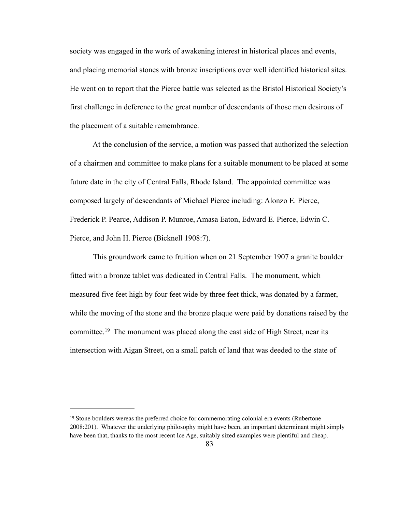society was engaged in the work of awakening interest in historical places and events, and placing memorial stones with bronze inscriptions over well identified historical sites. He went on to report that the Pierce battle was selected as the Bristol Historical Society's first challenge in deference to the great number of descendants of those men desirous of the placement of a suitable remembrance.

 At the conclusion of the service, a motion was passed that authorized the selection of a chairmen and committee to make plans for a suitable monument to be placed at some future date in the city of Central Falls, Rhode Island. The appointed committee was composed largely of descendants of Michael Pierce including: Alonzo E. Pierce, Frederick P. Pearce, Addison P. Munroe, Amasa Eaton, Edward E. Pierce, Edwin C. Pierce, and John H. Pierce (Bicknell 1908:7).

 This groundwork came to fruition when on 21 September 1907 a granite boulder fitted with a bronze tablet was dedicated in Central Falls. The monument, which measured five feet high by four feet wide by three feet thick, was donated by a farmer, while the moving of the stone and the bronze plaque were paid by donations raised by the committee.[19](#page-90-0) The monument was placed along the east side of High Street, near its intersection with Aigan Street, on a small patch of land that was deeded to the state of

<span id="page-90-0"></span><sup>19</sup> Stone boulders wereas the preferred choice for commemorating colonial era events (Rubertone 2008:201). Whatever the underlying philosophy might have been, an important determinant might simply have been that, thanks to the most recent Ice Age, suitably sized examples were plentiful and cheap.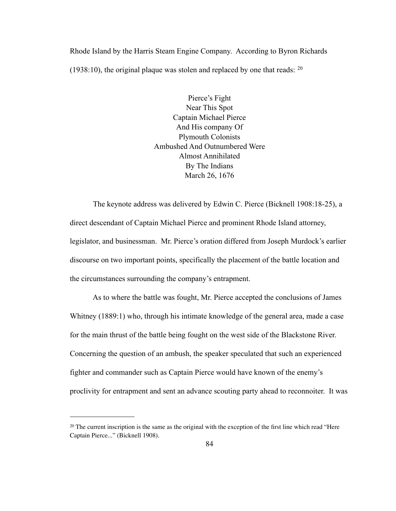Rhode Island by the Harris Steam Engine Company. According to Byron Richards (1938:10), the original plaque was stolen and replaced by one that reads:  $20$ 

> Pierce's Fight Near This Spot Captain Michael Pierce And His company Of Plymouth Colonists Ambushed And Outnumbered Were Almost Annihilated By The Indians March 26, 1676

 The keynote address was delivered by Edwin C. Pierce (Bicknell 1908:18-25), a direct descendant of Captain Michael Pierce and prominent Rhode Island attorney, legislator, and businessman. Mr. Pierce's oration differed from Joseph Murdock's earlier discourse on two important points, specifically the placement of the battle location and the circumstances surrounding the company's entrapment.

 As to where the battle was fought, Mr. Pierce accepted the conclusions of James Whitney (1889:1) who, through his intimate knowledge of the general area, made a case for the main thrust of the battle being fought on the west side of the Blackstone River. Concerning the question of an ambush, the speaker speculated that such an experienced fighter and commander such as Captain Pierce would have known of the enemy's proclivity for entrapment and sent an advance scouting party ahead to reconnoiter. It was

<span id="page-91-0"></span><sup>20</sup> The current inscription is the same as the original with the exception of the first line which read "Here Captain Pierce..." (Bicknell 1908).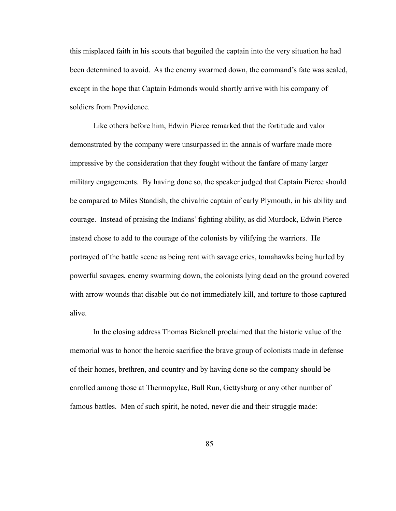this misplaced faith in his scouts that beguiled the captain into the very situation he had been determined to avoid. As the enemy swarmed down, the command's fate was sealed, except in the hope that Captain Edmonds would shortly arrive with his company of soldiers from Providence.

 Like others before him, Edwin Pierce remarked that the fortitude and valor demonstrated by the company were unsurpassed in the annals of warfare made more impressive by the consideration that they fought without the fanfare of many larger military engagements. By having done so, the speaker judged that Captain Pierce should be compared to Miles Standish, the chivalric captain of early Plymouth, in his ability and courage. Instead of praising the Indians' fighting ability, as did Murdock, Edwin Pierce instead chose to add to the courage of the colonists by vilifying the warriors. He portrayed of the battle scene as being rent with savage cries, tomahawks being hurled by powerful savages, enemy swarming down, the colonists lying dead on the ground covered with arrow wounds that disable but do not immediately kill, and torture to those captured alive.

 In the closing address Thomas Bicknell proclaimed that the historic value of the memorial was to honor the heroic sacrifice the brave group of colonists made in defense of their homes, brethren, and country and by having done so the company should be enrolled among those at Thermopylae, Bull Run, Gettysburg or any other number of famous battles. Men of such spirit, he noted, never die and their struggle made: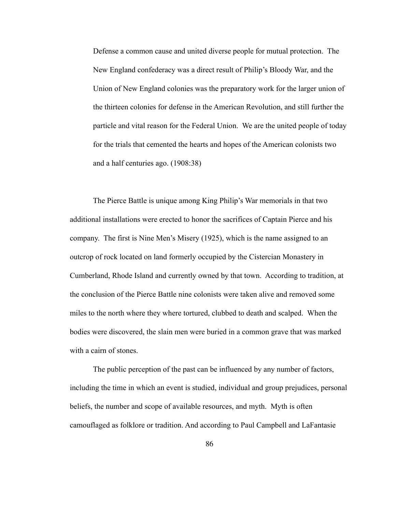Defense a common cause and united diverse people for mutual protection. The New England confederacy was a direct result of Philip's Bloody War, and the Union of New England colonies was the preparatory work for the larger union of the thirteen colonies for defense in the American Revolution, and still further the particle and vital reason for the Federal Union. We are the united people of today for the trials that cemented the hearts and hopes of the American colonists two and a half centuries ago. (1908:38)

 The Pierce Battle is unique among King Philip's War memorials in that two additional installations were erected to honor the sacrifices of Captain Pierce and his company. The first is Nine Men's Misery (1925), which is the name assigned to an outcrop of rock located on land formerly occupied by the Cistercian Monastery in Cumberland, Rhode Island and currently owned by that town. According to tradition, at the conclusion of the Pierce Battle nine colonists were taken alive and removed some miles to the north where they where tortured, clubbed to death and scalped. When the bodies were discovered, the slain men were buried in a common grave that was marked with a cairn of stones.

 The public perception of the past can be influenced by any number of factors, including the time in which an event is studied, individual and group prejudices, personal beliefs, the number and scope of available resources, and myth. Myth is often camouflaged as folklore or tradition. And according to Paul Campbell and LaFantasie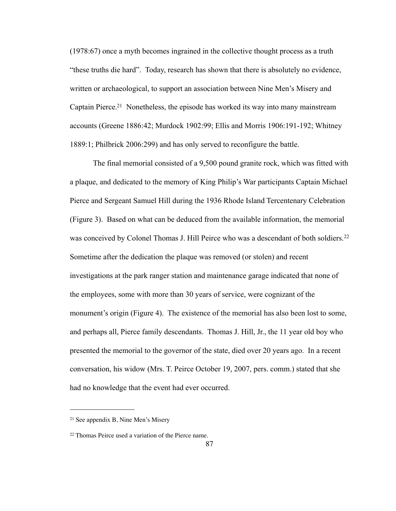(1978:67) once a myth becomes ingrained in the collective thought process as a truth "these truths die hard". Today, research has shown that there is absolutely no evidence, written or archaeological, to support an association between Nine Men's Misery and Captain Pierce[.21](#page-94-0) Nonetheless, the episode has worked its way into many mainstream accounts (Greene 1886:42; Murdock 1902:99; Ellis and Morris 1906:191-192; Whitney 1889:1; Philbrick 2006:299) and has only served to reconfigure the battle.

 The final memorial consisted of a 9,500 pound granite rock, which was fitted with a plaque, and dedicated to the memory of King Philip's War participants Captain Michael Pierce and Sergeant Samuel Hill during the 1936 Rhode Island Tercentenary Celebration (Figure 3). Based on what can be deduced from the available information, the memorial was conceived by Colonel Thomas J. Hill Peirce who was a descendant of both soldiers.<sup>[22](#page-94-1)</sup> Sometime after the dedication the plaque was removed (or stolen) and recent investigations at the park ranger station and maintenance garage indicated that none of the employees, some with more than 30 years of service, were cognizant of the monument's origin (Figure 4). The existence of the memorial has also been lost to some, and perhaps all, Pierce family descendants. Thomas J. Hill, Jr., the 11 year old boy who presented the memorial to the governor of the state, died over 20 years ago. In a recent conversation, his widow (Mrs. T. Peirce October 19, 2007, pers. comm.) stated that she had no knowledge that the event had ever occurred.

<span id="page-94-0"></span><sup>21</sup> See appendix B, Nine Men's Misery

<span id="page-94-1"></span><sup>22</sup> Thomas Peirce used a variation of the Pierce name.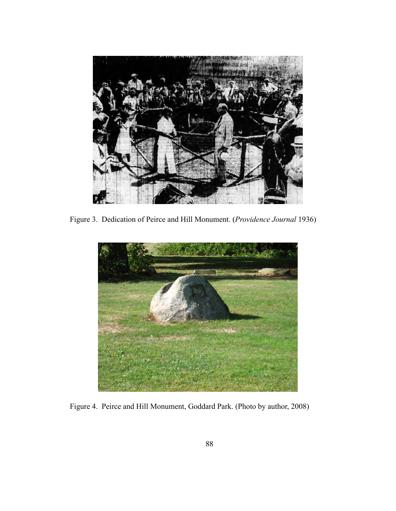

Figure 3. Dedication of Peirce and Hill Monument. (*Providence Journal* 1936)



Figure 4. Peirce and Hill Monument, Goddard Park. (Photo by author, 2008)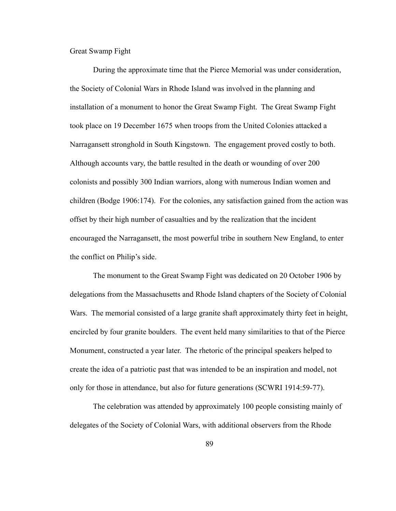Great Swamp Fight

 During the approximate time that the Pierce Memorial was under consideration, the Society of Colonial Wars in Rhode Island was involved in the planning and installation of a monument to honor the Great Swamp Fight. The Great Swamp Fight took place on 19 December 1675 when troops from the United Colonies attacked a Narragansett stronghold in South Kingstown. The engagement proved costly to both. Although accounts vary, the battle resulted in the death or wounding of over 200 colonists and possibly 300 Indian warriors, along with numerous Indian women and children (Bodge 1906:174). For the colonies, any satisfaction gained from the action was offset by their high number of casualties and by the realization that the incident encouraged the Narragansett, the most powerful tribe in southern New England, to enter the conflict on Philip's side.

 The monument to the Great Swamp Fight was dedicated on 20 October 1906 by delegations from the Massachusetts and Rhode Island chapters of the Society of Colonial Wars. The memorial consisted of a large granite shaft approximately thirty feet in height, encircled by four granite boulders. The event held many similarities to that of the Pierce Monument, constructed a year later. The rhetoric of the principal speakers helped to create the idea of a patriotic past that was intended to be an inspiration and model, not only for those in attendance, but also for future generations (SCWRI 1914:59-77).

 The celebration was attended by approximately 100 people consisting mainly of delegates of the Society of Colonial Wars, with additional observers from the Rhode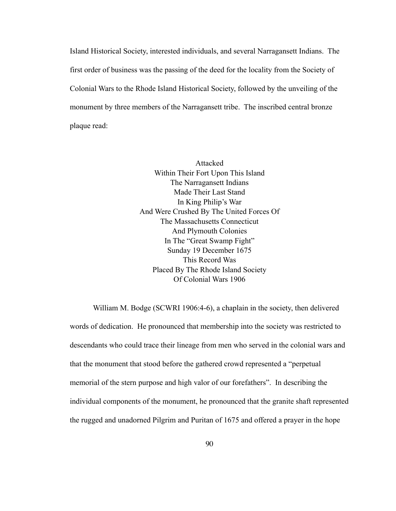Island Historical Society, interested individuals, and several Narragansett Indians. The first order of business was the passing of the deed for the locality from the Society of Colonial Wars to the Rhode Island Historical Society, followed by the unveiling of the monument by three members of the Narragansett tribe. The inscribed central bronze plaque read:

> Attacked Within Their Fort Upon This Island The Narragansett Indians Made Their Last Stand In King Philip's War And Were Crushed By The United Forces Of The Massachusetts Connecticut And Plymouth Colonies In The "Great Swamp Fight" Sunday 19 December 1675 This Record Was Placed By The Rhode Island Society Of Colonial Wars 1906

 William M. Bodge (SCWRI 1906:4-6), a chaplain in the society, then delivered words of dedication. He pronounced that membership into the society was restricted to descendants who could trace their lineage from men who served in the colonial wars and that the monument that stood before the gathered crowd represented a "perpetual memorial of the stern purpose and high valor of our forefathers". In describing the individual components of the monument, he pronounced that the granite shaft represented the rugged and unadorned Pilgrim and Puritan of 1675 and offered a prayer in the hope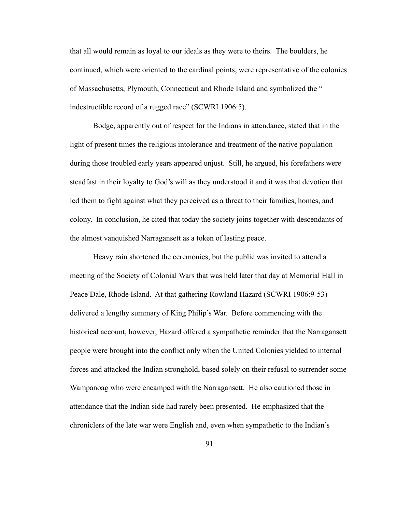that all would remain as loyal to our ideals as they were to theirs. The boulders, he continued, which were oriented to the cardinal points, were representative of the colonies of Massachusetts, Plymouth, Connecticut and Rhode Island and symbolized the " indestructible record of a rugged race" (SCWRI 1906:5).

 Bodge, apparently out of respect for the Indians in attendance, stated that in the light of present times the religious intolerance and treatment of the native population during those troubled early years appeared unjust. Still, he argued, his forefathers were steadfast in their loyalty to God's will as they understood it and it was that devotion that led them to fight against what they perceived as a threat to their families, homes, and colony. In conclusion, he cited that today the society joins together with descendants of the almost vanquished Narragansett as a token of lasting peace.

 Heavy rain shortened the ceremonies, but the public was invited to attend a meeting of the Society of Colonial Wars that was held later that day at Memorial Hall in Peace Dale, Rhode Island. At that gathering Rowland Hazard (SCWRI 1906:9-53) delivered a lengthy summary of King Philip's War. Before commencing with the historical account, however, Hazard offered a sympathetic reminder that the Narragansett people were brought into the conflict only when the United Colonies yielded to internal forces and attacked the Indian stronghold, based solely on their refusal to surrender some Wampanoag who were encamped with the Narragansett. He also cautioned those in attendance that the Indian side had rarely been presented. He emphasized that the chroniclers of the late war were English and, even when sympathetic to the Indian's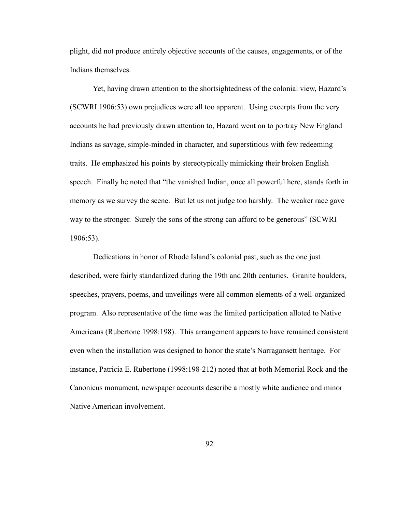plight, did not produce entirely objective accounts of the causes, engagements, or of the Indians themselves.

 Yet, having drawn attention to the shortsightedness of the colonial view, Hazard's (SCWRI 1906:53) own prejudices were all too apparent. Using excerpts from the very accounts he had previously drawn attention to, Hazard went on to portray New England Indians as savage, simple-minded in character, and superstitious with few redeeming traits. He emphasized his points by stereotypically mimicking their broken English speech. Finally he noted that "the vanished Indian, once all powerful here, stands forth in memory as we survey the scene. But let us not judge too harshly. The weaker race gave way to the stronger. Surely the sons of the strong can afford to be generous" (SCWRI 1906:53).

 Dedications in honor of Rhode Island's colonial past, such as the one just described, were fairly standardized during the 19th and 20th centuries. Granite boulders, speeches, prayers, poems, and unveilings were all common elements of a well-organized program. Also representative of the time was the limited participation alloted to Native Americans (Rubertone 1998:198). This arrangement appears to have remained consistent even when the installation was designed to honor the state's Narragansett heritage. For instance, Patricia E. Rubertone (1998:198-212) noted that at both Memorial Rock and the Canonicus monument, newspaper accounts describe a mostly white audience and minor Native American involvement.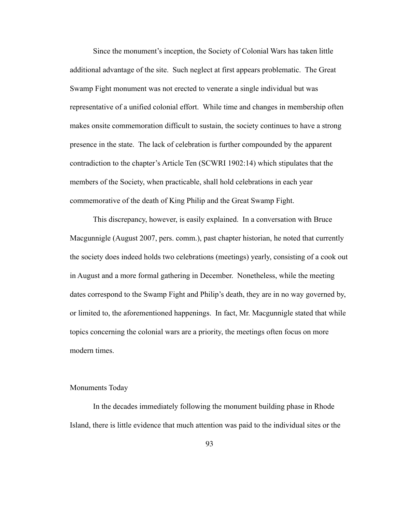Since the monument's inception, the Society of Colonial Wars has taken little additional advantage of the site. Such neglect at first appears problematic. The Great Swamp Fight monument was not erected to venerate a single individual but was representative of a unified colonial effort. While time and changes in membership often makes onsite commemoration difficult to sustain, the society continues to have a strong presence in the state. The lack of celebration is further compounded by the apparent contradiction to the chapter's Article Ten (SCWRI 1902:14) which stipulates that the members of the Society, when practicable, shall hold celebrations in each year commemorative of the death of King Philip and the Great Swamp Fight.

 This discrepancy, however, is easily explained. In a conversation with Bruce Macgunnigle (August 2007, pers. comm.), past chapter historian, he noted that currently the society does indeed holds two celebrations (meetings) yearly, consisting of a cook out in August and a more formal gathering in December. Nonetheless, while the meeting dates correspond to the Swamp Fight and Philip's death, they are in no way governed by, or limited to, the aforementioned happenings. In fact, Mr. Macgunnigle stated that while topics concerning the colonial wars are a priority, the meetings often focus on more modern times.

### Monuments Today

 In the decades immediately following the monument building phase in Rhode Island, there is little evidence that much attention was paid to the individual sites or the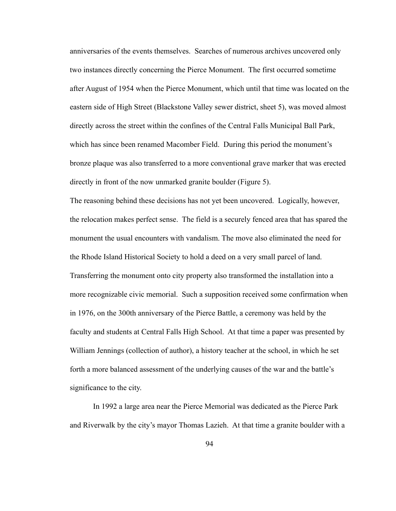anniversaries of the events themselves. Searches of numerous archives uncovered only two instances directly concerning the Pierce Monument. The first occurred sometime after August of 1954 when the Pierce Monument, which until that time was located on the eastern side of High Street (Blackstone Valley sewer district, sheet 5), was moved almost directly across the street within the confines of the Central Falls Municipal Ball Park, which has since been renamed Macomber Field. During this period the monument's bronze plaque was also transferred to a more conventional grave marker that was erected directly in front of the now unmarked granite boulder (Figure 5).

The reasoning behind these decisions has not yet been uncovered. Logically, however, the relocation makes perfect sense. The field is a securely fenced area that has spared the monument the usual encounters with vandalism. The move also eliminated the need for the Rhode Island Historical Society to hold a deed on a very small parcel of land. Transferring the monument onto city property also transformed the installation into a more recognizable civic memorial. Such a supposition received some confirmation when in 1976, on the 300th anniversary of the Pierce Battle, a ceremony was held by the faculty and students at Central Falls High School. At that time a paper was presented by William Jennings (collection of author), a history teacher at the school, in which he set forth a more balanced assessment of the underlying causes of the war and the battle's significance to the city.

 In 1992 a large area near the Pierce Memorial was dedicated as the Pierce Park and Riverwalk by the city's mayor Thomas Lazieh. At that time a granite boulder with a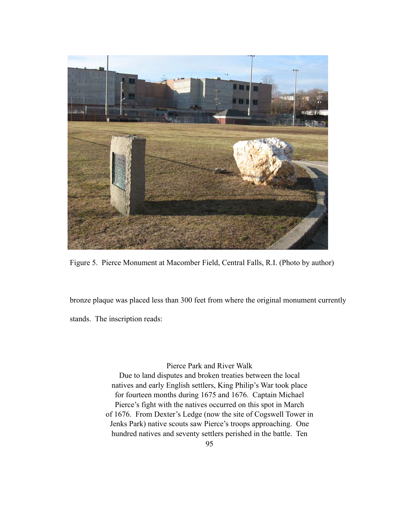

Figure 5. Pierce Monument at Macomber Field, Central Falls, R.I. (Photo by author)

bronze plaque was placed less than 300 feet from where the original monument currently stands. The inscription reads:

Pierce Park and River Walk

Due to land disputes and broken treaties between the local natives and early English settlers, King Philip's War took place for fourteen months during 1675 and 1676. Captain Michael Pierce's fight with the natives occurred on this spot in March of 1676. From Dexter's Ledge (now the site of Cogswell Tower in Jenks Park) native scouts saw Pierce's troops approaching. One hundred natives and seventy settlers perished in the battle. Ten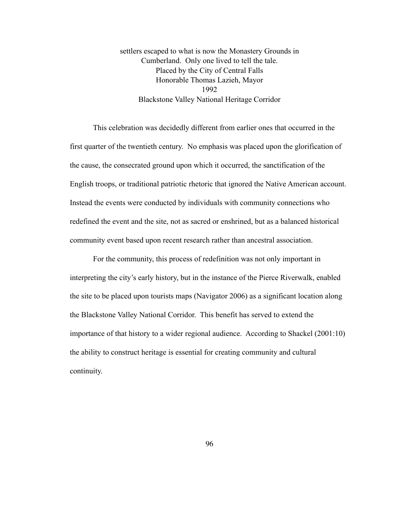settlers escaped to what is now the Monastery Grounds in Cumberland. Only one lived to tell the tale. Placed by the City of Central Falls Honorable Thomas Lazieh, Mayor 1992 Blackstone Valley National Heritage Corridor

 This celebration was decidedly different from earlier ones that occurred in the first quarter of the twentieth century. No emphasis was placed upon the glorification of the cause, the consecrated ground upon which it occurred, the sanctification of the English troops, or traditional patriotic rhetoric that ignored the Native American account. Instead the events were conducted by individuals with community connections who redefined the event and the site, not as sacred or enshrined, but as a balanced historical community event based upon recent research rather than ancestral association.

 For the community, this process of redefinition was not only important in interpreting the city's early history, but in the instance of the Pierce Riverwalk, enabled the site to be placed upon tourists maps (Navigator 2006) as a significant location along the Blackstone Valley National Corridor. This benefit has served to extend the importance of that history to a wider regional audience. According to Shackel (2001:10) the ability to construct heritage is essential for creating community and cultural continuity.

96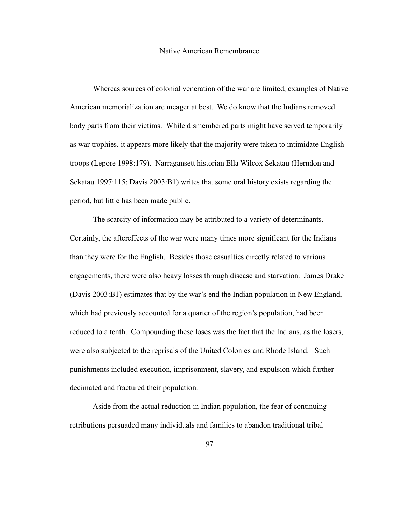#### Native American Remembrance

 Whereas sources of colonial veneration of the war are limited, examples of Native American memorialization are meager at best. We do know that the Indians removed body parts from their victims. While dismembered parts might have served temporarily as war trophies, it appears more likely that the majority were taken to intimidate English troops (Lepore 1998:179). Narragansett historian Ella Wilcox Sekatau (Herndon and Sekatau 1997:115; Davis 2003:B1) writes that some oral history exists regarding the period, but little has been made public.

 The scarcity of information may be attributed to a variety of determinants. Certainly, the aftereffects of the war were many times more significant for the Indians than they were for the English. Besides those casualties directly related to various engagements, there were also heavy losses through disease and starvation. James Drake (Davis 2003:B1) estimates that by the war's end the Indian population in New England, which had previously accounted for a quarter of the region's population, had been reduced to a tenth. Compounding these loses was the fact that the Indians, as the losers, were also subjected to the reprisals of the United Colonies and Rhode Island. Such punishments included execution, imprisonment, slavery, and expulsion which further decimated and fractured their population.

 Aside from the actual reduction in Indian population, the fear of continuing retributions persuaded many individuals and families to abandon traditional tribal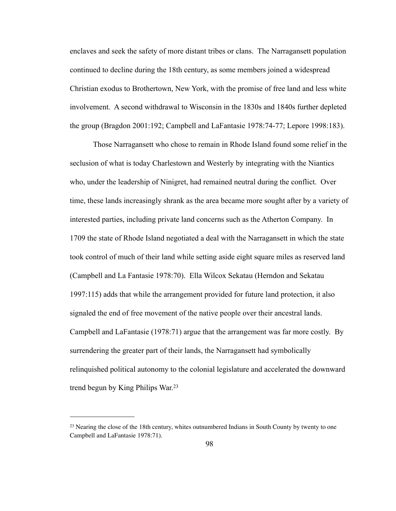enclaves and seek the safety of more distant tribes or clans. The Narragansett population continued to decline during the 18th century, as some members joined a widespread Christian exodus to Brothertown, New York, with the promise of free land and less white involvement. A second withdrawal to Wisconsin in the 1830s and 1840s further depleted the group (Bragdon 2001:192; Campbell and LaFantasie 1978:74-77; Lepore 1998:183).

 Those Narragansett who chose to remain in Rhode Island found some relief in the seclusion of what is today Charlestown and Westerly by integrating with the Niantics who, under the leadership of Ninigret, had remained neutral during the conflict. Over time, these lands increasingly shrank as the area became more sought after by a variety of interested parties, including private land concerns such as the Atherton Company. In 1709 the state of Rhode Island negotiated a deal with the Narragansett in which the state took control of much of their land while setting aside eight square miles as reserved land (Campbell and La Fantasie 1978:70). Ella Wilcox Sekatau (Herndon and Sekatau 1997:115) adds that while the arrangement provided for future land protection, it also signaled the end of free movement of the native people over their ancestral lands. Campbell and LaFantasie (1978:71) argue that the arrangement was far more costly. By surrendering the greater part of their lands, the Narragansett had symbolically relinquished political autonomy to the colonial legislature and accelerated the downward trend begun by King Philips War[.23](#page-105-0)

<span id="page-105-0"></span><sup>&</sup>lt;sup>23</sup> Nearing the close of the 18th century, whites outnumbered Indians in South County by twenty to one Campbell and LaFantasie 1978:71).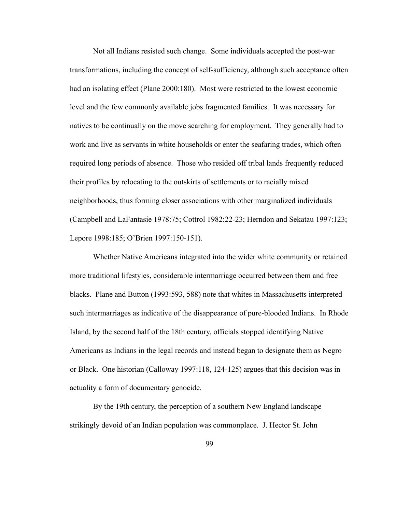Not all Indians resisted such change. Some individuals accepted the post-war transformations, including the concept of self-sufficiency, although such acceptance often had an isolating effect (Plane 2000:180). Most were restricted to the lowest economic level and the few commonly available jobs fragmented families. It was necessary for natives to be continually on the move searching for employment. They generally had to work and live as servants in white households or enter the seafaring trades, which often required long periods of absence. Those who resided off tribal lands frequently reduced their profiles by relocating to the outskirts of settlements or to racially mixed neighborhoods, thus forming closer associations with other marginalized individuals (Campbell and LaFantasie 1978:75; Cottrol 1982:22-23; Herndon and Sekatau 1997:123; Lepore 1998:185; O'Brien 1997:150-151).

 Whether Native Americans integrated into the wider white community or retained more traditional lifestyles, considerable intermarriage occurred between them and free blacks. Plane and Button (1993:593, 588) note that whites in Massachusetts interpreted such intermarriages as indicative of the disappearance of pure-blooded Indians. In Rhode Island, by the second half of the 18th century, officials stopped identifying Native Americans as Indians in the legal records and instead began to designate them as Negro or Black. One historian (Calloway 1997:118, 124-125) argues that this decision was in actuality a form of documentary genocide.

 By the 19th century, the perception of a southern New England landscape strikingly devoid of an Indian population was commonplace. J. Hector St. John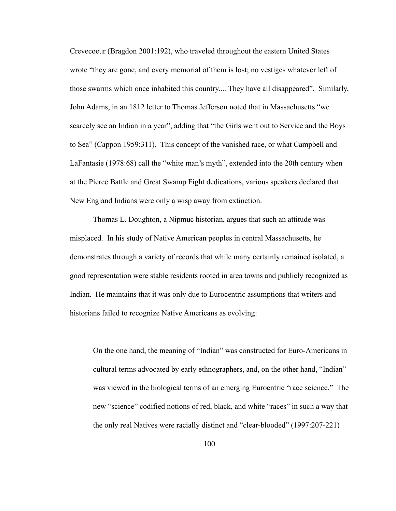Crevecoeur (Bragdon 2001:192), who traveled throughout the eastern United States wrote "they are gone, and every memorial of them is lost; no vestiges whatever left of those swarms which once inhabited this country.... They have all disappeared". Similarly, John Adams, in an 1812 letter to Thomas Jefferson noted that in Massachusetts "we scarcely see an Indian in a year", adding that "the Girls went out to Service and the Boys to Sea" (Cappon 1959:311). This concept of the vanished race, or what Campbell and LaFantasie (1978:68) call the "white man's myth", extended into the 20th century when at the Pierce Battle and Great Swamp Fight dedications, various speakers declared that New England Indians were only a wisp away from extinction.

 Thomas L. Doughton, a Nipmuc historian, argues that such an attitude was misplaced. In his study of Native American peoples in central Massachusetts, he demonstrates through a variety of records that while many certainly remained isolated, a good representation were stable residents rooted in area towns and publicly recognized as Indian. He maintains that it was only due to Eurocentric assumptions that writers and historians failed to recognize Native Americans as evolving:

 On the one hand, the meaning of "Indian" was constructed for Euro-Americans in cultural terms advocated by early ethnographers, and, on the other hand, "Indian" was viewed in the biological terms of an emerging Euroentric "race science." The new "science" codified notions of red, black, and white "races" in such a way that the only real Natives were racially distinct and "clear-blooded" (1997:207-221)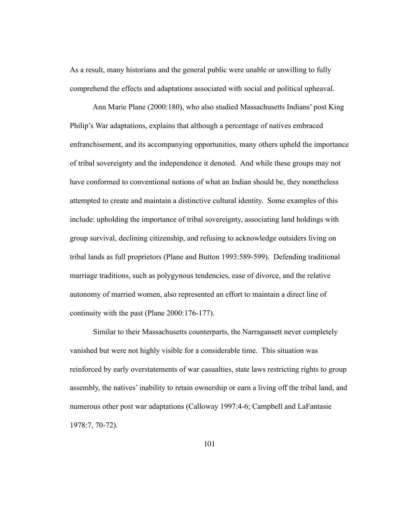As a result, many historians and the general public were unable or unwilling to fully comprehend the effects and adaptations associated with social and political upheaval.

 Ann Marie Plane (2000:180), who also studied Massachusetts Indians' post King Philip's War adaptations, explains that although a percentage of natives embraced enfranchisement, and its accompanying opportunities, many others upheld the importance of tribal sovereignty and the independence it denoted. And while these groups may not have conformed to conventional notions of what an Indian should be, they nonetheless attempted to create and maintain a distinctive cultural identity. Some examples of this include: upholding the importance of tribal sovereignty, associating land holdings with group survival, declining citizenship, and refusing to acknowledge outsiders living on tribal lands as full proprietors (Plane and Button 1993:589-599). Defending traditional marriage traditions, such as polygynous tendencies, ease of divorce, and the relative autonomy of married women, also represented an effort to maintain a direct line of continuity with the past (Plane 2000:176-177).

 Similar to their Massachusetts counterparts, the Narragansett never completely vanished but were not highly visible for a considerable time. This situation was reinforced by early overstatements of war casualties, state laws restricting rights to group assembly, the natives' inability to retain ownership or earn a living off the tribal land, and numerous other post war adaptations (Calloway 1997:4-6; Campbell and LaFantasie 1978:7, 70-72).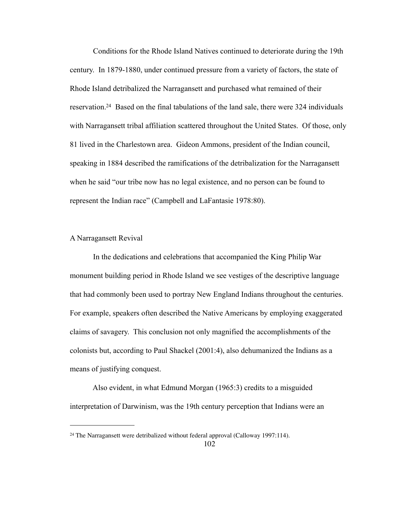Conditions for the Rhode Island Natives continued to deteriorate during the 19th century. In 1879-1880, under continued pressure from a variety of factors, the state of Rhode Island detribalized the Narragansett and purchased what remained of their reservation[.24](#page-109-0) Based on the final tabulations of the land sale, there were 324 individuals with Narragansett tribal affiliation scattered throughout the United States. Of those, only 81 lived in the Charlestown area. Gideon Ammons, president of the Indian council, speaking in 1884 described the ramifications of the detribalization for the Narragansett when he said "our tribe now has no legal existence, and no person can be found to represent the Indian race" (Campbell and LaFantasie 1978:80).

## A Narragansett Revival

 In the dedications and celebrations that accompanied the King Philip War monument building period in Rhode Island we see vestiges of the descriptive language that had commonly been used to portray New England Indians throughout the centuries. For example, speakers often described the Native Americans by employing exaggerated claims of savagery. This conclusion not only magnified the accomplishments of the colonists but, according to Paul Shackel (2001:4), also dehumanized the Indians as a means of justifying conquest.

 Also evident, in what Edmund Morgan (1965:3) credits to a misguided interpretation of Darwinism, was the 19th century perception that Indians were an

<span id="page-109-0"></span><sup>&</sup>lt;sup>24</sup> The Narragansett were detribalized without federal approval (Calloway 1997:114).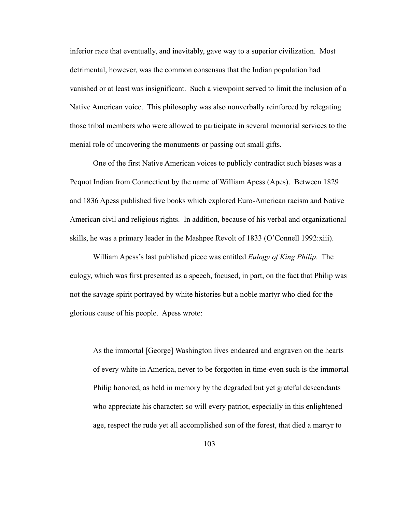inferior race that eventually, and inevitably, gave way to a superior civilization. Most detrimental, however, was the common consensus that the Indian population had vanished or at least was insignificant. Such a viewpoint served to limit the inclusion of a Native American voice. This philosophy was also nonverbally reinforced by relegating those tribal members who were allowed to participate in several memorial services to the menial role of uncovering the monuments or passing out small gifts.

 One of the first Native American voices to publicly contradict such biases was a Pequot Indian from Connecticut by the name of William Apess (Apes). Between 1829 and 1836 Apess published five books which explored Euro-American racism and Native American civil and religious rights. In addition, because of his verbal and organizational skills, he was a primary leader in the Mashpee Revolt of 1833 (O'Connell 1992:xiii).

 William Apess's last published piece was entitled *Eulogy of King Philip*. The eulogy, which was first presented as a speech, focused, in part, on the fact that Philip was not the savage spirit portrayed by white histories but a noble martyr who died for the glorious cause of his people. Apess wrote:

As the immortal [George] Washington lives endeared and engraven on the hearts of every white in America, never to be forgotten in time-even such is the immortal Philip honored, as held in memory by the degraded but yet grateful descendants who appreciate his character; so will every patriot, especially in this enlightened age, respect the rude yet all accomplished son of the forest, that died a martyr to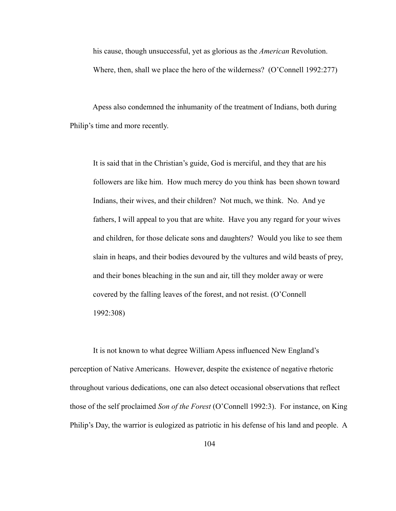his cause, though unsuccessful, yet as glorious as the *American* Revolution. Where, then, shall we place the hero of the wilderness? (O'Connell 1992:277)

 Apess also condemned the inhumanity of the treatment of Indians, both during Philip's time and more recently.

 It is said that in the Christian's guide, God is merciful, and they that are his followers are like him. How much mercy do you think has been shown toward Indians, their wives, and their children? Not much, we think. No. And ye fathers, I will appeal to you that are white. Have you any regard for your wives and children, for those delicate sons and daughters? Would you like to see them slain in heaps, and their bodies devoured by the vultures and wild beasts of prey, and their bones bleaching in the sun and air, till they molder away or were covered by the falling leaves of the forest, and not resist. (O'Connell 1992:308)

 It is not known to what degree William Apess influenced New England's perception of Native Americans. However, despite the existence of negative rhetoric throughout various dedications, one can also detect occasional observations that reflect those of the self proclaimed *Son of the Forest* (O'Connell 1992:3). For instance, on King Philip's Day, the warrior is eulogized as patriotic in his defense of his land and people. A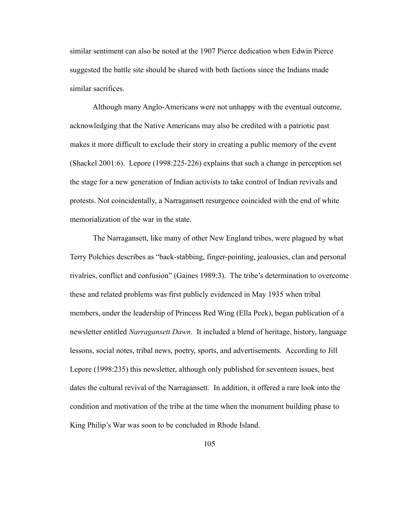similar sentiment can also be noted at the 1907 Pierce dedication when Edwin Pierce suggested the battle site should be shared with both factions since the Indians made similar sacrifices.

 Although many Anglo-Americans were not unhappy with the eventual outcome, acknowledging that the Native Americans may also be credited with a patriotic past makes it more difficult to exclude their story in creating a public memory of the event (Shackel 2001:6). Lepore (1998:225-226) explains that such a change in perception set the stage for a new generation of Indian activists to take control of Indian revivals and protests. Not coincidentally, a Narragansett resurgence coincided with the end of white memorialization of the war in the state.

 The Narragansett, like many of other New England tribes, were plagued by what Terry Polchies describes as "back-stabbing, finger-pointing, jealousies, clan and personal rivalries, conflict and confusion" (Gaines 1989:3). The tribe's determination to overcome these and related problems was first publicly evidenced in May 1935 when tribal members, under the leadership of Princess Red Wing (Ella Peek), began publication of a newsletter entitled *Narragansett Dawn*. It included a blend of heritage, history, language lessons, social notes, tribal news, poetry, sports, and advertisements. According to Jill Lepore (1998:235) this newsletter, although only published for seventeen issues, best dates the cultural revival of the Narragansett. In addition, it offered a rare look into the condition and motivation of the tribe at the time when the monument building phase to King Philip's War was soon to be concluded in Rhode Island.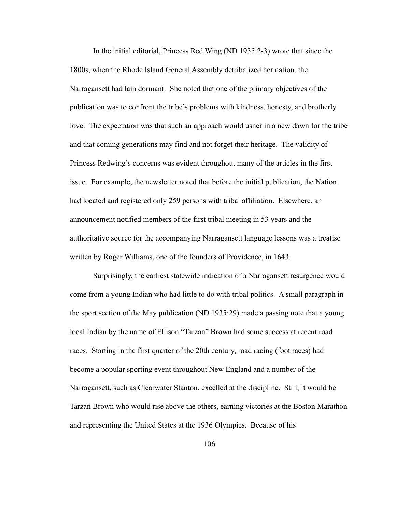In the initial editorial, Princess Red Wing (ND 1935:2-3) wrote that since the 1800s, when the Rhode Island General Assembly detribalized her nation, the Narragansett had lain dormant. She noted that one of the primary objectives of the publication was to confront the tribe's problems with kindness, honesty, and brotherly love. The expectation was that such an approach would usher in a new dawn for the tribe and that coming generations may find and not forget their heritage. The validity of Princess Redwing's concerns was evident throughout many of the articles in the first issue. For example, the newsletter noted that before the initial publication, the Nation had located and registered only 259 persons with tribal affiliation. Elsewhere, an announcement notified members of the first tribal meeting in 53 years and the authoritative source for the accompanying Narragansett language lessons was a treatise written by Roger Williams, one of the founders of Providence, in 1643.

 Surprisingly, the earliest statewide indication of a Narragansett resurgence would come from a young Indian who had little to do with tribal politics. A small paragraph in the sport section of the May publication (ND 1935:29) made a passing note that a young local Indian by the name of Ellison "Tarzan" Brown had some success at recent road races. Starting in the first quarter of the 20th century, road racing (foot races) had become a popular sporting event throughout New England and a number of the Narragansett, such as Clearwater Stanton, excelled at the discipline. Still, it would be Tarzan Brown who would rise above the others, earning victories at the Boston Marathon and representing the United States at the 1936 Olympics. Because of his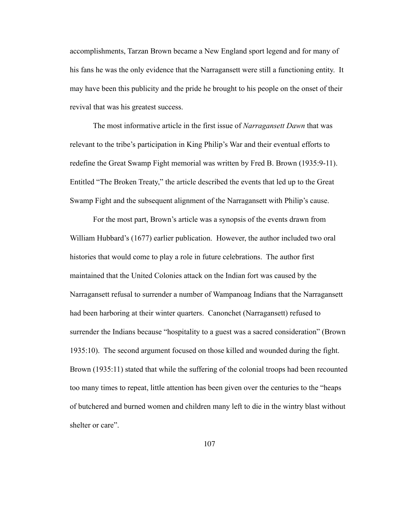accomplishments, Tarzan Brown became a New England sport legend and for many of his fans he was the only evidence that the Narragansett were still a functioning entity. It may have been this publicity and the pride he brought to his people on the onset of their revival that was his greatest success.

 The most informative article in the first issue of *Narragansett Dawn* that was relevant to the tribe's participation in King Philip's War and their eventual efforts to redefine the Great Swamp Fight memorial was written by Fred B. Brown (1935:9-11). Entitled "The Broken Treaty," the article described the events that led up to the Great Swamp Fight and the subsequent alignment of the Narragansett with Philip's cause.

 For the most part, Brown's article was a synopsis of the events drawn from William Hubbard's (1677) earlier publication. However, the author included two oral histories that would come to play a role in future celebrations. The author first maintained that the United Colonies attack on the Indian fort was caused by the Narragansett refusal to surrender a number of Wampanoag Indians that the Narragansett had been harboring at their winter quarters. Canonchet (Narragansett) refused to surrender the Indians because "hospitality to a guest was a sacred consideration" (Brown 1935:10). The second argument focused on those killed and wounded during the fight. Brown (1935:11) stated that while the suffering of the colonial troops had been recounted too many times to repeat, little attention has been given over the centuries to the "heaps of butchered and burned women and children many left to die in the wintry blast without shelter or care".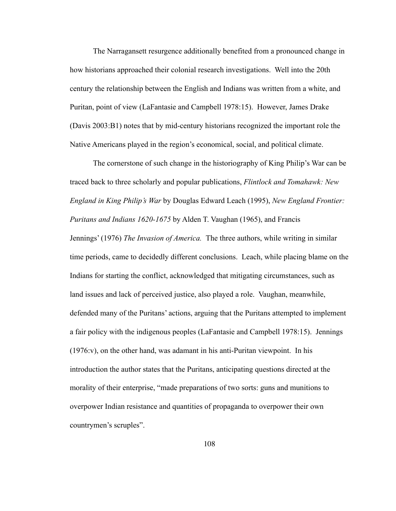The Narragansett resurgence additionally benefited from a pronounced change in how historians approached their colonial research investigations. Well into the 20th century the relationship between the English and Indians was written from a white, and Puritan, point of view (LaFantasie and Campbell 1978:15). However, James Drake (Davis 2003:B1) notes that by mid-century historians recognized the important role the Native Americans played in the region's economical, social, and political climate.

 The cornerstone of such change in the historiography of King Philip's War can be traced back to three scholarly and popular publications, *Flintlock and Tomahawk: New England in King Philip's War* by Douglas Edward Leach (1995), *New England Frontier: Puritans and Indians 1620-1675* by Alden T. Vaughan (1965), and Francis Jennings' (1976) *The Invasion of America.* The three authors, while writing in similar time periods, came to decidedly different conclusions. Leach, while placing blame on the Indians for starting the conflict, acknowledged that mitigating circumstances, such as land issues and lack of perceived justice, also played a role. Vaughan, meanwhile, defended many of the Puritans' actions, arguing that the Puritans attempted to implement a fair policy with the indigenous peoples (LaFantasie and Campbell 1978:15). Jennings (1976:v), on the other hand, was adamant in his anti-Puritan viewpoint. In his introduction the author states that the Puritans, anticipating questions directed at the morality of their enterprise, "made preparations of two sorts: guns and munitions to overpower Indian resistance and quantities of propaganda to overpower their own countrymen's scruples".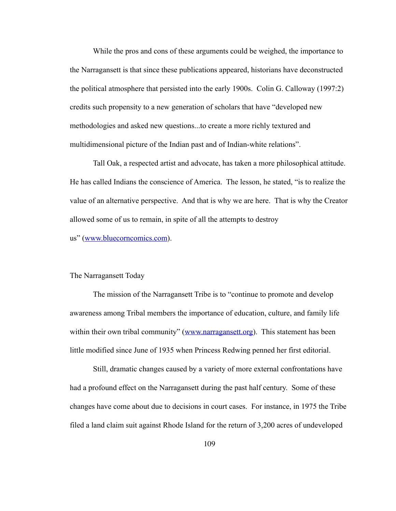While the pros and cons of these arguments could be weighed, the importance to the Narragansett is that since these publications appeared, historians have deconstructed the political atmosphere that persisted into the early 1900s. Colin G. Calloway (1997:2) credits such propensity to a new generation of scholars that have "developed new methodologies and asked new questions...to create a more richly textured and multidimensional picture of the Indian past and of Indian-white relations".

 Tall Oak, a respected artist and advocate, has taken a more philosophical attitude. He has called Indians the conscience of America. The lesson, he stated, "is to realize the value of an alternative perspective. And that is why we are here. That is why the Creator allowed some of us to remain, in spite of all the attempts to destroy us" ([www.bluecorncomics.com\)](http://www.bluecorncomics.com).

## The Narragansett Today

 The mission of the Narragansett Tribe is to "continue to promote and develop awareness among Tribal members the importance of education, culture, and family life within their own tribal community" ([www.narragansett.org](http://www.narragansett.org)). This statement has been little modified since June of 1935 when Princess Redwing penned her first editorial.

 Still, dramatic changes caused by a variety of more external confrontations have had a profound effect on the Narragansett during the past half century. Some of these changes have come about due to decisions in court cases. For instance, in 1975 the Tribe filed a land claim suit against Rhode Island for the return of 3,200 acres of undeveloped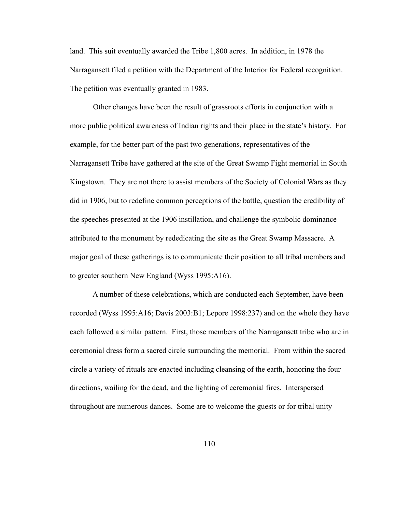land. This suit eventually awarded the Tribe 1,800 acres. In addition, in 1978 the Narragansett filed a petition with the Department of the Interior for Federal recognition. The petition was eventually granted in 1983.

 Other changes have been the result of grassroots efforts in conjunction with a more public political awareness of Indian rights and their place in the state's history. For example, for the better part of the past two generations, representatives of the Narragansett Tribe have gathered at the site of the Great Swamp Fight memorial in South Kingstown. They are not there to assist members of the Society of Colonial Wars as they did in 1906, but to redefine common perceptions of the battle, question the credibility of the speeches presented at the 1906 instillation, and challenge the symbolic dominance attributed to the monument by rededicating the site as the Great Swamp Massacre. A major goal of these gatherings is to communicate their position to all tribal members and to greater southern New England (Wyss 1995:A16).

 A number of these celebrations, which are conducted each September, have been recorded (Wyss 1995:A16; Davis 2003:B1; Lepore 1998:237) and on the whole they have each followed a similar pattern. First, those members of the Narragansett tribe who are in ceremonial dress form a sacred circle surrounding the memorial. From within the sacred circle a variety of rituals are enacted including cleansing of the earth, honoring the four directions, wailing for the dead, and the lighting of ceremonial fires. Interspersed throughout are numerous dances. Some are to welcome the guests or for tribal unity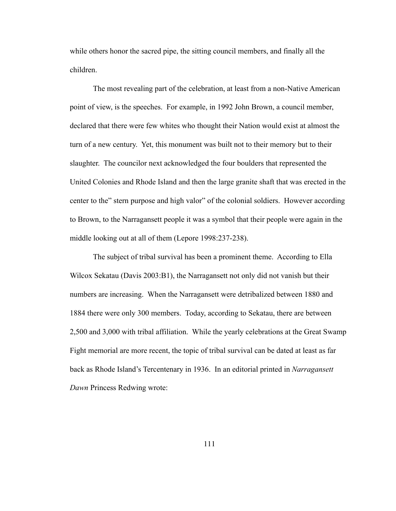while others honor the sacred pipe, the sitting council members, and finally all the children.

 The most revealing part of the celebration, at least from a non-Native American point of view, is the speeches. For example, in 1992 John Brown, a council member, declared that there were few whites who thought their Nation would exist at almost the turn of a new century. Yet, this monument was built not to their memory but to their slaughter. The councilor next acknowledged the four boulders that represented the United Colonies and Rhode Island and then the large granite shaft that was erected in the center to the" stern purpose and high valor" of the colonial soldiers. However according to Brown, to the Narragansett people it was a symbol that their people were again in the middle looking out at all of them (Lepore 1998:237-238).

 The subject of tribal survival has been a prominent theme. According to Ella Wilcox Sekatau (Davis 2003:B1), the Narragansett not only did not vanish but their numbers are increasing. When the Narragansett were detribalized between 1880 and 1884 there were only 300 members. Today, according to Sekatau, there are between 2,500 and 3,000 with tribal affiliation. While the yearly celebrations at the Great Swamp Fight memorial are more recent, the topic of tribal survival can be dated at least as far back as Rhode Island's Tercentenary in 1936. In an editorial printed in *Narragansett Dawn* Princess Redwing wrote: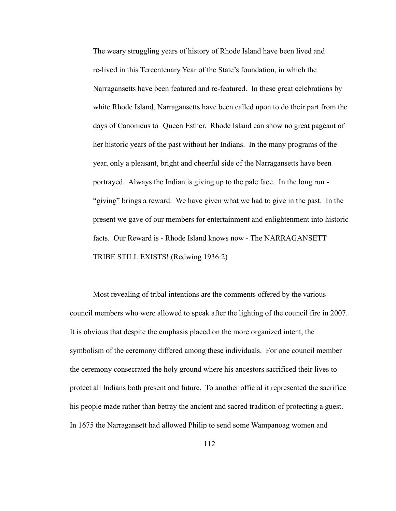The weary struggling years of history of Rhode Island have been lived and re-lived in this Tercentenary Year of the State's foundation, in which the Narragansetts have been featured and re-featured. In these great celebrations by white Rhode Island, Narragansetts have been called upon to do their part from the days of Canonicus to Queen Esther. Rhode Island can show no great pageant of her historic years of the past without her Indians. In the many programs of the year, only a pleasant, bright and cheerful side of the Narragansetts have been portrayed. Always the Indian is giving up to the pale face. In the long run - "giving" brings a reward. We have given what we had to give in the past. In the present we gave of our members for entertainment and enlightenment into historic facts. Our Reward is - Rhode Island knows now - The NARRAGANSETT TRIBE STILL EXISTS! (Redwing 1936:2)

 Most revealing of tribal intentions are the comments offered by the various council members who were allowed to speak after the lighting of the council fire in 2007. It is obvious that despite the emphasis placed on the more organized intent, the symbolism of the ceremony differed among these individuals. For one council member the ceremony consecrated the holy ground where his ancestors sacrificed their lives to protect all Indians both present and future. To another official it represented the sacrifice his people made rather than betray the ancient and sacred tradition of protecting a guest. In 1675 the Narragansett had allowed Philip to send some Wampanoag women and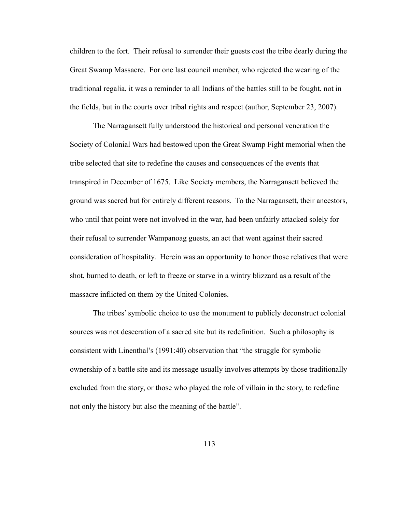children to the fort. Their refusal to surrender their guests cost the tribe dearly during the Great Swamp Massacre. For one last council member, who rejected the wearing of the traditional regalia, it was a reminder to all Indians of the battles still to be fought, not in the fields, but in the courts over tribal rights and respect (author, September 23, 2007).

 The Narragansett fully understood the historical and personal veneration the Society of Colonial Wars had bestowed upon the Great Swamp Fight memorial when the tribe selected that site to redefine the causes and consequences of the events that transpired in December of 1675. Like Society members, the Narragansett believed the ground was sacred but for entirely different reasons. To the Narragansett, their ancestors, who until that point were not involved in the war, had been unfairly attacked solely for their refusal to surrender Wampanoag guests, an act that went against their sacred consideration of hospitality. Herein was an opportunity to honor those relatives that were shot, burned to death, or left to freeze or starve in a wintry blizzard as a result of the massacre inflicted on them by the United Colonies.

 The tribes' symbolic choice to use the monument to publicly deconstruct colonial sources was not desecration of a sacred site but its redefinition. Such a philosophy is consistent with Linenthal's (1991:40) observation that "the struggle for symbolic ownership of a battle site and its message usually involves attempts by those traditionally excluded from the story, or those who played the role of villain in the story, to redefine not only the history but also the meaning of the battle".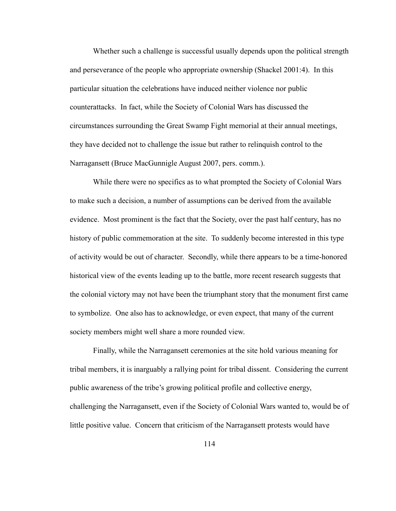Whether such a challenge is successful usually depends upon the political strength and perseverance of the people who appropriate ownership (Shackel 2001:4). In this particular situation the celebrations have induced neither violence nor public counterattacks. In fact, while the Society of Colonial Wars has discussed the circumstances surrounding the Great Swamp Fight memorial at their annual meetings, they have decided not to challenge the issue but rather to relinquish control to the Narragansett (Bruce MacGunnigle August 2007, pers. comm.).

 While there were no specifics as to what prompted the Society of Colonial Wars to make such a decision, a number of assumptions can be derived from the available evidence. Most prominent is the fact that the Society, over the past half century, has no history of public commemoration at the site. To suddenly become interested in this type of activity would be out of character. Secondly, while there appears to be a time-honored historical view of the events leading up to the battle, more recent research suggests that the colonial victory may not have been the triumphant story that the monument first came to symbolize. One also has to acknowledge, or even expect, that many of the current society members might well share a more rounded view.

 Finally, while the Narragansett ceremonies at the site hold various meaning for tribal members, it is inarguably a rallying point for tribal dissent. Considering the current public awareness of the tribe's growing political profile and collective energy, challenging the Narragansett, even if the Society of Colonial Wars wanted to, would be of little positive value. Concern that criticism of the Narragansett protests would have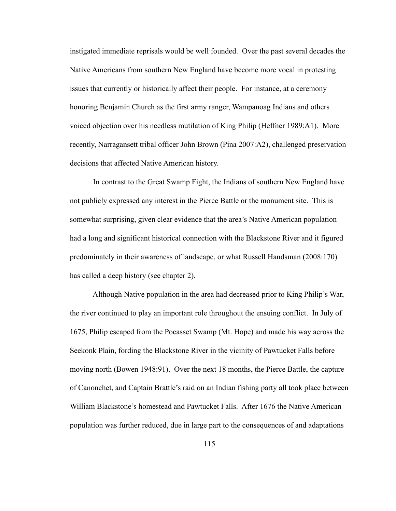instigated immediate reprisals would be well founded. Over the past several decades the Native Americans from southern New England have become more vocal in protesting issues that currently or historically affect their people. For instance, at a ceremony honoring Benjamin Church as the first army ranger, Wampanoag Indians and others voiced objection over his needless mutilation of King Philip (Heffner 1989:A1). More recently, Narragansett tribal officer John Brown (Pina 2007:A2), challenged preservation decisions that affected Native American history.

 In contrast to the Great Swamp Fight, the Indians of southern New England have not publicly expressed any interest in the Pierce Battle or the monument site. This is somewhat surprising, given clear evidence that the area's Native American population had a long and significant historical connection with the Blackstone River and it figured predominately in their awareness of landscape, or what Russell Handsman (2008:170) has called a deep history (see chapter 2).

 Although Native population in the area had decreased prior to King Philip's War, the river continued to play an important role throughout the ensuing conflict. In July of 1675, Philip escaped from the Pocasset Swamp (Mt. Hope) and made his way across the Seekonk Plain, fording the Blackstone River in the vicinity of Pawtucket Falls before moving north (Bowen 1948:91). Over the next 18 months, the Pierce Battle, the capture of Canonchet, and Captain Brattle's raid on an Indian fishing party all took place between William Blackstone's homestead and Pawtucket Falls. After 1676 the Native American population was further reduced, due in large part to the consequences of and adaptations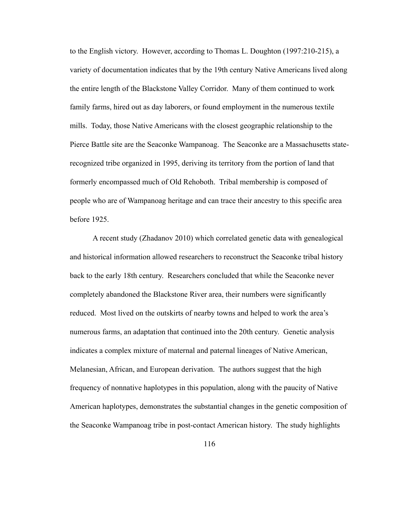to the English victory. However, according to Thomas L. Doughton (1997:210-215), a variety of documentation indicates that by the 19th century Native Americans lived along the entire length of the Blackstone Valley Corridor. Many of them continued to work family farms, hired out as day laborers, or found employment in the numerous textile mills. Today, those Native Americans with the closest geographic relationship to the Pierce Battle site are the Seaconke Wampanoag. The Seaconke are a Massachusetts staterecognized tribe organized in 1995, deriving its territory from the portion of land that formerly encompassed much of Old Rehoboth. Tribal membership is composed of people who are of Wampanoag heritage and can trace their ancestry to this specific area before 1925.

 A recent study (Zhadanov 2010) which correlated genetic data with genealogical and historical information allowed researchers to reconstruct the Seaconke tribal history back to the early 18th century. Researchers concluded that while the Seaconke never completely abandoned the Blackstone River area, their numbers were significantly reduced. Most lived on the outskirts of nearby towns and helped to work the area's numerous farms, an adaptation that continued into the 20th century. Genetic analysis indicates a complex mixture of maternal and paternal lineages of Native American, Melanesian, African, and European derivation. The authors suggest that the high frequency of nonnative haplotypes in this population, along with the paucity of Native American haplotypes, demonstrates the substantial changes in the genetic composition of the Seaconke Wampanoag tribe in post-contact American history. The study highlights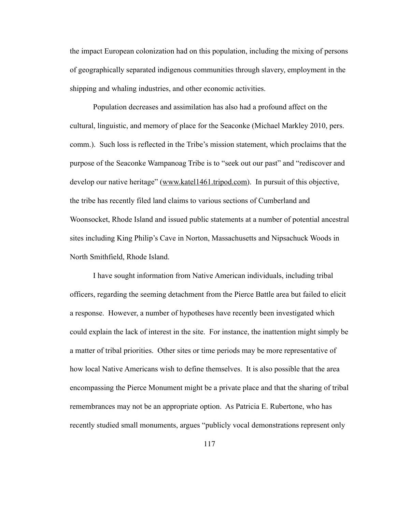the impact European colonization had on this population, including the mixing of persons of geographically separated indigenous communities through slavery, employment in the shipping and whaling industries, and other economic activities.

Population decreases and assimilation has also had a profound affect on the cultural, linguistic, and memory of place for the Seaconke (Michael Markley 2010, pers. comm.). Such loss is reflected in the Tribe's mission statement, which proclaims that the purpose of the Seaconke Wampanoag Tribe is to "seek out our past" and "rediscover and develop our native heritage" [\(www.katel1461.tripod.com](http://www.katel1461.tripod.com)). In pursuit of this objective, the tribe has recently filed land claims to various sections of Cumberland and Woonsocket, Rhode Island and issued public statements at a number of potential ancestral sites including King Philip's Cave in Norton, Massachusetts and Nipsachuck Woods in North Smithfield, Rhode Island.

 I have sought information from Native American individuals, including tribal officers, regarding the seeming detachment from the Pierce Battle area but failed to elicit a response. However, a number of hypotheses have recently been investigated which could explain the lack of interest in the site. For instance, the inattention might simply be a matter of tribal priorities. Other sites or time periods may be more representative of how local Native Americans wish to define themselves. It is also possible that the area encompassing the Pierce Monument might be a private place and that the sharing of tribal remembrances may not be an appropriate option. As Patricia E. Rubertone, who has recently studied small monuments, argues "publicly vocal demonstrations represent only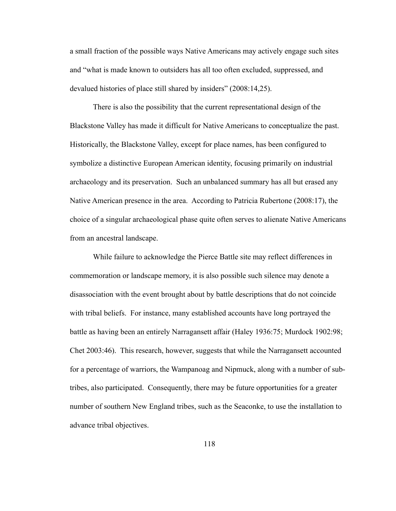a small fraction of the possible ways Native Americans may actively engage such sites and "what is made known to outsiders has all too often excluded, suppressed, and devalued histories of place still shared by insiders" (2008:14,25).

 There is also the possibility that the current representational design of the Blackstone Valley has made it difficult for Native Americans to conceptualize the past. Historically, the Blackstone Valley, except for place names, has been configured to symbolize a distinctive European American identity, focusing primarily on industrial archaeology and its preservation. Such an unbalanced summary has all but erased any Native American presence in the area. According to Patricia Rubertone (2008:17), the choice of a singular archaeological phase quite often serves to alienate Native Americans from an ancestral landscape.

 While failure to acknowledge the Pierce Battle site may reflect differences in commemoration or landscape memory, it is also possible such silence may denote a disassociation with the event brought about by battle descriptions that do not coincide with tribal beliefs. For instance, many established accounts have long portrayed the battle as having been an entirely Narragansett affair (Haley 1936:75; Murdock 1902:98; Chet 2003:46). This research, however, suggests that while the Narragansett accounted for a percentage of warriors, the Wampanoag and Nipmuck, along with a number of subtribes, also participated. Consequently, there may be future opportunities for a greater number of southern New England tribes, such as the Seaconke, to use the installation to advance tribal objectives.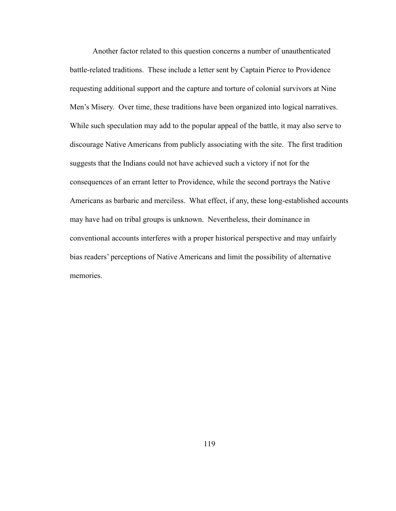Another factor related to this question concerns a number of unauthenticated battle-related traditions. These include a letter sent by Captain Pierce to Providence requesting additional support and the capture and torture of colonial survivors at Nine Men's Misery. Over time, these traditions have been organized into logical narratives. While such speculation may add to the popular appeal of the battle, it may also serve to discourage Native Americans from publicly associating with the site. The first tradition suggests that the Indians could not have achieved such a victory if not for the consequences of an errant letter to Providence, while the second portrays the Native Americans as barbaric and merciless. What effect, if any, these long-established accounts may have had on tribal groups is unknown. Nevertheless, their dominance in conventional accounts interferes with a proper historical perspective and may unfairly bias readers' perceptions of Native Americans and limit the possibility of alternative memories.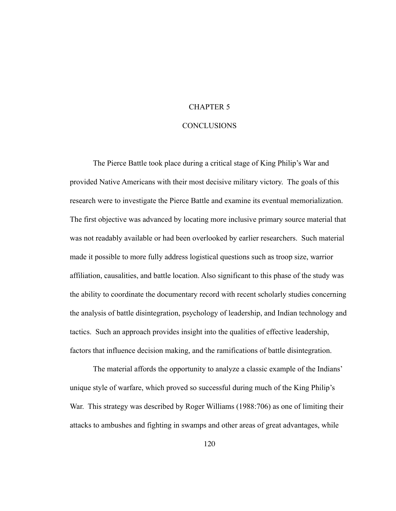# CHAPTER 5

## CONCLUSIONS

 The Pierce Battle took place during a critical stage of King Philip's War and provided Native Americans with their most decisive military victory. The goals of this research were to investigate the Pierce Battle and examine its eventual memorialization. The first objective was advanced by locating more inclusive primary source material that was not readably available or had been overlooked by earlier researchers. Such material made it possible to more fully address logistical questions such as troop size, warrior affiliation, causalities, and battle location. Also significant to this phase of the study was the ability to coordinate the documentary record with recent scholarly studies concerning the analysis of battle disintegration, psychology of leadership, and Indian technology and tactics. Such an approach provides insight into the qualities of effective leadership, factors that influence decision making, and the ramifications of battle disintegration.

 The material affords the opportunity to analyze a classic example of the Indians' unique style of warfare, which proved so successful during much of the King Philip's War. This strategy was described by Roger Williams (1988:706) as one of limiting their attacks to ambushes and fighting in swamps and other areas of great advantages, while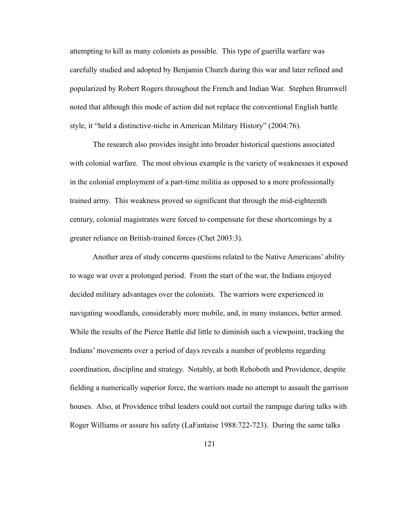attempting to kill as many colonists as possible. This type of guerilla warfare was carefully studied and adopted by Benjamin Church during this war and later refined and popularized by Robert Rogers throughout the French and Indian War. Stephen Brumwell noted that although this mode of action did not replace the conventional English battle style, it "held a distinctive-niche in American Military History" (2004:76).

 The research also provides insight into broader historical questions associated with colonial warfare. The most obvious example is the variety of weaknesses it exposed in the colonial employment of a part-time militia as opposed to a more professionally trained army. This weakness proved so significant that through the mid-eighteenth century, colonial magistrates were forced to compensate for these shortcomings by a greater reliance on British-trained forces (Chet 2003:3).

 Another area of study concerns questions related to the Native Americans' ability to wage war over a prolonged period. From the start of the war, the Indians enjoyed decided military advantages over the colonists. The warriors were experienced in navigating woodlands, considerably more mobile, and, in many instances, better armed. While the results of the Pierce Battle did little to diminish such a viewpoint, tracking the Indians' movements over a period of days reveals a number of problems regarding coordination, discipline and strategy. Notably, at both Rehoboth and Providence, despite fielding a numerically superior force, the warriors made no attempt to assault the garrison houses. Also, at Providence tribal leaders could not curtail the rampage during talks with Roger Williams or assure his safety (LaFantaise 1988:722-723). During the same talks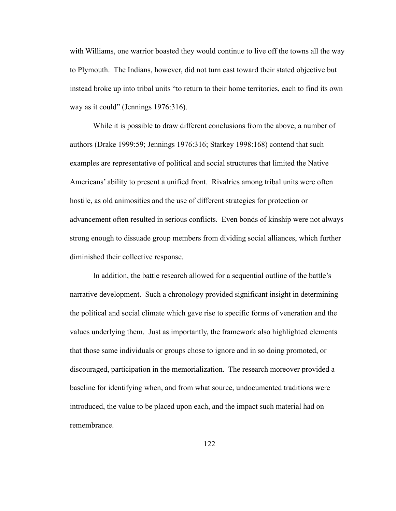with Williams, one warrior boasted they would continue to live off the towns all the way to Plymouth. The Indians, however, did not turn east toward their stated objective but instead broke up into tribal units "to return to their home territories, each to find its own way as it could" (Jennings 1976:316).

 While it is possible to draw different conclusions from the above, a number of authors (Drake 1999:59; Jennings 1976:316; Starkey 1998:168) contend that such examples are representative of political and social structures that limited the Native Americans' ability to present a unified front. Rivalries among tribal units were often hostile, as old animosities and the use of different strategies for protection or advancement often resulted in serious conflicts. Even bonds of kinship were not always strong enough to dissuade group members from dividing social alliances, which further diminished their collective response.

 In addition, the battle research allowed for a sequential outline of the battle's narrative development. Such a chronology provided significant insight in determining the political and social climate which gave rise to specific forms of veneration and the values underlying them. Just as importantly, the framework also highlighted elements that those same individuals or groups chose to ignore and in so doing promoted, or discouraged, participation in the memorialization. The research moreover provided a baseline for identifying when, and from what source, undocumented traditions were introduced, the value to be placed upon each, and the impact such material had on remembrance.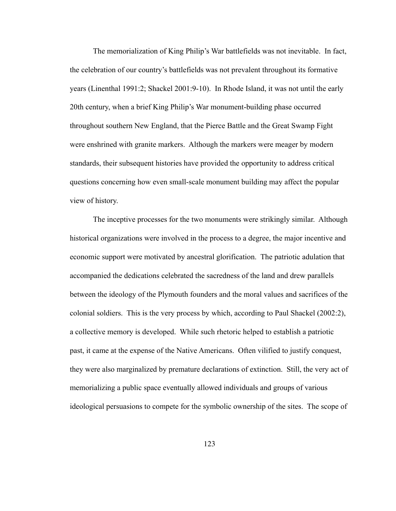The memorialization of King Philip's War battlefields was not inevitable. In fact, the celebration of our country's battlefields was not prevalent throughout its formative years (Linenthal 1991:2; Shackel 2001:9-10). In Rhode Island, it was not until the early 20th century, when a brief King Philip's War monument-building phase occurred throughout southern New England, that the Pierce Battle and the Great Swamp Fight were enshrined with granite markers. Although the markers were meager by modern standards, their subsequent histories have provided the opportunity to address critical questions concerning how even small-scale monument building may affect the popular view of history.

 The inceptive processes for the two monuments were strikingly similar. Although historical organizations were involved in the process to a degree, the major incentive and economic support were motivated by ancestral glorification. The patriotic adulation that accompanied the dedications celebrated the sacredness of the land and drew parallels between the ideology of the Plymouth founders and the moral values and sacrifices of the colonial soldiers. This is the very process by which, according to Paul Shackel (2002:2), a collective memory is developed. While such rhetoric helped to establish a patriotic past, it came at the expense of the Native Americans. Often vilified to justify conquest, they were also marginalized by premature declarations of extinction. Still, the very act of memorializing a public space eventually allowed individuals and groups of various ideological persuasions to compete for the symbolic ownership of the sites. The scope of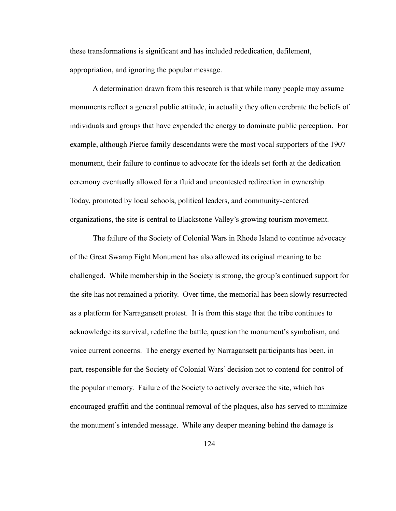these transformations is significant and has included rededication, defilement, appropriation, and ignoring the popular message.

 A determination drawn from this research is that while many people may assume monuments reflect a general public attitude, in actuality they often cerebrate the beliefs of individuals and groups that have expended the energy to dominate public perception. For example, although Pierce family descendants were the most vocal supporters of the 1907 monument, their failure to continue to advocate for the ideals set forth at the dedication ceremony eventually allowed for a fluid and uncontested redirection in ownership. Today, promoted by local schools, political leaders, and community-centered organizations, the site is central to Blackstone Valley's growing tourism movement.

 The failure of the Society of Colonial Wars in Rhode Island to continue advocacy of the Great Swamp Fight Monument has also allowed its original meaning to be challenged. While membership in the Society is strong, the group's continued support for the site has not remained a priority. Over time, the memorial has been slowly resurrected as a platform for Narragansett protest. It is from this stage that the tribe continues to acknowledge its survival, redefine the battle, question the monument's symbolism, and voice current concerns. The energy exerted by Narragansett participants has been, in part, responsible for the Society of Colonial Wars' decision not to contend for control of the popular memory. Failure of the Society to actively oversee the site, which has encouraged graffiti and the continual removal of the plaques, also has served to minimize the monument's intended message. While any deeper meaning behind the damage is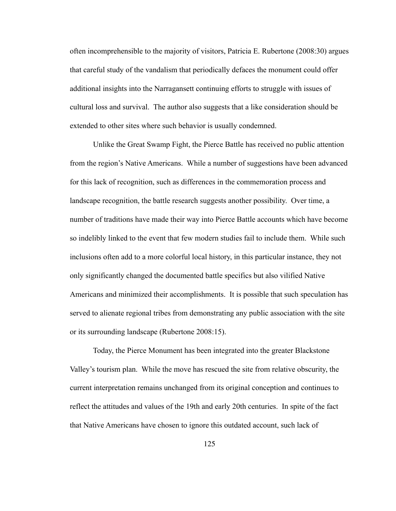often incomprehensible to the majority of visitors, Patricia E. Rubertone (2008:30) argues that careful study of the vandalism that periodically defaces the monument could offer additional insights into the Narragansett continuing efforts to struggle with issues of cultural loss and survival. The author also suggests that a like consideration should be extended to other sites where such behavior is usually condemned.

Unlike the Great Swamp Fight, the Pierce Battle has received no public attention from the region's Native Americans. While a number of suggestions have been advanced for this lack of recognition, such as differences in the commemoration process and landscape recognition, the battle research suggests another possibility. Over time, a number of traditions have made their way into Pierce Battle accounts which have become so indelibly linked to the event that few modern studies fail to include them. While such inclusions often add to a more colorful local history, in this particular instance, they not only significantly changed the documented battle specifics but also vilified Native Americans and minimized their accomplishments. It is possible that such speculation has served to alienate regional tribes from demonstrating any public association with the site or its surrounding landscape (Rubertone 2008:15).

 Today, the Pierce Monument has been integrated into the greater Blackstone Valley's tourism plan. While the move has rescued the site from relative obscurity, the current interpretation remains unchanged from its original conception and continues to reflect the attitudes and values of the 19th and early 20th centuries. In spite of the fact that Native Americans have chosen to ignore this outdated account, such lack of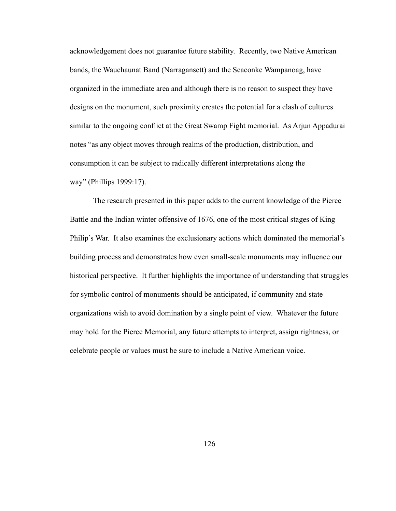acknowledgement does not guarantee future stability. Recently, two Native American bands, the Wauchaunat Band (Narragansett) and the Seaconke Wampanoag, have organized in the immediate area and although there is no reason to suspect they have designs on the monument, such proximity creates the potential for a clash of cultures similar to the ongoing conflict at the Great Swamp Fight memorial. As Arjun Appadurai notes "as any object moves through realms of the production, distribution, and consumption it can be subject to radically different interpretations along the way" (Phillips 1999:17).

 The research presented in this paper adds to the current knowledge of the Pierce Battle and the Indian winter offensive of 1676, one of the most critical stages of King Philip's War. It also examines the exclusionary actions which dominated the memorial's building process and demonstrates how even small-scale monuments may influence our historical perspective. It further highlights the importance of understanding that struggles for symbolic control of monuments should be anticipated, if community and state organizations wish to avoid domination by a single point of view. Whatever the future may hold for the Pierce Memorial, any future attempts to interpret, assign rightness, or celebrate people or values must be sure to include a Native American voice.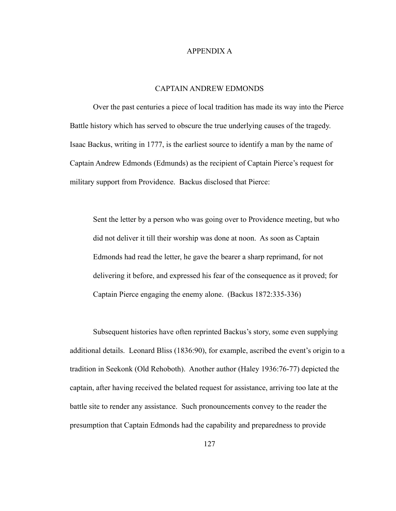#### APPENDIX A

## CAPTAIN ANDREW EDMONDS

 Over the past centuries a piece of local tradition has made its way into the Pierce Battle history which has served to obscure the true underlying causes of the tragedy. Isaac Backus, writing in 1777, is the earliest source to identify a man by the name of Captain Andrew Edmonds (Edmunds) as the recipient of Captain Pierce's request for military support from Providence. Backus disclosed that Pierce:

 Sent the letter by a person who was going over to Providence meeting, but who did not deliver it till their worship was done at noon. As soon as Captain Edmonds had read the letter, he gave the bearer a sharp reprimand, for not delivering it before, and expressed his fear of the consequence as it proved; for Captain Pierce engaging the enemy alone. (Backus 1872:335-336)

 Subsequent histories have often reprinted Backus's story, some even supplying additional details. Leonard Bliss (1836:90), for example, ascribed the event's origin to a tradition in Seekonk (Old Rehoboth). Another author (Haley 1936:76-77) depicted the captain, after having received the belated request for assistance, arriving too late at the battle site to render any assistance. Such pronouncements convey to the reader the presumption that Captain Edmonds had the capability and preparedness to provide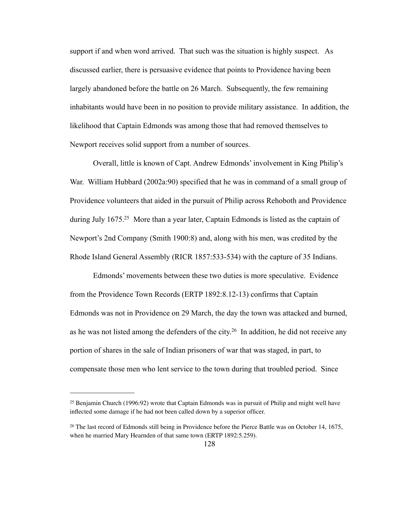support if and when word arrived. That such was the situation is highly suspect. As discussed earlier, there is persuasive evidence that points to Providence having been largely abandoned before the battle on 26 March. Subsequently, the few remaining inhabitants would have been in no position to provide military assistance. In addition, the likelihood that Captain Edmonds was among those that had removed themselves to Newport receives solid support from a number of sources.

 Overall, little is known of Capt. Andrew Edmonds' involvement in King Philip's War. William Hubbard (2002a:90) specified that he was in command of a small group of Providence volunteers that aided in the pursuit of Philip across Rehoboth and Providence during July 1675.<sup>25</sup> More than a year later, Captain Edmonds is listed as the captain of Newport's 2nd Company (Smith 1900:8) and, along with his men, was credited by the Rhode Island General Assembly (RICR 1857:533-534) with the capture of 35 Indians.

 Edmonds' movements between these two duties is more speculative. Evidence from the Providence Town Records (ERTP 1892:8.12-13) confirms that Captain Edmonds was not in Providence on 29 March, the day the town was attacked and burned, as he was not listed among the defenders of the city[.26](#page-135-1) In addition, he did not receive any portion of shares in the sale of Indian prisoners of war that was staged, in part, to compensate those men who lent service to the town during that troubled period. Since

<span id="page-135-0"></span><sup>25</sup> Benjamin Church (1996:92) wrote that Captain Edmonds was in pursuit of Philip and might well have inflected some damage if he had not been called down by a superior officer.

<span id="page-135-1"></span><sup>26</sup> The last record of Edmonds still being in Providence before the Pierce Battle was on October 14, 1675, when he married Mary Hearnden of that same town (ERTP 1892:5.259).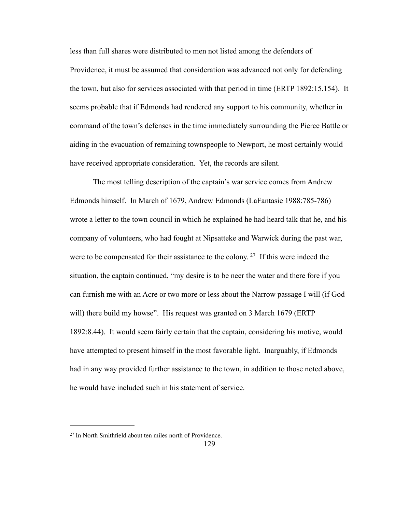less than full shares were distributed to men not listed among the defenders of Providence, it must be assumed that consideration was advanced not only for defending the town, but also for services associated with that period in time (ERTP 1892:15.154). It seems probable that if Edmonds had rendered any support to his community, whether in command of the town's defenses in the time immediately surrounding the Pierce Battle or aiding in the evacuation of remaining townspeople to Newport, he most certainly would have received appropriate consideration. Yet, the records are silent.

 The most telling description of the captain's war service comes from Andrew Edmonds himself. In March of 1679, Andrew Edmonds (LaFantasie 1988:785-786) wrote a letter to the town council in which he explained he had heard talk that he, and his company of volunteers, who had fought at Nipsatteke and Warwick during the past war, were to be compensated for their assistance to the colony.<sup>27</sup> If this were indeed the situation, the captain continued, "my desire is to be neer the water and there fore if you can furnish me with an Acre or two more or less about the Narrow passage I will (if God will) there build my howse". His request was granted on 3 March 1679 (ERTP) 1892:8.44). It would seem fairly certain that the captain, considering his motive, would have attempted to present himself in the most favorable light. Inarguably, if Edmonds had in any way provided further assistance to the town, in addition to those noted above, he would have included such in his statement of service.

<span id="page-136-0"></span><sup>27</sup> In North Smithfield about ten miles north of Providence.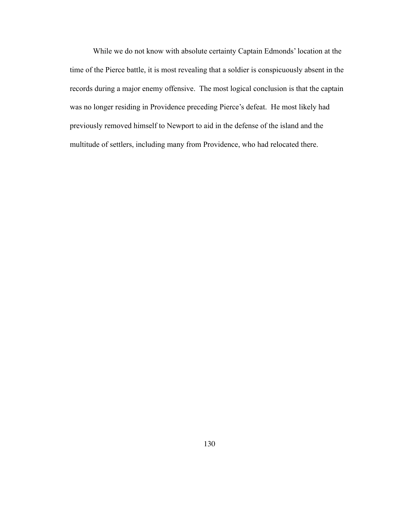While we do not know with absolute certainty Captain Edmonds' location at the time of the Pierce battle, it is most revealing that a soldier is conspicuously absent in the records during a major enemy offensive. The most logical conclusion is that the captain was no longer residing in Providence preceding Pierce's defeat. He most likely had previously removed himself to Newport to aid in the defense of the island and the multitude of settlers, including many from Providence, who had relocated there.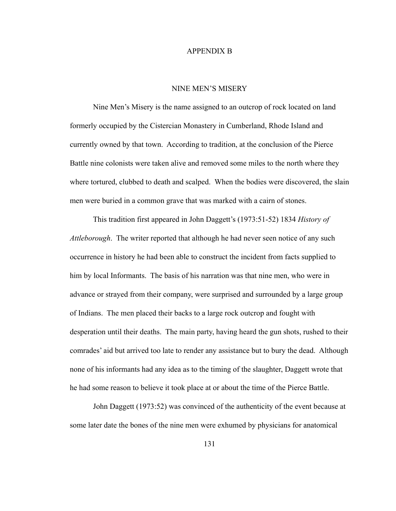#### APPENDIX B

#### NINE MEN'S MISERY

 Nine Men's Misery is the name assigned to an outcrop of rock located on land formerly occupied by the Cistercian Monastery in Cumberland, Rhode Island and currently owned by that town. According to tradition, at the conclusion of the Pierce Battle nine colonists were taken alive and removed some miles to the north where they where tortured, clubbed to death and scalped. When the bodies were discovered, the slain men were buried in a common grave that was marked with a cairn of stones.

 This tradition first appeared in John Daggett's (1973:51-52) 1834 *History of Attleborough*. The writer reported that although he had never seen notice of any such occurrence in history he had been able to construct the incident from facts supplied to him by local Informants. The basis of his narration was that nine men, who were in advance or strayed from their company, were surprised and surrounded by a large group of Indians. The men placed their backs to a large rock outcrop and fought with desperation until their deaths. The main party, having heard the gun shots, rushed to their comrades' aid but arrived too late to render any assistance but to bury the dead. Although none of his informants had any idea as to the timing of the slaughter, Daggett wrote that he had some reason to believe it took place at or about the time of the Pierce Battle.

 John Daggett (1973:52) was convinced of the authenticity of the event because at some later date the bones of the nine men were exhumed by physicians for anatomical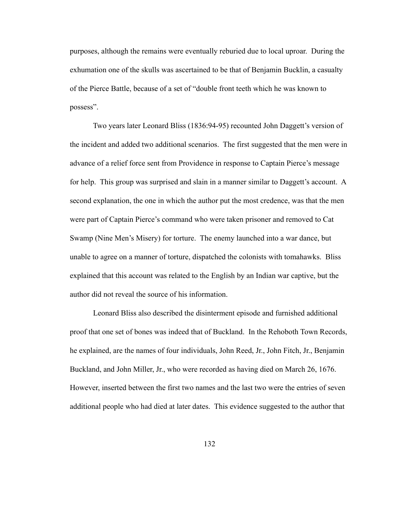purposes, although the remains were eventually reburied due to local uproar. During the exhumation one of the skulls was ascertained to be that of Benjamin Bucklin, a casualty of the Pierce Battle, because of a set of "double front teeth which he was known to possess".

 Two years later Leonard Bliss (1836:94-95) recounted John Daggett's version of the incident and added two additional scenarios. The first suggested that the men were in advance of a relief force sent from Providence in response to Captain Pierce's message for help. This group was surprised and slain in a manner similar to Daggett's account. A second explanation, the one in which the author put the most credence, was that the men were part of Captain Pierce's command who were taken prisoner and removed to Cat Swamp (Nine Men's Misery) for torture. The enemy launched into a war dance, but unable to agree on a manner of torture, dispatched the colonists with tomahawks. Bliss explained that this account was related to the English by an Indian war captive, but the author did not reveal the source of his information.

 Leonard Bliss also described the disinterment episode and furnished additional proof that one set of bones was indeed that of Buckland. In the Rehoboth Town Records, he explained, are the names of four individuals, John Reed, Jr., John Fitch, Jr., Benjamin Buckland, and John Miller, Jr., who were recorded as having died on March 26, 1676. However, inserted between the first two names and the last two were the entries of seven additional people who had died at later dates. This evidence suggested to the author that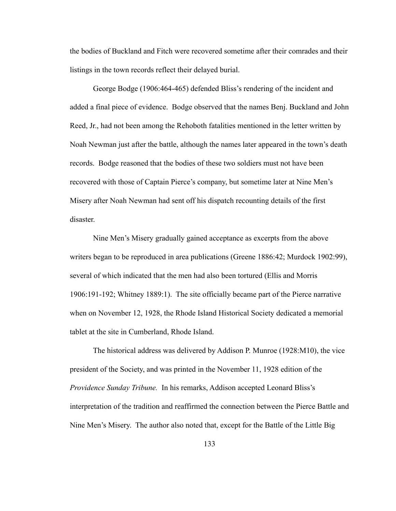the bodies of Buckland and Fitch were recovered sometime after their comrades and their listings in the town records reflect their delayed burial.

 George Bodge (1906:464-465) defended Bliss's rendering of the incident and added a final piece of evidence. Bodge observed that the names Benj. Buckland and John Reed, Jr., had not been among the Rehoboth fatalities mentioned in the letter written by Noah Newman just after the battle, although the names later appeared in the town's death records. Bodge reasoned that the bodies of these two soldiers must not have been recovered with those of Captain Pierce's company, but sometime later at Nine Men's Misery after Noah Newman had sent off his dispatch recounting details of the first disaster.

 Nine Men's Misery gradually gained acceptance as excerpts from the above writers began to be reproduced in area publications (Greene 1886:42; Murdock 1902:99), several of which indicated that the men had also been tortured (Ellis and Morris 1906:191-192; Whitney 1889:1). The site officially became part of the Pierce narrative when on November 12, 1928, the Rhode Island Historical Society dedicated a memorial tablet at the site in Cumberland, Rhode Island.

 The historical address was delivered by Addison P. Munroe (1928:M10), the vice president of the Society, and was printed in the November 11, 1928 edition of the *Providence Sunday Tribune.* In his remarks, Addison accepted Leonard Bliss's interpretation of the tradition and reaffirmed the connection between the Pierce Battle and Nine Men's Misery. The author also noted that, except for the Battle of the Little Big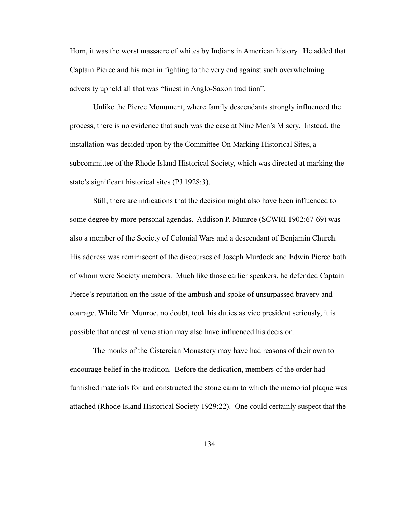Horn, it was the worst massacre of whites by Indians in American history. He added that Captain Pierce and his men in fighting to the very end against such overwhelming adversity upheld all that was "finest in Anglo-Saxon tradition".

 Unlike the Pierce Monument, where family descendants strongly influenced the process, there is no evidence that such was the case at Nine Men's Misery. Instead, the installation was decided upon by the Committee On Marking Historical Sites, a subcommittee of the Rhode Island Historical Society, which was directed at marking the state's significant historical sites (PJ 1928:3).

 Still, there are indications that the decision might also have been influenced to some degree by more personal agendas. Addison P. Munroe (SCWRI 1902:67-69) was also a member of the Society of Colonial Wars and a descendant of Benjamin Church. His address was reminiscent of the discourses of Joseph Murdock and Edwin Pierce both of whom were Society members. Much like those earlier speakers, he defended Captain Pierce's reputation on the issue of the ambush and spoke of unsurpassed bravery and courage. While Mr. Munroe, no doubt, took his duties as vice president seriously, it is possible that ancestral veneration may also have influenced his decision.

 The monks of the Cistercian Monastery may have had reasons of their own to encourage belief in the tradition. Before the dedication, members of the order had furnished materials for and constructed the stone cairn to which the memorial plaque was attached (Rhode Island Historical Society 1929:22). One could certainly suspect that the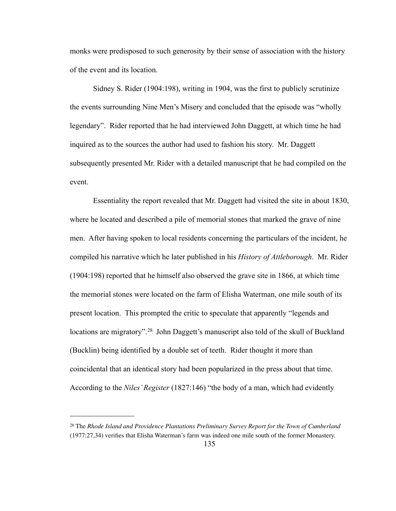monks were predisposed to such generosity by their sense of association with the history of the event and its location.

 Sidney S. Rider (1904:198), writing in 1904, was the first to publicly scrutinize the events surrounding Nine Men's Misery and concluded that the episode was "wholly legendary". Rider reported that he had interviewed John Daggett, at which time he had inquired as to the sources the author had used to fashion his story. Mr. Daggett subsequently presented Mr. Rider with a detailed manuscript that he had compiled on the event.

 Essentiality the report revealed that Mr. Daggett had visited the site in about 1830, where he located and described a pile of memorial stones that marked the grave of nine men. After having spoken to local residents concerning the particulars of the incident, he compiled his narrative which he later published in his *History of Attleborough*. Mr. Rider (1904:198) reported that he himself also observed the grave site in 1866, at which time the memorial stones were located on the farm of Elisha Waterman, one mile south of its present location. This prompted the critic to speculate that apparently "legends and locations are migratory".<sup>28</sup> John Daggett's manuscript also told of the skull of Buckland (Bucklin) being identified by a double set of teeth. Rider thought it more than coincidental that an identical story had been popularized in the press about that time. According to the *Niles' Register* (1827:146) "the body of a man, which had evidently

<span id="page-142-0"></span><sup>28</sup> The *Rhode Island and Providence Plantations Preliminary Survey Report for the Town of Cumberland*

<sup>(1977:27,34)</sup> verifies that Elisha Waterman's farm was indeed one mile south of the former Monastery.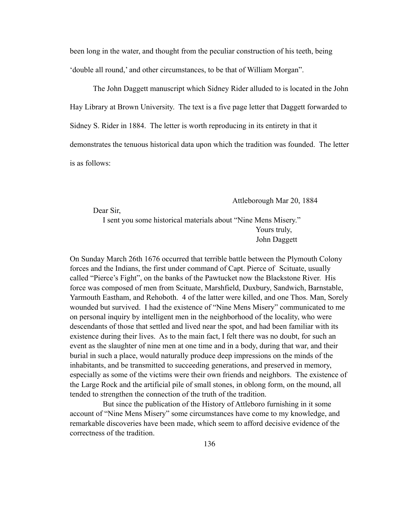been long in the water, and thought from the peculiar construction of his teeth, being 'double all round,' and other circumstances, to be that of William Morgan".

 The John Daggett manuscript which Sidney Rider alluded to is located in the John Hay Library at Brown University. The text is a five page letter that Daggett forwarded to Sidney S. Rider in 1884. The letter is worth reproducing in its entirety in that it demonstrates the tenuous historical data upon which the tradition was founded. The letter is as follows:

Attleborough Mar 20, 1884

Dear Sir,

 I sent you some historical materials about "Nine Mens Misery." Yours truly, John Daggett

On Sunday March 26th 1676 occurred that terrible battle between the Plymouth Colony forces and the Indians, the first under command of Capt. Pierce of Scituate, usually called "Pierce's Fight", on the banks of the Pawtucket now the Blackstone River. His force was composed of men from Scituate, Marshfield, Duxbury, Sandwich, Barnstable, Yarmouth Eastham, and Rehoboth. 4 of the latter were killed, and one Thos. Man, Sorely wounded but survived. I had the existence of "Nine Mens Misery" communicated to me on personal inquiry by intelligent men in the neighborhood of the locality, who were descendants of those that settled and lived near the spot, and had been familiar with its existence during their lives. As to the main fact, I felt there was no doubt, for such an event as the slaughter of nine men at one time and in a body, during that war, and their burial in such a place, would naturally produce deep impressions on the minds of the inhabitants, and be transmitted to succeeding generations, and preserved in memory, especially as some of the victims were their own friends and neighbors. The existence of the Large Rock and the artificial pile of small stones, in oblong form, on the mound, all tended to strengthen the connection of the truth of the tradition.

 But since the publication of the History of Attleboro furnishing in it some account of "Nine Mens Misery" some circumstances have come to my knowledge, and remarkable discoveries have been made, which seem to afford decisive evidence of the correctness of the tradition.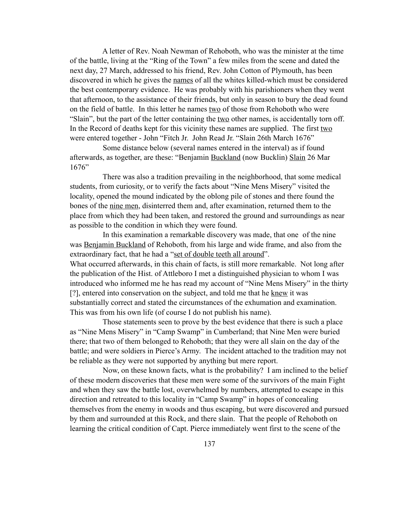A letter of Rev. Noah Newman of Rehoboth, who was the minister at the time of the battle, living at the "Ring of the Town" a few miles from the scene and dated the next day, 27 March, addressed to his friend, Rev. John Cotton of Plymouth, has been discovered in which he gives the names of all the whites killed-which must be considered the best contemporary evidence. He was probably with his parishioners when they went that afternoon, to the assistance of their friends, but only in season to bury the dead found on the field of battle. In this letter he names two of those from Rehoboth who were "Slain", but the part of the letter containing the <u>two</u> other names, is accidentally torn off. In the Record of deaths kept for this vicinity these names are supplied. The first two were entered together - John "Fitch Jr. John Read Jr. "Slain 26th March 1676"

 Some distance below (several names entered in the interval) as if found afterwards, as together, are these: "Benjamin Buckland (now Bucklin) Slain 26 Mar 1676"

 There was also a tradition prevailing in the neighborhood, that some medical students, from curiosity, or to verify the facts about "Nine Mens Misery" visited the locality, opened the mound indicated by the oblong pile of stones and there found the bones of the nine men, disinterred them and, after examination, returned them to the place from which they had been taken, and restored the ground and surroundings as near as possible to the condition in which they were found.

 In this examination a remarkable discovery was made, that one of the nine was Benjamin Buckland of Rehoboth, from his large and wide frame, and also from the extraordinary fact, that he had a "set of double teeth all around". What occurred afterwards, in this chain of facts, is still more remarkable. Not long after the publication of the Hist. of Attleboro I met a distinguished physician to whom I was introduced who informed me he has read my account of "Nine Mens Misery" in the thirty [?], entered into conservation on the subject, and told me that he knew it was substantially correct and stated the circumstances of the exhumation and examination. This was from his own life (of course I do not publish his name).

 Those statements seen to prove by the best evidence that there is such a place as "Nine Mens Misery" in "Camp Swamp" in Cumberland; that Nine Men were buried there; that two of them belonged to Rehoboth; that they were all slain on the day of the battle; and were soldiers in Pierce's Army. The incident attached to the tradition may not be reliable as they were not supported by anything but mere report.

 Now, on these known facts, what is the probability? I am inclined to the belief of these modern discoveries that these men were some of the survivors of the main Fight and when they saw the battle lost, overwhelmed by numbers, attempted to escape in this direction and retreated to this locality in "Camp Swamp" in hopes of concealing themselves from the enemy in woods and thus escaping, but were discovered and pursued by them and surrounded at this Rock, and there slain. That the people of Rehoboth on learning the critical condition of Capt. Pierce immediately went first to the scene of the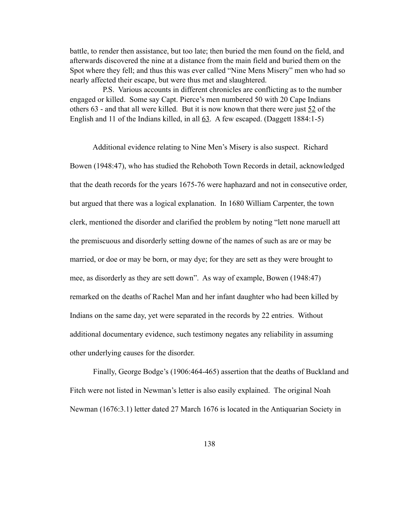battle, to render then assistance, but too late; then buried the men found on the field, and afterwards discovered the nine at a distance from the main field and buried them on the Spot where they fell; and thus this was ever called "Nine Mens Misery" men who had so nearly affected their escape, but were thus met and slaughtered.

 P.S. Various accounts in different chronicles are conflicting as to the number engaged or killed. Some say Capt. Pierce's men numbered 50 with 20 Cape Indians others  $63$  - and that all were killed. But it is now known that there were just  $52$  of the English and 11 of the Indians killed, in all  $63$ . A few escaped. (Daggett 1884:1-5)

 Additional evidence relating to Nine Men's Misery is also suspect. Richard Bowen (1948:47), who has studied the Rehoboth Town Records in detail, acknowledged that the death records for the years 1675-76 were haphazard and not in consecutive order, but argued that there was a logical explanation. In 1680 William Carpenter, the town clerk, mentioned the disorder and clarified the problem by noting "lett none maruell att the premiscuous and disorderly setting downe of the names of such as are or may be married, or doe or may be born, or may dye; for they are sett as they were brought to mee, as disorderly as they are sett down". As way of example, Bowen (1948:47) remarked on the deaths of Rachel Man and her infant daughter who had been killed by Indians on the same day, yet were separated in the records by 22 entries. Without additional documentary evidence, such testimony negates any reliability in assuming other underlying causes for the disorder.

 Finally, George Bodge's (1906:464-465) assertion that the deaths of Buckland and Fitch were not listed in Newman's letter is also easily explained. The original Noah Newman (1676:3.1) letter dated 27 March 1676 is located in the Antiquarian Society in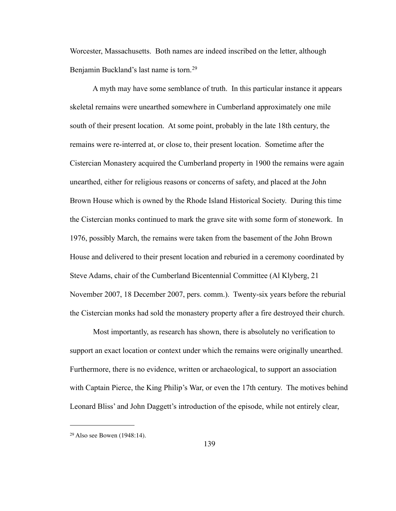Worcester, Massachusetts. Both names are indeed inscribed on the letter, although Benjamin Buckland's last name is torn.<sup>29</sup>

 A myth may have some semblance of truth. In this particular instance it appears skeletal remains were unearthed somewhere in Cumberland approximately one mile south of their present location. At some point, probably in the late 18th century, the remains were re-interred at, or close to, their present location. Sometime after the Cistercian Monastery acquired the Cumberland property in 1900 the remains were again unearthed, either for religious reasons or concerns of safety, and placed at the John Brown House which is owned by the Rhode Island Historical Society. During this time the Cistercian monks continued to mark the grave site with some form of stonework. In 1976, possibly March, the remains were taken from the basement of the John Brown House and delivered to their present location and reburied in a ceremony coordinated by Steve Adams, chair of the Cumberland Bicentennial Committee (Al Klyberg, 21 November 2007, 18 December 2007, pers. comm.). Twenty-six years before the reburial the Cistercian monks had sold the monastery property after a fire destroyed their church.

 Most importantly, as research has shown, there is absolutely no verification to support an exact location or context under which the remains were originally unearthed. Furthermore, there is no evidence, written or archaeological, to support an association with Captain Pierce, the King Philip's War, or even the 17th century. The motives behind Leonard Bliss' and John Daggett's introduction of the episode, while not entirely clear,

<span id="page-146-0"></span><sup>29</sup> Also see Bowen (1948:14).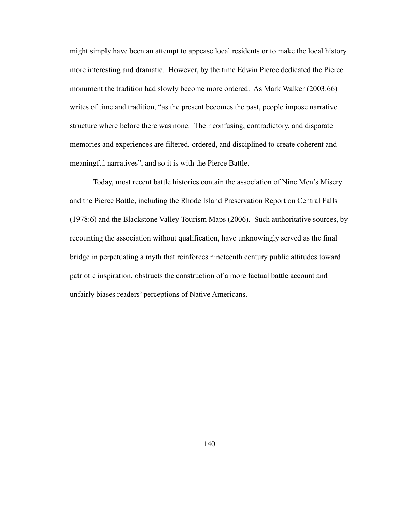might simply have been an attempt to appease local residents or to make the local history more interesting and dramatic. However, by the time Edwin Pierce dedicated the Pierce monument the tradition had slowly become more ordered. As Mark Walker (2003:66) writes of time and tradition, "as the present becomes the past, people impose narrative structure where before there was none. Their confusing, contradictory, and disparate memories and experiences are filtered, ordered, and disciplined to create coherent and meaningful narratives", and so it is with the Pierce Battle.

 Today, most recent battle histories contain the association of Nine Men's Misery and the Pierce Battle, including the Rhode Island Preservation Report on Central Falls (1978:6) and the Blackstone Valley Tourism Maps (2006). Such authoritative sources, by recounting the association without qualification, have unknowingly served as the final bridge in perpetuating a myth that reinforces nineteenth century public attitudes toward patriotic inspiration, obstructs the construction of a more factual battle account and unfairly biases readers' perceptions of Native Americans.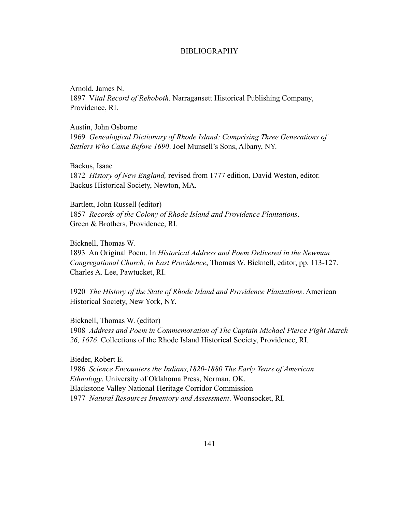# BIBLIOGRAPHY

Arnold, James N. 1897 V*ital Record of Rehoboth*. Narragansett Historical Publishing Company, Providence, RI.

Austin, John Osborne

1969 *Genealogical Dictionary of Rhode Island: Comprising Three Generations of Settlers Who Came Before 1690*. Joel Munsell's Sons, Albany, NY.

Backus, Isaac 1872 *History of New England,* revised from 1777 edition, David Weston, editor. Backus Historical Society, Newton, MA.

Bartlett, John Russell (editor) 1857 *Records of the Colony of Rhode Island and Providence Plantations*. Green & Brothers, Providence, RI.

Bicknell, Thomas W.

1893 An Original Poem. In *Historical Address and Poem Delivered in the Newman Congregational Church, in East Providence*, Thomas W. Bicknell, editor, pp. 113-127. Charles A. Lee, Pawtucket, RI.

1920 *The History of the State of Rhode Island and Providence Plantations*. American Historical Society, New York, NY.

Bicknell, Thomas W. (editor) 1908 *Address and Poem in Commemoration of The Captain Michael Pierce Fight March 26, 1676*. Collections of the Rhode Island Historical Society, Providence, RI.

Bieder, Robert E. 1986 *Science Encounters the Indians,1820-1880 The Early Years of American Ethnology*. University of Oklahoma Press, Norman, OK. Blackstone Valley National Heritage Corridor Commission 1977 *Natural Resources Inventory and Assessment*. Woonsocket, RI.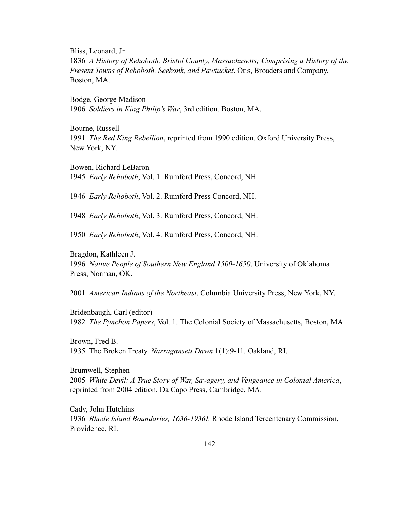Bliss, Leonard, Jr.

1836 *A History of Rehoboth, Bristol County, Massachusetts; Comprising a History of the Present Towns of Rehoboth, Seekonk, and Pawtucket*. Otis, Broaders and Company, Boston, MA.

Bodge, George Madison 1906 *Soldiers in King Philip's War*, 3rd edition. Boston, MA.

Bourne, Russell 1991 *The Red King Rebellion*, reprinted from 1990 edition. Oxford University Press, New York, NY.

Bowen, Richard LeBaron 1945 *Early Rehoboth*, Vol. 1. Rumford Press, Concord, NH.

1946 *Early Rehoboth*, Vol. 2. Rumford Press Concord, NH.

1948 *Early Rehoboth*, Vol. 3. Rumford Press, Concord, NH.

1950 *Early Rehoboth*, Vol. 4. Rumford Press, Concord, NH.

Bragdon, Kathleen J. 1996 *Native People of Southern New England 1500-1650*. University of Oklahoma Press, Norman, OK.

2001 *American Indians of the Northeast*. Columbia University Press, New York, NY.

Bridenbaugh, Carl (editor) 1982 *The Pynchon Papers*, Vol. 1. The Colonial Society of Massachusetts, Boston, MA.

Brown, Fred B. 1935 The Broken Treaty. *Narragansett Dawn* 1(1):9-11. Oakland, RI.

Brumwell, Stephen 2005 *White Devil: A True Story of War, Savagery, and Vengeance in Colonial America*, reprinted from 2004 edition. Da Capo Press, Cambridge, MA.

Cady, John Hutchins 1936 *Rhode Island Boundaries, 1636-1936I.* Rhode Island Tercentenary Commission, Providence, RI.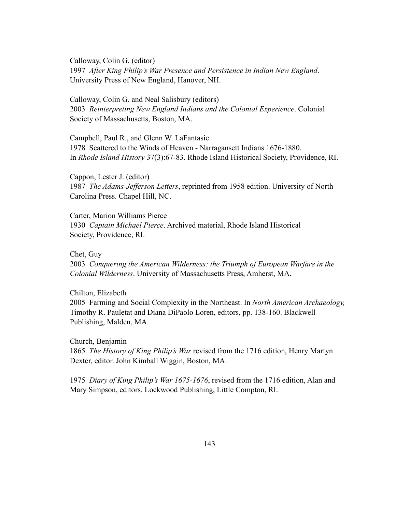Calloway, Colin G. (editor) 1997 *After King Philip's War Presence and Persistence in Indian New England*. University Press of New England, Hanover, NH.

Calloway, Colin G. and Neal Salisbury (editors) 2003 *Reinterpreting New England Indians and the Colonial Experience*. Colonial Society of Massachusetts, Boston, MA.

Campbell, Paul R., and Glenn W. LaFantasie 1978 Scattered to the Winds of Heaven - Narragansett Indians 1676-1880. In *Rhode Island History* 37(3):67-83. Rhode Island Historical Society, Providence, RI.

Cappon, Lester J. (editor) 1987 *The Adams-Jefferson Letters*, reprinted from 1958 edition. University of North Carolina Press. Chapel Hill, NC.

Carter, Marion Williams Pierce 1930 *Captain Michael Pierce*. Archived material, Rhode Island Historical Society, Providence, RI.

Chet, Guy

2003 *Conquering the American Wilderness: the Triumph of European Warfare in the Colonial Wilderness*. University of Massachusetts Press, Amherst, MA.

Chilton, Elizabeth

2005 Farming and Social Complexity in the Northeast. In *North American Archaeology,* Timothy R. Pauletat and Diana DiPaolo Loren, editors, pp. 138-160. Blackwell Publishing, Malden, MA.

Church, Benjamin 1865 *The History of King Philip's War* revised from the 1716 edition, Henry Martyn Dexter, editor. John Kimball Wiggin, Boston, MA.

1975 *Diary of King Philip's War 1675-1676*, revised from the 1716 edition, Alan and Mary Simpson, editors. Lockwood Publishing, Little Compton, RI.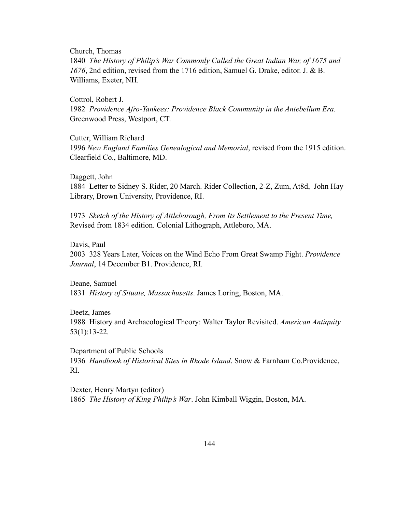Church, Thomas

1840 *The History of Philip's War Commonly Called the Great Indian War, of 1675 and 1676*, 2nd edition, revised from the 1716 edition, Samuel G. Drake, editor. J. & B. Williams, Exeter, NH.

Cottrol, Robert J.

1982 *Providence Afro-Yankees: Providence Black Community in the Antebellum Era.* Greenwood Press, Westport, CT.

Cutter, William Richard 1996 *New England Families Genealogical and Memorial*, revised from the 1915 edition. Clearfield Co., Baltimore, MD.

Daggett, John 1884 Letter to Sidney S. Rider, 20 March. Rider Collection, 2-Z, Zum, At8d, John Hay Library, Brown University, Providence, RI.

1973 *Sketch of the History of Attleborough, From Its Settlement to the Present Time,* Revised from 1834 edition. Colonial Lithograph, Attleboro, MA.

Davis, Paul 2003 328 Years Later, Voices on the Wind Echo From Great Swamp Fight. *Providence Journal*, 14 December B1. Providence, RI.

Deane, Samuel 1831 *History of Situate, Massachusetts*. James Loring, Boston, MA.

Deetz, James 1988 History and Archaeological Theory: Walter Taylor Revisited. *American Antiquity* 53(1):13-22.

Department of Public Schools 1936 *Handbook of Historical Sites in Rhode Island*. Snow & Farnham Co.Providence, RI.

Dexter, Henry Martyn (editor) 1865 *The History of King Philip's War*. John Kimball Wiggin, Boston, MA.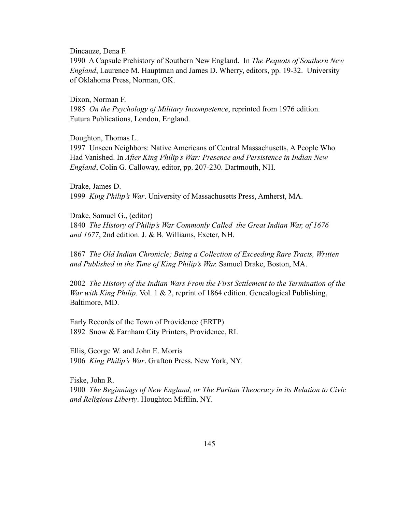Dincauze, Dena F.

1990 A Capsule Prehistory of Southern New England. In *The Pequots of Southern New England*, Laurence M. Hauptman and James D. Wherry, editors, pp. 19-32. University of Oklahoma Press, Norman, OK.

Dixon, Norman F.

1985 *On the Psychology of Military Incompetence*, reprinted from 1976 edition. Futura Publications, London, England.

Doughton, Thomas L.

1997 Unseen Neighbors: Native Americans of Central Massachusetts, A People Who Had Vanished. In *After King Philip's War: Presence and Persistence in Indian New England*, Colin G. Calloway, editor, pp. 207-230. Dartmouth, NH.

Drake, James D. 1999 *King Philip's War*. University of Massachusetts Press, Amherst, MA.

Drake, Samuel G., (editor)

1840 *The History of Philip's War Commonly Called the Great Indian War, of 1676 and 1677*, 2nd edition. J. & B. Williams, Exeter, NH.

1867 *The Old Indian Chronicle; Being a Collection of Exceeding Rare Tracts, Written and Published in the Time of King Philip's War.* Samuel Drake, Boston, MA.

2002 *The History of the Indian Wars From the First Settlement to the Termination of the War with King Philip*. Vol. 1 & 2, reprint of 1864 edition. Genealogical Publishing, Baltimore, MD.

Early Records of the Town of Providence (ERTP) 1892 Snow & Farnham City Printers, Providence, RI.

Ellis, George W. and John E. Morris 1906 *King Philip's War*. Grafton Press. New York, NY.

Fiske, John R. 1900 *The Beginnings of New England, or The Puritan Theocracy in its Relation to Civic and Religious Liberty*. Houghton Mifflin, NY.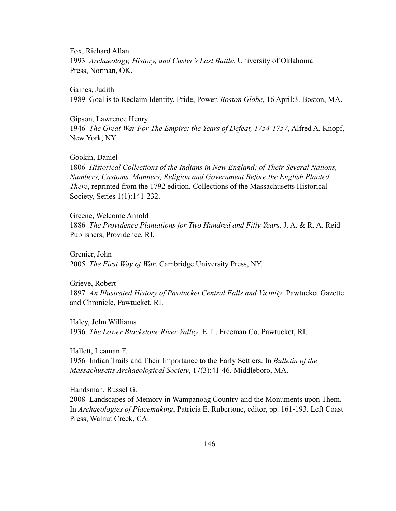Fox, Richard Allan 1993 *Archaeology, History, and Custer's Last Battle*. University of Oklahoma Press, Norman, OK.

Gaines, Judith

1989 Goal is to Reclaim Identity, Pride, Power. *Boston Globe,* 16 April:3. Boston, MA.

Gipson, Lawrence Henry

1946 *The Great War For The Empire: the Years of Defeat, 1754-1757*, Alfred A. Knopf, New York, NY.

Gookin, Daniel

1806 *Historical Collections of the Indians in New England; of Their Several Nations, Numbers, Customs, Manners, Religion and Government Before the English Planted There*, reprinted from the 1792 edition. Collections of the Massachusetts Historical Society, Series 1(1):141-232.

Greene, Welcome Arnold 1886 *The Providence Plantations for Two Hundred and Fifty Years*. J. A. & R. A. Reid Publishers, Providence, RI.

Grenier, John 2005 *The First Way of War*. Cambridge University Press, NY.

Grieve, Robert 1897 *An Illustrated History of Pawtucket Central Falls and Vicinity*. Pawtucket Gazette and Chronicle, Pawtucket, RI.

Haley, John Williams 1936 *The Lower Blackstone River Valley*. E. L. Freeman Co, Pawtucket, RI.

Hallett, Leaman F. 1956 Indian Trails and Their Importance to the Early Settlers. In *Bulletin of the Massachusetts Archaeological Society*, 17(3):41-46. Middleboro, MA.

Handsman, Russel G.

2008 Landscapes of Memory in Wampanoag Country-and the Monuments upon Them. In *Archaeologies of Placemaking*, Patricia E. Rubertone, editor, pp. 161-193. Left Coast Press, Walnut Creek, CA.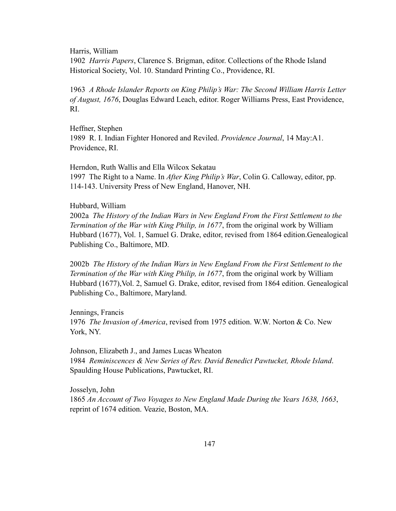Harris, William

1902 *Harris Papers*, Clarence S. Brigman, editor. Collections of the Rhode Island Historical Society, Vol. 10. Standard Printing Co., Providence, RI.

1963 *A Rhode Islander Reports on King Philip's War: The Second William Harris Letter of August, 1676*, Douglas Edward Leach, editor. Roger Williams Press, East Providence, RI.

Heffner, Stephen 1989 R. I. Indian Fighter Honored and Reviled. *Providence Journal*, 14 May:A1. Providence, RI.

Herndon, Ruth Wallis and Ella Wilcox Sekatau 1997 The Right to a Name. In *After King Philip's War*, Colin G. Calloway, editor, pp. 114-143. University Press of New England, Hanover, NH.

# Hubbard, William

2002a *The History of the Indian Wars in New England From the First Settlement to the Termination of the War with King Philip, in 1677*, from the original work by William Hubbard (1677), Vol. 1, Samuel G. Drake, editor, revised from 1864 edition.Genealogical Publishing Co., Baltimore, MD.

2002b *The History of the Indian Wars in New England From the First Settlement to the Termination of the War with King Philip, in 1677*, from the original work by William Hubbard (1677),Vol. 2, Samuel G. Drake, editor, revised from 1864 edition. Genealogical Publishing Co., Baltimore, Maryland.

Jennings, Francis 1976 *The Invasion of America*, revised from 1975 edition. W.W. Norton & Co. New York, NY.

Johnson, Elizabeth J., and James Lucas Wheaton 1984 *Reminiscences & New Series of Rev. David Benedict Pawtucket, Rhode Island*. Spaulding House Publications, Pawtucket, RI.

Josselyn, John 1865 *An Account of Two Voyages to New England Made During the Years 1638, 1663*, reprint of 1674 edition. Veazie, Boston, MA.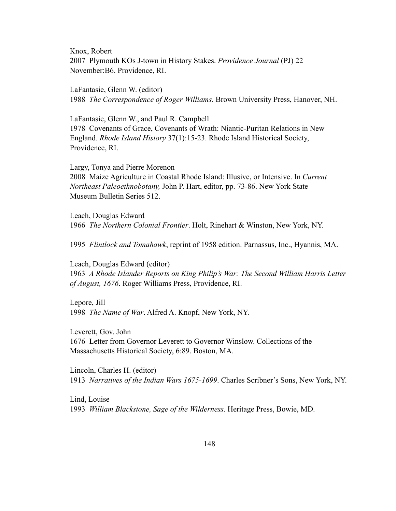Knox, Robert 2007 Plymouth KOs J-town in History Stakes. *Providence Journal* (PJ) 22 November:B6. Providence, RI.

LaFantasie, Glenn W. (editor) 1988 *The Correspondence of Roger Williams*. Brown University Press, Hanover, NH.

LaFantasie, Glenn W., and Paul R. Campbell 1978 Covenants of Grace, Covenants of Wrath: Niantic-Puritan Relations in New England. *Rhode Island History* 37(1):15-23. Rhode Island Historical Society, Providence, RI.

Largy, Tonya and Pierre Morenon 2008 Maize Agriculture in Coastal Rhode Island: Illusive, or Intensive. In *Current Northeast Paleoethnobotany,* John P. Hart, editor, pp. 73-86. New York State Museum Bulletin Series 512.

Leach, Douglas Edward 1966 *The Northern Colonial Frontier*. Holt, Rinehart & Winston, New York, NY.

1995 *Flintlock and Tomahawk*, reprint of 1958 edition. Parnassus, Inc., Hyannis, MA.

Leach, Douglas Edward (editor)

1963 *A Rhode Islander Reports on King Philip's War: The Second William Harris Letter of August, 1676*. Roger Williams Press, Providence, RI.

Lepore, Jill 1998 *The Name of War*. Alfred A. Knopf, New York, NY.

Leverett, Gov. John 1676 Letter from Governor Leverett to Governor Winslow. Collections of the Massachusetts Historical Society, 6:89. Boston, MA.

Lincoln, Charles H. (editor) 1913 *Narratives of the Indian Wars 1675-1699*. Charles Scribner's Sons, New York, NY.

Lind, Louise 1993 *William Blackstone, Sage of the Wilderness*. Heritage Press, Bowie, MD.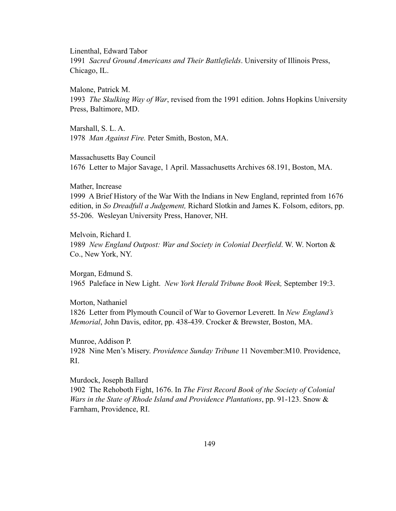Linenthal, Edward Tabor

1991 *Sacred Ground Americans and Their Battlefields*. University of Illinois Press, Chicago, IL.

Malone, Patrick M.

1993 *The Skulking Way of War*, revised from the 1991 edition. Johns Hopkins University Press, Baltimore, MD.

Marshall, S. L. A. 1978 *Man Against Fire.* Peter Smith, Boston, MA.

Massachusetts Bay Council 1676 Letter to Major Savage, 1 April. Massachusetts Archives 68.191, Boston, MA.

# Mather, Increase

1999 A Brief History of the War With the Indians in New England, reprinted from 1676 edition, in *So Dreadfull a Judgement,* Richard Slotkin and James K. Folsom, editors, pp. 55-206. Wesleyan University Press, Hanover, NH.

Melvoin, Richard I. 1989 *New England Outpost: War and Society in Colonial Deerfield*. W. W. Norton & Co., New York, NY.

Morgan, Edmund S. 1965 Paleface in New Light. *New York Herald Tribune Book Week,* September 19:3.

Morton, Nathaniel 1826 Letter from Plymouth Council of War to Governor Leverett. In *New England's Memorial*, John Davis, editor, pp. 438-439. Crocker & Brewster, Boston, MA.

Munroe, Addison P. 1928 Nine Men's Misery. *Providence Sunday Tribune* 11 November:M10. Providence, RI.

Murdock, Joseph Ballard 1902 The Rehoboth Fight, 1676. In *The First Record Book of the Society of Colonial Wars in the State of Rhode Island and Providence Plantations*, pp. 91-123. Snow & Farnham, Providence, RI.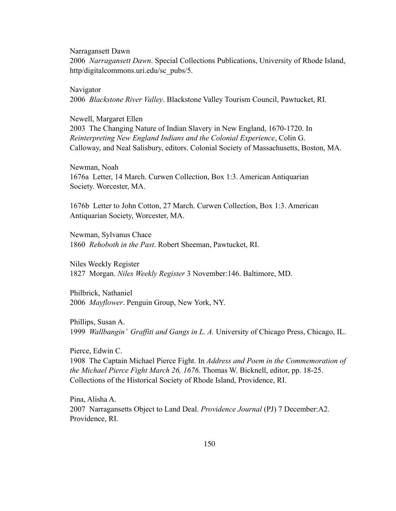Narragansett Dawn

2006 *Narragansett Dawn*. Special Collections Publications, University of Rhode Island, http/digitalcommons.uri.edu/sc\_pubs/5.

Navigator 2006 *Blackstone River Valley*. Blackstone Valley Tourism Council, Pawtucket, RI.

# Newell, Margaret Ellen

2003 The Changing Nature of Indian Slavery in New England, 1670-1720. In *Reinterpreting New England Indians and the Colonial Experience*, Colin G. Calloway, and Neal Salisbury, editors. Colonial Society of Massachusetts, Boston, MA.

Newman, Noah 1676a Letter, 14 March. Curwen Collection, Box 1:3. American Antiquarian Society. Worcester, MA.

1676b Letter to John Cotton, 27 March. Curwen Collection, Box 1:3. American Antiquarian Society, Worcester, MA.

Newman, Sylvanus Chace 1860 *Rehoboth in the Past*. Robert Sheeman, Pawtucket, RI.

Niles Weekly Register 1827 Morgan. *Niles Weekly Register* 3 November:146. Baltimore, MD.

Philbrick, Nathaniel 2006 *Mayflower*. Penguin Group, New York, NY.

Phillips, Susan A. 1999 *Wallbangin' Graffiti and Gangs in L. A.* University of Chicago Press, Chicago, IL.

Pierce, Edwin C. 1908 The Captain Michael Pierce Fight. In *Address and Poem in the Commemoration of the Michael Pierce Fight March 26, 1676*. Thomas W. Bicknell, editor, pp. 18-25. Collections of the Historical Society of Rhode Island, Providence, RI.

Pina, Alisha A. 2007 Narragansetts Object to Land Deal. *Providence Journal* (PJ) 7 December:A2. Providence, RI.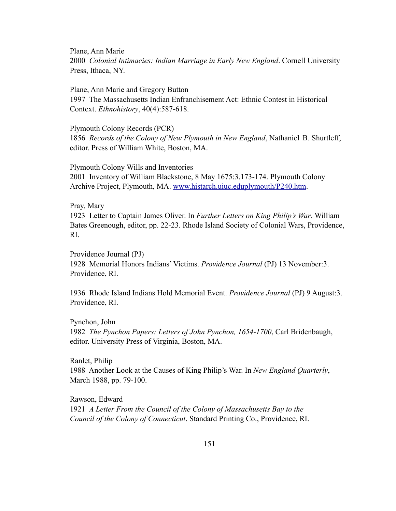Plane, Ann Marie 2000 *Colonial Intimacies: Indian Marriage in Early New England*. Cornell University Press, Ithaca, NY.

Plane, Ann Marie and Gregory Button 1997 The Massachusetts Indian Enfranchisement Act: Ethnic Contest in Historical Context. *Ethnohistory*, 40(4):587-618.

Plymouth Colony Records (PCR) 1856 *Records of the Colony of New Plymouth in New England*, Nathaniel B. Shurtleff, editor. Press of William White, Boston, MA.

Plymouth Colony Wills and Inventories 2001 Inventory of William Blackstone, 8 May 1675:3.173-174. Plymouth Colony Archive Project, Plymouth, MA. [www.histarch.uiuc.eduplymouth/P240.htm.](http://www.histarch.uiuc.edu/plymouth/P240.htm)

# Pray, Mary

1923 Letter to Captain James Oliver. In *Further Letters on King Philip's War*. William Bates Greenough, editor, pp. 22-23. Rhode Island Society of Colonial Wars, Providence, RI.

Providence Journal (PJ) 1928 Memorial Honors Indians' Victims. *Providence Journal* (PJ) 13 November:3. Providence, RI.

1936 Rhode Island Indians Hold Memorial Event. *Providence Journal* (PJ) 9 August:3. Providence, RI.

# Pynchon, John

1982 *The Pynchon Papers: Letters of John Pynchon, 1654-1700*, Carl Bridenbaugh, editor. University Press of Virginia, Boston, MA.

# Ranlet, Philip

1988 Another Look at the Causes of King Philip's War. In *New England Quarterly*, March 1988, pp. 79-100.

Rawson, Edward 1921 *A Letter From the Council of the Colony of Massachusetts Bay to the Council of the Colony of Connecticut*. Standard Printing Co., Providence, RI.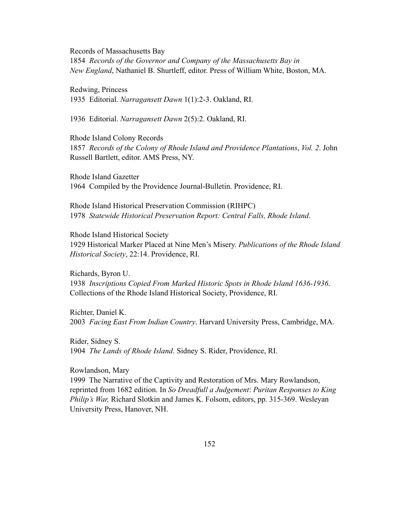Records of Massachusetts Bay

1854 *Records of the Governor and Company of the Massachusetts Bay in New England*, Nathaniel B. Shurtleff, editor. Press of William White, Boston, MA.

Redwing, Princess 1935 Editorial. *Narragansett Dawn* 1(1):2-3. Oakland, RI.

1936 Editorial. *Narragansett Dawn* 2(5):2. Oakland, RI.

Rhode Island Colony Records 1857 *Records of the Colony of Rhode Island and Providence Plantations*, *Vol. 2*. John Russell Bartlett, editor. AMS Press, NY.

Rhode Island Gazetter 1964 Compiled by the Providence Journal-Bulletin. Providence, RI.

Rhode Island Historical Preservation Commission (RIHPC) 1978 *Statewide Historical Preservation Report: Central Falls, Rhode Island*.

Rhode Island Historical Society 1929 Historical Marker Placed at Nine Men's Misery. *Publications of the Rhode Island Historical Society*, 22:14. Providence, RI.

Richards, Byron U. 1938 *Inscriptions Copied From Marked Historic Spots in Rhode Island 1636-1936*. Collections of the Rhode Island Historical Society, Providence, RI.

Richter, Daniel K. 2003 *Facing East From Indian Country*. Harvard University Press, Cambridge, MA.

Rider, Sidney S. 1904 *The Lands of Rhode Island*. Sidney S. Rider, Providence, RI.

Rowlandson, Mary

1999 The Narrative of the Captivity and Restoration of Mrs. Mary Rowlandson, reprinted from 1682 edition. In *So Dreadfull a Judgement*: *Puritan Responses to King Philip's War,* Richard Slotkin and James K. Folsom, editors, pp. 315-369. Wesleyan University Press, Hanover, NH.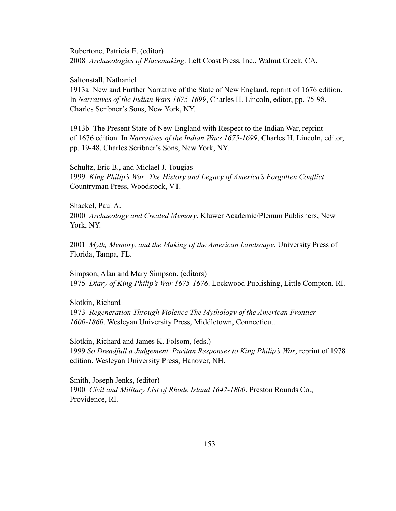Rubertone, Patricia E. (editor) 2008 *Archaeologies of Placemaking*. Left Coast Press, Inc., Walnut Creek, CA.

Saltonstall, Nathaniel

1913a New and Further Narrative of the State of New England, reprint of 1676 edition. In *Narratives of the Indian Wars 1675-1699*, Charles H. Lincoln, editor, pp. 75-98. Charles Scribner's Sons, New York, NY.

1913b The Present State of New-England with Respect to the Indian War, reprint of 1676 edition. In *Narratives of the Indian Wars 1675-1699*, Charles H. Lincoln, editor, pp. 19-48. Charles Scribner's Sons, New York, NY.

Schultz, Eric B., and Miclael J. Tougias 1999 *King Philip's War: The History and Legacy of America's Forgotten Conflict*. Countryman Press, Woodstock, VT.

Shackel, Paul A. 2000 *Archaeology and Created Memory*. Kluwer Academic/Plenum Publishers, New York, NY.

2001 *Myth, Memory, and the Making of the American Landscape.* University Press of Florida, Tampa, FL.

Simpson, Alan and Mary Simpson, (editors) 1975 *Diary of King Philip's War 1675-1676*. Lockwood Publishing, Little Compton, RI.

Slotkin, Richard 1973 *Regeneration Through Violence The Mythology of the American Frontier 1600-1860*. Wesleyan University Press, Middletown, Connecticut.

Slotkin, Richard and James K. Folsom, (eds.) 1999 *So Dreadfull a Judgement, Puritan Responses to King Philip's War*, reprint of 1978 edition. Wesleyan University Press, Hanover, NH.

Smith, Joseph Jenks, (editor) 1900 *Civil and Military List of Rhode Island 1647-1800*. Preston Rounds Co., Providence, RI.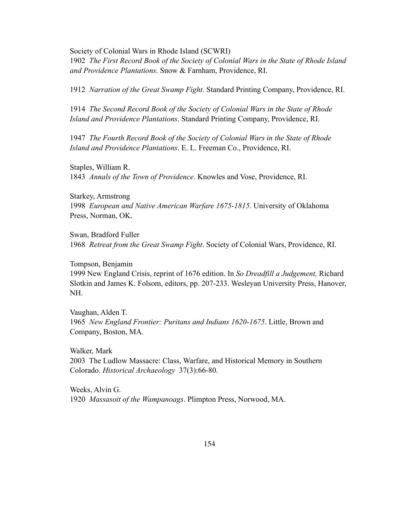Society of Colonial Wars in Rhode Island (SCWRI) 1902 *The First Record Book of the Society of Colonial Wars in the State of Rhode Island and Providence Plantations*. Snow & Farnham, Providence, RI.

1912 *Narration of the Great Swamp Fight*. Standard Printing Company, Providence, RI.

1914 *The Second Record Book of the Society of Colonial Wars in the State of Rhode Island and Providence Plantations*. Standard Printing Company, Providence, RI.

1947 *The Fourth Record Book of the Society of Colonial Wars in the State of Rhode Island and Providence Plantations*. E. L. Freeman Co., Providence, RI.

Staples, William R. 1843 *Annals of the Town of Providence*. Knowles and Vose, Providence, RI.

Starkey, Armstrong 1998 *European and Native American Warfare 1675-1815*. University of Oklahoma Press, Norman, OK.

Swan, Bradford Fuller 1968 *Retreat from the Great Swamp Fight*. Society of Colonial Wars, Providence, RI.

Tompson, Benjamin 1999 New England Crisis, reprint of 1676 edition. In *So Dreadfill a Judgement,* Richard Slotkin and James K. Folsom, editors, pp. 207-233. Wesleyan University Press, Hanover, NH.

Vaughan, Alden T. 1965 *New England Frontier: Puritans and Indians 1620-1675*. Little, Brown and Company, Boston, MA.

Walker, Mark 2003 The Ludlow Massacre: Class, Warfare, and Historical Memory in Southern Colorado. *Historical Archaeology* 37(3):66-80.

Weeks, Alvin G. 1920 *Massasoit of the Wampanoags*. Plimpton Press, Norwood, MA.